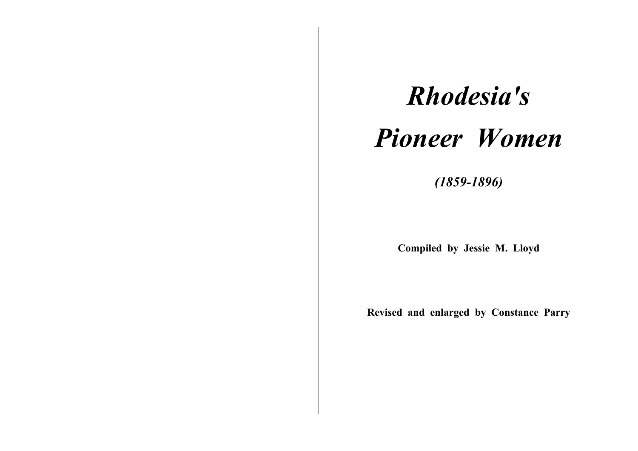# *Rhodesia's Pioneer Women*

*(1859-1896)* 

**Compiled by Jessie M. Lloyd** 

**Revised and enlarged by Constance Parry**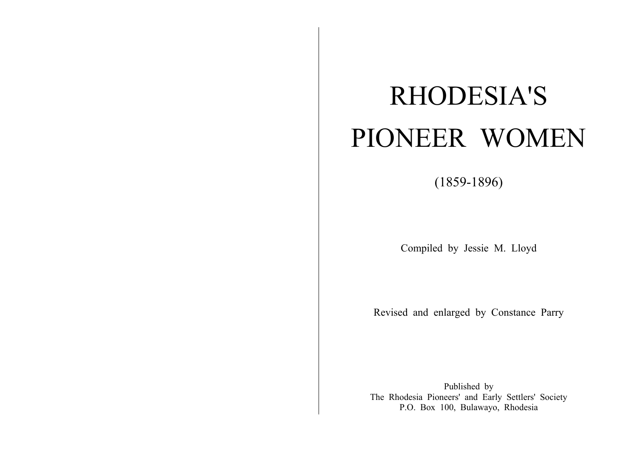# RHODESIA'S PIONEER WOMEN

(1859-1896)

Compiled by Jessie M. Lloyd

Revised and enlarged by Constance Parry

Published by The Rhodesia Pioneers' and Early Settlers' Society P.O. Box 100, Bulawayo, Rhodesia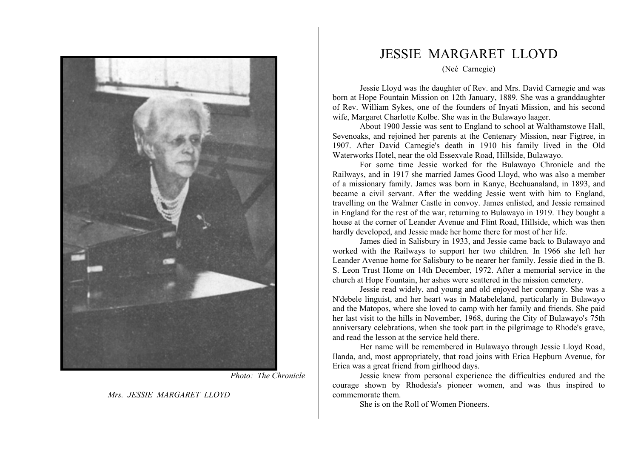

*Photo: The Chronicle* 

*Mrs. JESSIE MARGARET LLOYD* 

## JESSIE MARGARET LLOYD

(Neé Carnegie)

Jessie Lloyd was the daughter of Rev. and Mrs. David Carnegie and was born at Hope Fountain Mission on 12th January, 1889. She was a granddaughter of Rev. William Sykes, one of the founders of Inyati Mission, and his second wife, Margaret Charlotte Kolbe. She was in the Bulawayo laager.

About 1900 Jessie was sent to England to school at Walthamstowe Hall, Sevenoaks, and rejoined her parents at the Centenary Mission, near Figtree, in 1907. After David Carnegie's death in 1910 his family lived in the Old Waterworks Hotel, near the old Essexvale Road, Hillside, Bulawayo.

For some time Jessie worked for the Bulawayo Chronicle and the Railways, and in 1917 she married James Good Lloyd, who was also a member of a missionary family. James was born in Kanye, Bechuanaland, in 1893, and became a civil servant. After the wedding Jessie went with him to England, travelling on the Walmer Castle in convoy. James enlisted, and Jessie remained in England for the rest of the war, returning to Bulawayo in 1919. They bought a house at the corner of Leander Avenue and Flint Road, Hillside, which was then hardly developed, and Jessie made her home there for most of her life.

James died in Salisbury in 1933, and Jessie came back to Bulawayo and worked with the Railways to support her two children. In 1966 she left her Leander Avenue home for Salisbury to be nearer her family. Jessie died in the B. S. Leon Trust Home on 14th December, 1972. After a memorial service in the church at Hope Fountain, her ashes were scattered in the mission cemetery.

Jessie read widely, and young and old enjoyed her company. She was a N'debele linguist, and her heart was in Matabeleland, particularly in Bulawayo and the Matopos, where she loved to camp with her family and friends. She paid her last visit to the hills in November, 1968, during the City of Bulawayo's 75th anniversary celebrations, when she took part in the pilgrimage to Rhode's grave, and read the lesson at the service held there.

Her name will be remembered in Bulawayo through Jessie Lloyd Road, Ilanda, and, most appropriately, that road joins with Erica Hepburn Avenue, for Erica was a great friend from girlhood days.

Jessie knew from personal experience the difficulties endured and the courage shown by Rhodesia's pioneer women, and was thus inspired to commemorate them.

She is on the Roll of Women Pioneers.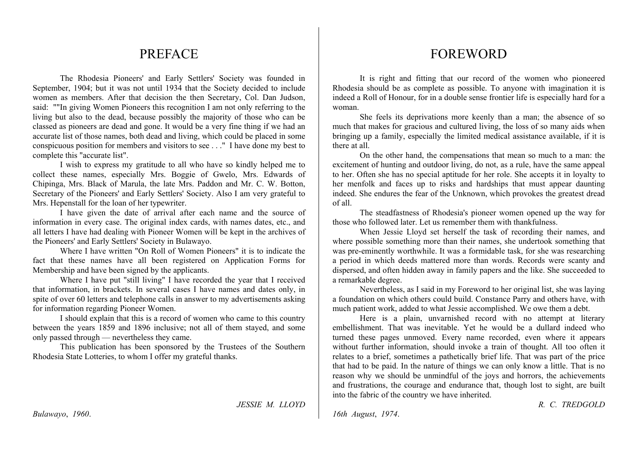## **PREFACE**

The Rhodesia Pioneers' and Early Settlers' Society was founded in September, 1904; but it was not until 1934 that the Society decided to include women as members. After that decision the then Secretary, Col. Dan Judson, said: ""In giving Women Pioneers this recognition I am not only referring to the living but also to the dead, because possibly the majority of those who can be classed as pioneers are dead and gone. It would be a very fine thing if we had an accurate list of those names, both dead and living, which could be placed in some conspicuous position for members and visitors to see . . ." I have done my best to complete this "accurate list".

I wish to express my gratitude to all who have so kindly helped me to collect these names, especially Mrs. Boggie of Gwelo, Mrs. Edwards of Chipinga, Mrs. Black of Marula, the late Mrs. Paddon and Mr. C. W. Botton, Secretary of the Pioneers' and Early Settlers' Society. Also I am very grateful to Mrs. Hepenstall for the loan of her typewriter.

I have given the date of arrival after each name and the source of information in every case. The original index cards, with names dates, etc., and all letters I have had dealing with Pioneer Women will be kept in the archives of the Pioneers' and Early Settlers' Society in Bulawayo.

Where I have written "On Roll of Women Pioneers" it is to indicate the fact that these names have all been registered on Application Forms for Membership and have been signed by the applicants.

Where I have put "still living" I have recorded the year that I received that information, in brackets. In several cases I have names and dates only, in spite of over 60 letters and telephone calls in answer to my advertisements asking for information regarding Pioneer Women.

I should explain that this is a record of women who came to this country between the years 1859 and 1896 inclusive; not all of them stayed, and some only passed through — nevertheless they came.

This publication has been sponsored by the Trustees of the Southern Rhodesia State Lotteries, to whom I offer my grateful thanks.

## *JESSIE M. LLOYD*

## FOREWORD

It is right and fitting that our record of the women who pioneered Rhodesia should be as complete as possible. To anyone with imagination it is indeed a Roll of Honour, for in a double sense frontier life is especially hard for a woman.

She feels its deprivations more keenly than a man; the absence of so much that makes for gracious and cultured living, the loss of so many aids when bringing up a family, especially the limited medical assistance available, if it is there at all.

On the other hand, the compensations that mean so much to a man: the excitement of hunting and outdoor living, do not, as a rule, have the same appeal to her. Often she has no special aptitude for her role. She accepts it in loyalty to her menfolk and faces up to risks and hardships that must appear daunting indeed. She endures the fear of the Unknown, which provokes the greatest dread of all.

The steadfastness of Rhodesia's pioneer women opened up the way for those who followed later. Let us remember them with thankfulness.

When Jessie Lloyd set herself the task of recording their names, and where possible something more than their names, she undertook something that was pre-eminently worthwhile. It was a formidable task, for she was researching a period in which deeds mattered more than words. Records were scanty and dispersed, and often hidden away in family papers and the like. She succeeded to a remarkable degree.

Nevertheless, as I said in my Foreword to her original list, she was laying a foundation on which others could build. Constance Parry and others have, with much patient work, added to what Jessie accomplished. We owe them a debt.

Here is a plain, unvarnished record with no attempt at literary embellishment. That was inevitable. Yet he would be a dullard indeed who turned these pages unmoved. Every name recorded, even where it appears without further information, should invoke a train of thought. All too often it relates to a brief, sometimes a pathetically brief life. That was part of the price that had to be paid. In the nature of things we can only know a little. That is no reason why we should be unmindful of the joys and horrors, the achievements and frustrations, the courage and endurance that, though lost to sight, are built into the fabric of the country we have inherited.

*R. C. TREDGOLD* 

*16th August*, *1974*.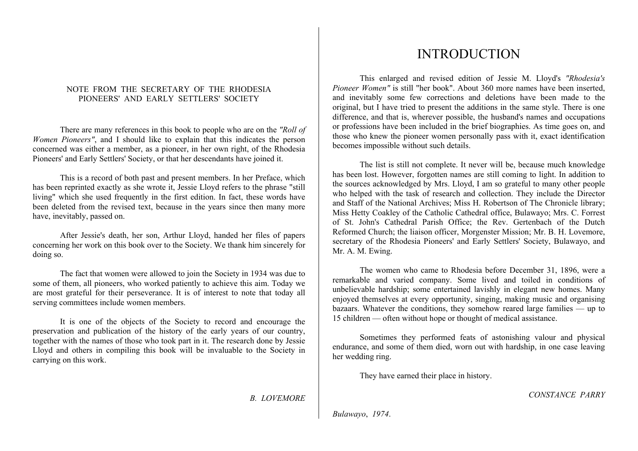## NOTE FROM THE SECRETARY OF THE RHODESIA PIONEERS' AND EARLY SETTLERS' SOCIETY

There are many references in this book to people who are on the *"Roll of Women Pioneers"*, and I should like to explain that this indicates the person concerned was either a member, as a pioneer, in her own right, of the Rhodesia Pioneers' and Early Settlers' Society, or that her descendants have joined it.

This is a record of both past and present members. In her Preface, which has been reprinted exactly as she wrote it, Jessie Lloyd refers to the phrase "still living" which she used frequently in the first edition. In fact, these words have been deleted from the revised text, because in the years since then many more have, inevitably, passed on.

After Jessie's death, her son, Arthur Lloyd, handed her files of papers concerning her work on this book over to the Society. We thank him sincerely for doing so.

The fact that women were allowed to join the Society in 1934 was due to some of them, all pioneers, who worked patiently to achieve this aim. Today we are most grateful for their perseverance. It is of interest to note that today all serving committees include women members.

It is one of the objects of the Society to record and encourage the preservation and publication of the history of the early years of our country, together with the names of those who took part in it. The research done by Jessie Lloyd and others in compiling this book will be invaluable to the Society in carrying on this work.

*B. LOVEMORE* 

# INTRODUCTION

This enlarged and revised edition of Jessie M. Lloyd's *"Rhodesia's Pioneer Women"* is still "her book". About 360 more names have been inserted, and inevitably some few corrections and deletions have been made to the original, but I have tried to present the additions in the same style. There is one difference, and that is, wherever possible, the husband's names and occupations or professions have been included in the brief biographies. As time goes on, and those who knew the pioneer women personally pass with it, exact identification becomes impossible without such details.

The list is still not complete. It never will be, because much knowledge has been lost. However, forgotten names are still coming to light. In addition to the sources acknowledged by Mrs. Lloyd, I am so grateful to many other people who helped with the task of research and collection. They include the Director and Staff of the National Archives; Miss H. Robertson of The Chronicle library; Miss Hetty Coakley of the Catholic Cathedral office, Bulawayo; Mrs. C. Forrest of St. John's Cathedral Parish Office; the Rev. Gertenbach of the Dutch Reformed Church; the liaison officer, Morgenster Mission; Mr. B. H. Lovemore, secretary of the Rhodesia Pioneers' and Early Settlers' Society, Bulawayo, and Mr. A. M. Ewing.

The women who came to Rhodesia before December 31, 1896, were a remarkable and varied company. Some lived and toiled in conditions of unbelievable hardship; some entertained lavishly in elegant new homes. Many enjoyed themselves at every opportunity, singing, making music and organising bazaars. Whatever the conditions, they somehow reared large families — up to 15 children — often without hope or thought of medical assistance.

Sometimes they performed feats of astonishing valour and physical endurance, and some of them died, worn out with hardship, in one case leaving her wedding ring.

They have earned their place in history.

*CONSTANCE PARRY* 

*Bulawayo*, *1974*.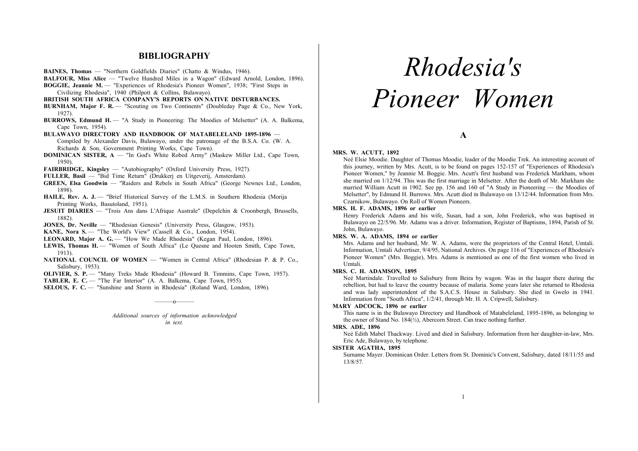## **BIBLIOGRAPHY**

- **BAINES, Thomas** "Northern Goldfields Diaries" (Chatto & Windus, 1946).
- **BALFOUR, Miss Alice** "Twelve Hundred Miles in a Wagon" (Edward Arnold, London, 1896).

**BOGGIE, Jeannie M.** — "Experiences of Rhodesia's Pioneer Women", 1938; "First Steps in Civilizing Rhodesia", 1940 (Philpott & Collins, Bulawayo).

- **BRITISH SOUTH AFRICA COMPANY'S REPORTS ON NATIVE DISTURBANCES.**
- **BURNHAM, Major F. R.** "Scouting on Two Continents" (Doubleday Page & Co., New York, 1927).

**BURROWS, Edmund H.** — "A Study in Pioneering: The Moodies of Melsetter" (A. A. Balkema, Cape Town, 1954).

**BULAWAYO DIRECTORY AND HANDBOOK OF MATABELELAND 1895-1896** — Compiled by Alexander Davis, Bulawayo, under the patronage of the B.S.A. Co. (W. A. Richards & Son, Government Printing Works, Cape Town).

**DOMINICAN SISTER, A** — "In God's White Robed Army" (Maskew Miller Ltd., Cape Town, 1950).

**FAIRBRIDGE, Kingsley** — "Autobiography" (Oxford University Press, 1927).

- **FULLER, Basil** "Bid Time Return" (Drukkerj en Uitgeverij, Amsterdam).
- **GREEN, Elsa Goodwin** "Raiders and Rebels in South Africa" (George Newnes Ltd., London, 1898).
- **HAILE, Rev. A. J.** "Brief Historical Survey of the L.M.S. in Southern Rhodesia (Morija Printing Works, Basutoland, 1951).
- **JESUIT DIARIES** "Trois Ans dans L'Afrique Australe" (Depelchin & Croonbergh, Brussells, 1882).
- **JONES, Dr. Neville** "Rhodesian Genesis" (University Press, Glasgow, 1953).
- KANE, Nora S. "The World's View" (Cassell & Co., London, 1954).
- **LEONARD, Major A. G.** "How We Made Rhodesia" (Kegan Paul, London, 1896).
- **LEWIS, Thomas H.** "Women of South Africa" (Le Quesne and Hooten Smith, Cape Town, 1913).
- **NATIONAL COUNCIL OF WOMEN** "Women in Central Africa" (Rhodesian P. & P. Co., Salisbury, 1953).
- **OLIVIER, S. P.** "Many Treks Made Rhodesia" (Howard B. Timmins, Cape Town, 1957).
- **TABLER, E. C.** "The Far Interior" (A. A. Balkema, Cape Town, 1955).
- **SELOUS, F. C.** "Sunshine and Storm in Rhodesia" (Roland Ward, London, 1896).

*Additional sources of information acknowledged in text.* 

———o———

# *Rhodesia's Pioneer Women*

**A** 

#### **MRS. W. ACUTT, 1892**

Neé Elsie Moodie. Daughter of Thomas Moodie, leader of the Moodie Trek. An interesting account of this journey, written by Mrs. Acutt, is to be found on pages 152-157 of "Experiences of Rhodesia's Pioneer Women," by Jeannie M. Boggie. Mrs. Acutt's first husband was Frederick Markham, whom she married on 1/12/94. This was the first marriage in Melsetter. After the death of Mr. Markham she married William Acutt in 1902. See pp. 156 and 160 of "A Study in Pioneering — the Moodies of Melsetter", by Edmund H. Burrows. Mrs. Acutt died in Bulawayo on 13/12/44. Information from Mrs. Czarnikow, Bulawayo. On Roll of Women Pioneers.

## **MRS. H. F. ADAMS, 1896 or earlier**

Henry Frederick Adams and his wife, Susan, had a son, John Frederick, who was baptised in Bulawayo on 22/5/96. Mr. Adams was a driver. Information, Register of Baptisms, 1894, Parish of St. John, Bulawayo.

## **MRS. W. A. ADAMS, 1894 or earlier**

Mrs. Adams and her husband, Mr. W. A. Adams, were the proprietors of the Central Hotel, Umtali. Information, Umtali Advertiser, 9/4/95, National Archives. On page 116 of "Experiences of Rhodesia's Pioneer Women" (Mrs. Boggie), Mrs. Adams is mentioned as one of the first women who lived in Umtali.

#### **MRS. C. H. ADAMSON, 1895**

Neé Martindale. Travelled to Salisbury from Beira by wagon. Was in the laager there during the rebellion, but had to leave the country because of malaria. Some years later she returned to Rhodesia and was lady superintendent of the S.A.C.S. House in Salisbury. She died in Gwelo in 1941. Information from "South Africa", 1/2/41, through Mr. H. A. Cripwell, Salisbury.

#### **MARY ADCOCK, 1896 or earlier**

This name is in the Bulawayo Directory and Handbook of Matabeleland, 1895-1896, as belonging to the owner of Stand No. 184(½), Abercorn Street. Can trace nothing further.

#### **MRS. ADE, 1896**

Neé Edith Mabel Thackway. Lived and died in Salisbury. Information from her daughter-in-law, Mrs. Eric Ade, Bulawayo, by telephone.

#### **SISTER AGATHA, 1895**

Surname Mayer. Dominican Order. Letters from St. Dominic's Convent, Salisbury, dated 18/11/55 and 13/8/57.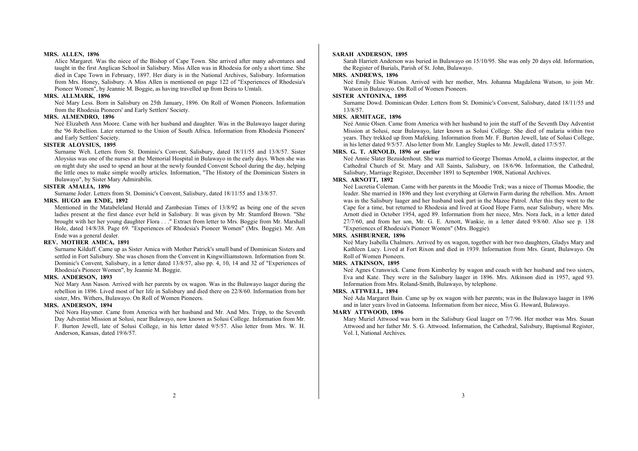#### **MRS. ALLEN, 1896**

Alice Margaret. Was the niece of the Bishop of Cape Town. She arrived after many adventures and taught in the first Anglican School in Salisbury. Miss Allen was in Rhodesia for only a short time. She died in Cape Town in February, 1897. Her diary is in the National Archives, Salisbury. Information from Mrs. Honey, Salisbury. A Miss Allen is mentioned on page 122 of "Experiences of Rhodesia's Pioneer Women", by Jeannie M. Boggie, as having travelled up from Beira to Umtali.

#### **MRS. ALLMARK, 1896**

Neé Mary Less. Born in Salisbury on 25th January, 1896. On Roll of Women Pioneers. Information from the Rhodesia Pioneers' and Early Settlers' Society.

#### **MRS. ALMENDRO, 1896**

Neé Elizabeth Ann Moore. Came with her husband and daughter. Was in the Bulawayo laager during the '96 Rebellion. Later returned to the Union of South Africa. Information from Rhodesia Pioneers' and Early Settlers' Society.

#### **SISTER ALOYSIUS, 1895**

Surname Weh. Letters from St. Dominic's Convent, Salisbury, dated 18/11/55 and 13/8/57. Sister Aloysius was one of the nurses at the Memorial Hospital in Bulawayo in the early days. When she was on night duty she used to spend an hour at the newly founded Convent School during the day, helping the little ones to make simple woolly articles. Information, "The History of the Dominican Sisters in Bulawayo", by Sister Mary Admirabilis.

#### **SISTER AMALIA, 1896**

Surname Joder. Letters from St. Dominic's Convent, Salisbury, dated 18/11/55 and 13/8/57.

## **MRS. HUGO am ENDE, 1892**

Mentioned in the Matabeleland Herald and Zambesian Times of 13/8/92 as being one of the seven ladies present at the first dance ever held in Salisbury. It was given by Mr. Stamford Brown. "She brought with her her young daughter Flora . . ." Extract from letter to Mrs. Boggie from Mr. Marshall Hole, dated 14/8/38. Page 69. "Experiences of Rhodesia's Pioneer Women" (Mrs. Boggie). Mr. Am Ende was a general dealer.

#### **REV. MOTHER AMICA, 1891**

Surname Kilduff. Came up as Sister Amica with Mother Patrick's small band of Dominican Sisters and settled in Fort Salisbury. She was chosen from the Convent in Kingwilliamstown. Information from St. Dominic's Convent, Salisbury, in a letter dated 13/8/57, also pp. 4, 10, 14 and 32 of "Experiences of Rhodesia's Pioneer Women", by Jeannie M. Boggie.

#### **MRS. ANDERSON, 1893**

Neé Mary Ann Nason. Arrived with her parents by ox wagon. Was in the Bulawayo laager during the rebellion in 1896. Lived most of her life in Salisbury and died there on 22/8/60. Information from her sister, Mrs. Withers, Bulawayo. On Roll of Women Pioneers.

## **MRS. ANDERSON, 1894**

Neé Nora Haysmer. Came from America with her husband and Mr. And Mrs. Tripp, to the Seventh Day Adventist Mission at Solusi, near Bulawayo, now known as Solusi College. Information from Mr. F. Burton Jewell, late of Solusi College, in his letter dated 9/5/57. Also letter from Mrs. W. H. Anderson, Kansas, dated 19/6/57.

#### **SARAH ANDERSON, 1895**

Sarah Harriett Anderson was buried in Bulawayo on 15/10/95. She was only 20 days old. Information, the Register of Burials, Parish of St. John, Bulawayo.

## **MRS. ANDREWS, 1896**

Neé Emily Elsie Watson. Arrived with her mother, Mrs. Johanna Magdalena Watson, to join Mr. Watson in Bulawayo. On Roll of Women Pioneers.

#### **SISTER ANTONINA, 1895**

Surname Dowd. Dominican Order. Letters from St. Dominic's Convent, Salisbury, dated 18/11/55 and 13/8/57.

## **MRS. ARMITAGE, 1896**

Neé Annie Olsen. Came from America with her husband to join the staff of the Seventh Day Adventist Mission at Solusi, near Bulawayo, later known as Solusi College. She died of malaria within two years. They trekked up from Mafeking. Information from Mr. F. Burton Jewell, late of Solusi College, in his letter dated 9/5/57. Also letter from Mr. Langley Staples to Mr. Jewell, dated 17/5/57.

## **MRS. G. T. ARNOLD, 1896 or earlier**

Neé Annie Slater Bezuidenhout. She was married to George Thomas Arnold, a claims inspector, at the Cathedral Church of St. Mary and All Saints, Salisbury, on 18/6/96. Information, the Cathedral, Salisbury, Marriage Register, December 1891 to September 1908, National Archives.

## **MRS. ARNOTT, 1892**

Neé Lucretia Coleman. Came with her parents in the Moodie Trek; was a niece of Thomas Moodie, the leader. She married in 1896 and they lost everything at Gletwin Farm during the rebellion. Mrs. Arnott was in the Salisbury laager and her husband took part in the Mazoe Patrol. After this they went to the Cape for a time, but returned to Rhodesia and lived at Good Hope Farm, near Salisbury, where Mrs. Arnott died in October 1954, aged 89. Information from her niece, Mrs. Nora Jack, in a letter dated 27/7/60, and from her son, Mr. G. E. Arnott, Wankie, in a letter dated 9/8/60. Also see p. 138 "Experiences of Rhodesia's Pioneer Women" (Mrs. Boggie).

#### **MRS. ASHBURNER, 1896**

Neé Mary Isabella Chalmers. Arrived by ox wagon, together with her two daughters, Gladys Mary and Kathleen Lucy. Lived at Fort Rixon and died in 1939. Information from Mrs. Grant, Bulawayo. On Roll of Women Pioneers.

#### **MRS. ATKINSON, 1895**

Neé Agnes Cranswick. Came from Kimberley by wagon and coach with her husband and two sisters, Eva and Kate. They were in the Salisbury laager in 1896. Mrs. Atkinson died in 1957, aged 93. Information from Mrs. Roland-Smith, Bulawayo, by telephone.

## **MRS. ATTWELL, 1894**

Neé Ada Margaret Bain. Came up by ox wagon with her parents; was in the Bulawayo laager in 1896 and in later years lived in Gatooma. Information from her niece, Miss G. Howard, Bulawayo.

## **MARY ATTWOOD, 1896**

Mary Muriel Attwood was born in the Salisbury Goal laager on 7/7/96. Her mother was Mrs. Susan Attwood and her father Mr. S. G. Attwood. Information, the Cathedral, Salisbury, Baptismal Register, Vol. I, National Archives.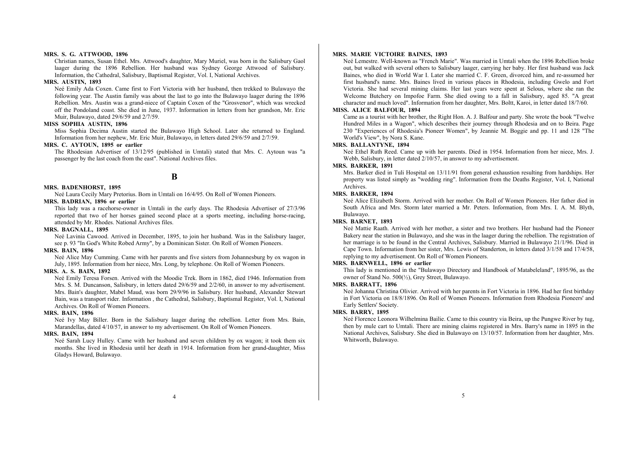#### **MRS. S. G. ATTWOOD, 1896**

Christian names, Susan Ethel. Mrs. Attwood's daughter, Mary Muriel, was born in the Salisbury Gaol laager during the 1896 Rebellion. Her husband was Sydney George Attwood of Salisbury. Information, the Cathedral, Salisbury, Baptismal Register, Vol. I, National Archives.

#### **MRS. AUSTIN, 1893**

Neé Emily Ada Coxen. Came first to Fort Victoria with her husband, then trekked to Bulawayo the following year. The Austin family was about the last to go into the Bulawayo laager during the 1896 Rebellion. Mrs. Austin was a grand-niece of Captain Coxen of the "Grosvenor", which was wrecked off the Pondoland coast. She died in June, 1937. Information in letters from her grandson, Mr. Eric Muir, Bulawayo, dated 29/6/59 and 2/7/59.

## **MISS SOPHIA AUSTIN, 1896**

Miss Sophia Decima Austin started the Bulawayo High School. Later she returned to England. Information from her nephew, Mr. Eric Muir, Bulawayo, in letters dated 29/6/59 and 2/7/59.

## **MRS. C. AYTOUN, 1895 or earlier**

The Rhodesian Advertiser of 13/12/95 (published in Umtali) stated that Mrs. C. Aytoun was "a passenger by the last coach from the east". National Archives files.

**B** 

#### **MRS. BADENHORST, 1895**

Neé Laura Cecily Mary Pretorius. Born in Umtali on 16/4/95. On Roll of Women Pioneers.

## **MRS. BADRIAN, 1896 or earlier**

This lady was a racehorse-owner in Umtali in the early days. The Rhodesia Advertiser of 27/3/96 reported that two of her horses gained second place at a sports meeting, including horse-racing, attended by Mr. Rhodes. National Archives files.

## **MRS. BAGNALL, 1895**

Neé Lavinia Cawood. Arrived in December, 1895, to join her husband. Was in the Salisbury laager, see p. 93 "In God's White Robed Army", by a Dominican Sister. On Roll of Women Pioneers.

#### **MRS. BAIN, 1896**

Neé Alice May Cumming. Came with her parents and five sisters from Johannesburg by ox wagon in July, 1895. Information from her niece, Mrs. Long, by telephone. On Roll of Women Pioneers.

## **MRS. A. S. BAIN, 1892**

Neé Emily Teresa Forsen. Arrived with the Moodie Trek. Born in 1862, died 1946. Information from Mrs. S. M. Duncanson, Salisbury, in letters dated 29/6/59 and 2/2/60, in answer to my advertisement. Mrs. Bain's daughter, Mabel Maud, was born 29/9/96 in Salisbury. Her husband, Alexander Stewart Bain, was a transport rider. Information , the Cathedral, Salisbury, Baptismal Register, Vol. I, National Archives. On Roll of Women Pioneers.

#### **MRS. BAIN, 1896**

Neé Ivy May Biller. Born in the Salisbury laager during the rebellion. Letter from Mrs. Bain, Marandellas, dated 4/10/57, in answer to my advertisement. On Roll of Women Pioneers.

#### **MRS. BAIN, 1894**

Neé Sarah Lucy Hulley. Came with her husband and seven children by ox wagon; it took them six months. She lived in Rhodesia until her death in 1914. Information from her grand-daughter, Miss Gladys Howard, Bulawayo.

#### **MRS. MARIE VICTOIRE BAINES, 1893**

Neé Lemestre. Well-known as "French Marie". Was married in Umtali when the 1896 Rebellion broke out, but walked with several others to Salisbury laager, carrying her baby. Her first husband was Jack Baines, who died in World War I. Later she married C. F. Green, divorced him, and re-assumed her first husband's name. Mrs. Baines lived in various places in Rhodesia, including Gwelo and Fort Victoria. She had several mining claims. Her last years were spent at Selous, where she ran the Welcome Butchery on Impofoe Farm. She died owing to a fall in Salisbury, aged 85. "A great character and much loved". Information from her daughter, Mrs. Boltt, Karoi, in letter dated 18/7/60.

#### **MISS. ALICE BALFOUR, 1894**

Came as a tourist with her brother, the Right Hon. A. J. Balfour and party. She wrote the book "Twelve Hundred Miles in a Wagon", which describes their journey through Rhodesia and on to Beira. Page 230 "Experiences of Rhodesia's Pioneer Women", by Jeannie M. Boggie and pp. 11 and 128 "The World's View", by Nora S. Kane.

## **MRS. BALLANTYNE, 1894**

Neé Ethel Ruth Reed. Came up with her parents. Died in 1954. Information from her niece, Mrs. J. Webb, Salisbury, in letter dated 2/10/57, in answer to my advertisement.

#### **MRS. BARKER, 1891**

Mrs. Barker died in Tuli Hospital on 13/11/91 from general exhaustion resulting from hardships. Her property was listed simply as "wedding ring". Information from the Deaths Register, Vol. I, National Archives.

#### **MRS. BARKER, 1894**

Neé Alice Elizabeth Storm. Arrived with her mother. On Roll of Women Pioneers. Her father died in South Africa and Mrs. Storm later married a Mr. Peters. Information, from Mrs. I. A. M. Blyth, Bulawayo.

#### **MRS. BARNET, 1893**

Neé Mattie Raath. Arrived with her mother, a sister and two brothers. Her husband had the Pioneer Bakery near the station in Bulawayo, and she was in the laager during the rebellion. The registration of her marriage is to be found in the Central Archives, Salisbury. Married in Bulawayo 21/1/96. Died in Cape Town. Information from her sister, Mrs. Lewis of Standerton, in letters dated 3/1/58 and 17/4/58, replying to my advertisement. On Roll of Women Pioneers.

#### **MRS. BARNWELL, 1896 or earlier**

This lady is mentioned in the "Bulawayo Directory and Handbook of Matabeleland", 1895/96, as the owner of Stand No. 500(½), Grey Street, Bulawayo.

#### **MRS. BARRATT, 1896**

Neé Johanna Christina Olivier. Arrived with her parents in Fort Victoria in 1896. Had her first birthday in Fort Victoria on 18/8/1896. On Roll of Women Pioneers. Information from Rhodesia Pioneers' and Early Settlers' Society.

## **MRS. BARRY, 1895**

Neé Florence Leonora Wilhelmina Bailie. Came to this country via Beira, up the Pungwe River by tug, then by mule cart to Umtali. There are mining claims registered in Mrs. Barry's name in 1895 in the National Archives, Salisbury. She died in Bulawayo on 13/10/57. Information from her daughter, Mrs. Whitworth, Bulawayo.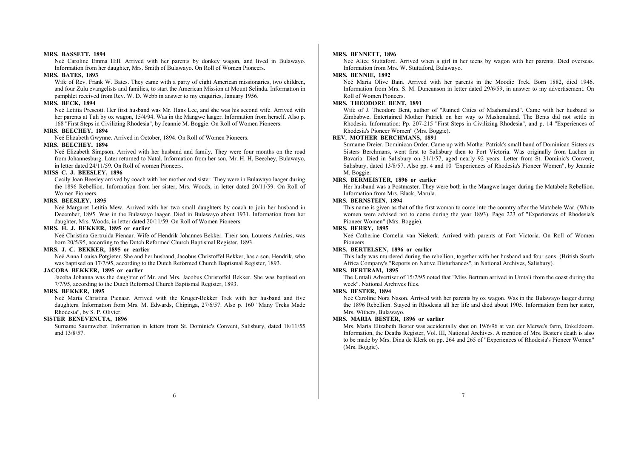#### **MRS. BASSETT, 1894**

Neé Caroline Emma Hill. Arrived with her parents by donkey wagon, and lived in Bulawayo. Information from her daughter, Mrs. Smith of Bulawayo. On Roll of Women Pioneers.

#### **MRS. BATES, 1893**

Wife of Rev. Frank W. Bates. They came with a party of eight American missionaries, two children, and four Zulu evangelists and families, to start the American Mission at Mount Selinda. Information in pamphlet received from Rev. W. D. Webb in answer to my enquiries, January 1956.

#### **MRS. BECK, 1894**

Neé Letitia Prescott. Her first husband was Mr. Hans Lee, and she was his second wife. Arrived with her parents at Tuli by ox wagon, 15/4/94. Was in the Mangwe laager. Information from herself. Also p. 168 "First Steps in Civilizing Rhodesia", by Jeannie M. Boggie. On Roll of Women Pioneers.

## **MRS. BEECHEY, 1894**

Neé Elizabeth Gwynne. Arrived in October, 1894. On Roll of Women Pioneers.

#### **MRS. BEECHEY, 1894**

Neé Elizabeth Simpson. Arrived with her husband and family. They were four months on the road from Johannesburg. Later returned to Natal. Information from her son, Mr. H. H. Beechey, Bulawayo, in letter dated 24/11/59. On Roll of women Pioneers.

## **MISS C. J. BEESLEY, 1896**

Cecily Joan Beesley arrived by coach with her mother and sister. They were in Bulawayo laager during the 1896 Rebellion. Information from her sister, Mrs. Woods, in letter dated 20/11/59. On Roll of Women Pioneers.

## **MRS. BEESLEY, 1895**

Neé Margaret Letitia Mew. Arrived with her two small daughters by coach to join her husband in December, 1895. Was in the Bulawayo laager. Died in Bulawayo about 1931. Information from her daughter, Mrs. Woods, in letter dated 20/11/59. On Roll of Women Pioneers.

## **MRS. H. J. BEKKER, 1895 or earlier**

Neé Christina Gertruida Pienaar. Wife of Hendrik Johannes Bekker. Their son, Lourens Andries, was born 20/5/95, according to the Dutch Reformed Church Baptismal Register, 1893.

## **MRS. J. C. BEKKER, 1895 or earlier**

Neé Anna Louisa Potgieter. She and her husband, Jacobus Christoffel Bekker, has a son, Hendrik, who was baptised on 17/7/95, according to the Dutch Reformed Church Baptismal Register, 1893.

## **JACOBA BEKKER, 1895 or earlier**

Jacoba Johanna was the daughter of Mr. and Mrs. Jacobus Christoffel Bekker. She was baptised on 7/7/95, according to the Dutch Reformed Church Baptismal Register, 1893.

#### **MRS. BEKKER, 1895**

Neé Maria Christina Pienaar. Arrived with the Kruger-Bekker Trek with her husband and five daughters. Information from Mrs. M. Edwards, Chipinga, 27/6/57. Also p. 160 "Many Treks Made Rhodesia", by S. P. Olivier.

## **SISTER BENEVENUTA, 1896**

Surname Saumweber. Information in letters from St. Dominic's Convent, Salisbury, dated 18/11/55 and 13/8/57.

#### **MRS. BENNETT, 1896**

Neé Alice Stuttaford. Arrived when a girl in her teens by wagon with her parents. Died overseas. Information from Mrs. W. Stuttaford, Bulawayo.

#### **MRS. BENNIE, 1892**

Neé Maria Olive Bain. Arrived with her parents in the Moodie Trek. Born 1882, died 1946. Information from Mrs. S. M. Duncanson in letter dated 29/6/59, in answer to my advertisement. On Roll of Women Pioneers.

## **MRS. THEODORE BENT, 1891**

Wife of J. Theodore Bent, author of "Ruined Cities of Mashonaland". Came with her husband to Zimbabwe. Entertained Mother Patrick on her way to Mashonaland. The Bents did not settle in Rhodesia. Information: Pp. 207-215 "First Steps in Civilizing Rhodesia", and p. 14 "Experiences of Rhodesia's Pioneer Women" (Mrs. Boggie).

## **REV. MOTHER BERCHMANS, 1891**

Surname Dreier. Dominican Order. Came up with Mother Patrick's small band of Dominican Sisters as Sisters Berchmans, went first to Salisbury then to Fort Victoria. Was originally from Lachen in Bavaria. Died in Salisbury on 31/1/57, aged nearly 92 years. Letter from St. Dominic's Convent, Salisbury, dated 13/8/57. Also pp. 4 and 10 "Experiences of Rhodesia's Pioneer Women", by Jeannie M. Boggie.

#### **MRS. BERMEISTER, 1896 or earlier**

Her husband was a Postmaster. They were both in the Mangwe laager during the Matabele Rebellion. Information from Mrs. Black, Marula.

## **MRS. BERNSTEIN, 1894**

This name is given as that of the first woman to come into the country after the Matabele War. (White women were advised not to come during the year 1893). Page 223 of "Experiences of Rhodesia's Pioneer Women" (Mrs. Boggie).

## **MRS. BERRY, 1895**

Neé Catherine Cornelia van Niekerk. Arrived with parents at Fort Victoria. On Roll of Women Pioneers.

#### **MRS. BERTELSEN, 1896 or earlier**

This lady was murdered during the rebellion, together with her husband and four sons. (British South Africa Company's "Reports on Native Disturbances", in National Archives, Salisbury).

#### **MRS. BERTRAM, 1895**

The Umtali Advertiser of 15/7/95 noted that "Miss Bertram arrived in Umtali from the coast during the week". National Archives files.

## **MRS. BESTER, 1894**

Neé Caroline Nora Nason. Arrived with her parents by ox wagon. Was in the Bulawayo laager during the 1896 Rebellion. Stayed in Rhodesia all her life and died about 1905. Information from her sister, Mrs. Withers, Bulawayo.

#### **MRS. MARIA BESTER, 1896 or earlier**

Mrs. Maria Elizabeth Bester was accidentally shot on 19/6/96 at van der Merwe's farm, Enkeldoorn. Information, the Deaths Register, Vol. III, National Archives. A mention of Mrs. Bester's death is also to be made by Mrs. Dina de Klerk on pp. 264 and 265 of "Experiences of Rhodesia's Pioneer Women" (Mrs. Boggie).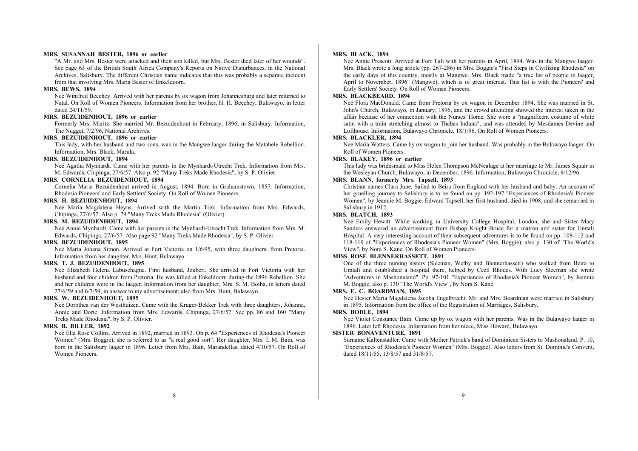## **MRS. SUSANNAH BESTER, 1896 or earlier**

"A Mr. and Mrs. Bester were attacked and their son killed, but Mrs. Bester died later of her wounds". See page 63 of the British South Africa Company's Reports on Native Disturbances, in the National Archives, Salisbury. The different Christian name indicates that this was probably a separate incident from that involving Mrs. Maria Bester of Enkeldoorn.

#### **MRS. BEWS, 1894**

Neé Winifred Beechey. Arrived with her parents by ox wagon from Johannesburg and later returned to Natal. On Roll of Women Pioneers. Information from her brother, H. H. Beechey, Bulawayo, in letter dated 24/11/59.

## **MRS. BEZUIDENHOUT, 1896 or earlier**

Formerly Mrs. Maritz. She married Mr. Bezuidenhout in February, 1896, in Salisbury. Information, The Nugget, 7/2/96, National Archives.

## **MRS. BEZUIDENHOUT, 1896 or earlier**

This lady, with her husband and two sons, was in the Mangwe laager during the Matabele Rebellion. Information, Mrs. Black, Marula.

## **MRS. BEZUIDENHOUT, 1894**

Neé Agatha Mynhardt. Came with her parents in the Mynhardt-Utrecht Trek. Information from Mrs. M. Edwards, Chipinga, 27/6/57. Also p. 92 "Many Treks Made Rhodesia", by S. P. Olivier.

## **MRS. CORNELIA BEZUIDENHOUT, 1894**

Cornelia Maria Bezuidenhout arrived in August, 1894. Born in Grahamstown, 1857. Information, Rhodesia Pioneers' and Early Settlers' Society. On Roll of Women Pioneers.

## **MRS. H. BEZUIDENHOUT, 1894**

Neé Maria Magdalena Heyns. Arrived with the Martin Trek. Information from Mrs. Edwards, Chipinga, 27/6/57. Also p. 79 "Many Treks Made Rhodesia" (Olivier).

#### **MRS. M. BEZUIDENHOUT, 1894**

Neé Annie Mynhardt. Came with her parents in the Mynhardt-Utrecht Trek. Information from Mrs. M. Edwards, Chipinga, 27/6/57. Also page 92 "Many Treks Made Rhodesia", by S. P. Olivier.

## **MRS. BEZUIDENHOUT, 1895**

Neé Maria Johana Simon. Arrived at Fort Victoria on 1/6/95, with three daughters, from Pretoria. Information from her daughter, Mrs. Hunt, Bulawayo.

#### **MRS. T. J. BEZUIDENHOUT, 1895**

Neé Elizabeth Helena Labuschagne. First husband, Joubert. She arrived in Fort Victoria with her husband and four children from Pretoria. He was killed at Enkeldoorn during the 1896 Rebellion. She and her children were in the laager. Information from her daughter, Mrs. S. M. Botha, in letters dated 27/6/59 and 6/7/59, in answer to my advertisement; also from Mrs. Hunt, Bulawayo.

## **MRS. W. BEZUIDENHOUT, 1895**

Neé Dorothea van der Westhuizen. Came with the Kruger-Bekker Trek with three daughters, Johanna, Annie and Dorie. Information from Mrs. Edwards, Chipinga, 27/6/57. See pp. 86 and 160 "Many Treks Made Rhodesia", by S. P. Olivier.

## **MRS. B. BILLER, 1892**

Neé Ella Rose Collins. Arrived in 1892, married in 1893. On p. 64 "Experiences of Rhodesia's Pioneer Women" (Mrs. Boggie), she is referred to as "a real good sort". Her daughter, Mrs. I. M. Bain, was born in the Salisbury laager in 1896. Letter from Mrs. Bain, Marandellas, dated 4/10/57. On Roll of Women Pioneers.

#### **MRS. BLACK, 1894**

Neé Annie Prescott. Arrived at Fort Tuli with her parents in April, 1894. Was in the Mangwe laager. Mrs. Black wrote a long article (pp. 267-286) in Mrs. Boggie's "First Steps in Civilizing Rhodesia" on the early days of this country, mostly at Mangwe. Mrs. Black made "a true list of people in laager, April to November, 1896" (Mangwe), which is of great interest. This list is with the Pioneers' and Early Settlers' Society. On Roll of Women Pioneers.

## **MRS. BLACKBEARD, 1894**

Neé Flora MacDonald. Came from Pretoria by ox wagon in December 1894. She was married in St. John's Church, Bulawayo, in January, 1896, and the crowd attending showed the interest taken in the affair because of her connection with the Nurses' Home. She wore a "magnificent costume of white satin with a train stretching almost to Thabas Induna", and was attended by Mesdames Devine and Lofthouse. Information, Bulawayo Chronicle, 18/1/96. On Roll of Women Pioneers.

#### **MRS. BLACKLER, 1894**

Neé Maria Watters. Came by ox wagon to join her husband. Was probably in the Bulawayo laager. On Roll of Women Pioneers.

#### **MRS. BLAKEY, 1896 or earlier**

This lady was bridesmaid to Miss Helen Thompson McNealage at her marriage to Mr. James Squair in the Wesleyan Church, Bulawayo, in December, 1896. Information, Bulawayo Chronicle, 9/12/96.

## **MRS. BLANN, formerly Mrs. Tapsell, 1893**

Christian names Clara June. Sailed to Beira from England with her husband and baby. An account of her gruelling journey to Salisbury is to be found on pp. 192-197 "Experiences of Rhodesia's Pioneer Women", by Jeannie M. Boggie. Edward Tapsell, her first husband, died in 1908, and she remarried in Salisbury in 1912.

#### **MRS. BLATCH, 1893**

Neé Emily Hewitt. While working in University College Hospital, London, she and Sister Mary Sanders answered an advertisement from Bishop Knight Bruce for a matron and sister for Umtali Hospital. A very interesting account of their subsequent adventures is to be found on pp. 108-112 and 118-119 of "Experiences of Rhodesia's Pioneer Women" (Mrs. Boggie), also p. 130 of "The World's View", by Nora S. Kane. On Roll of Women Pioneers.

#### **MISS ROSE BLENNERHASSETT, 1891**

One of the three nursing sisters (Sleeman, Welby and Blennerhassett) who walked from Beira to Umtali and established a hospital there, helped by Cecil Rhodes. With Lucy Sleeman she wrote "Adventures in Mashonaland". Pp. 97-101 "Experiences of Rhodesia's Pioneer Women", by Jeannie M. Boggie, also p. 130 "The World's View", by Nora S. Kane.

#### **MRS. E. C. BOARDMAN, 1895**

Neé Hester Maria Magdalena Jacoba Engelbrecht. Mr. and Mrs. Boardman were married in Salisbury in 1895. Information from the office of the Registration of Marriages, Salisbury.

#### **MRS. BODLE, 1894**

Neé Violet Constance Bain. Came up by ox wagon with her parents. Was in the Bulawayo laager in 1896. Later left Rhodesia. Information from her niece, Miss Howard, Bulawayo.

#### **SISTER BONAVENTURE, 1891**

Surname Kaltenstadler. Came with Mother Patrick's band of Dominican Sisters to Mashonaland. P. 10, "Experiences of Rhodesia's Pioneer Women" (Mrs. Boggie). Also letters from St. Dominic's Convent, dated 18/11/55, 13/8/57 and 31/8/57.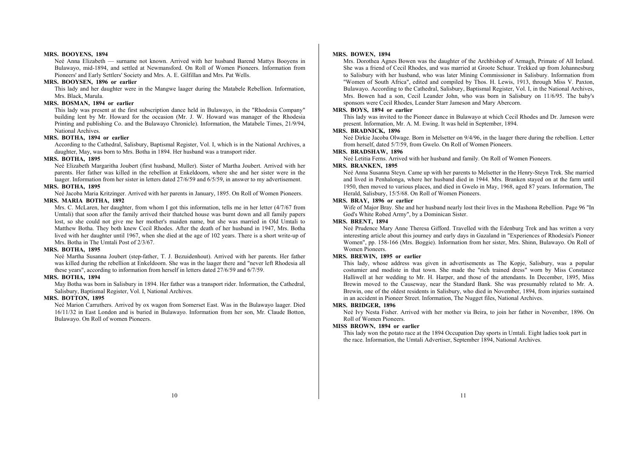#### **MRS. BOOYENS, 1894**

Neé Anna Elizabeth — surname not known. Arrived with her husband Barend Mattys Booyens in Bulawayo, mid-1894, and settled at Newmansford. On Roll of Women Pioneers. Information from Pioneers' and Early Settlers' Society and Mrs. A. E. Gilfillan and Mrs. Pat Wells.

#### **MRS. BOOYSEN, 1896 or earlier**

This lady and her daughter were in the Mangwe laager during the Matabele Rebellion. Information, Mrs. Black, Marula.

#### **MRS. BOSMAN, 1894 or earlier**

This lady was present at the first subscription dance held in Bulawayo, in the "Rhodesia Company" building lent by Mr. Howard for the occasion (Mr. J. W. Howard was manager of the Rhodesia Printing and publishing Co. and the Bulawayo Chronicle). Information, the Matabele Times, 21/9/94, National Archives.

## **MRS. BOTHA, 1894 or earlier**

According to the Cathedral, Salisbury, Baptismal Register, Vol. I, which is in the National Archives, a daughter, May, was born to Mrs. Botha in 1894. Her husband was a transport rider.

#### **MRS. BOTHA, 1895**

Neé Elizabeth Margaritha Joubert (first husband, Muller). Sister of Martha Joubert. Arrived with her parents. Her father was killed in the rebellion at Enkeldoorn, where she and her sister were in the laager. Information from her sister in letters dated 27/6/59 and 6/5/59, in answer to my advertisement.

## **MRS. BOTHA, 1895**

Neé Jacoba Maria Kritzinger. Arrived with her parents in January, 1895. On Roll of Women Pioneers. **MRS. MARIA BOTHA, 1892** 

Mrs. C. McLaren, her daughter, from whom I got this information, tells me in her letter (4/7/67 from Umtali) that soon after the family arrived their thatched house was burnt down and all family papers lost, so she could not give me her mother's maiden name, but she was married in Old Umtali to Matthew Botha. They both knew Cecil Rhodes. After the death of her husband in 1947, Mrs. Botha lived with her daughter until 1967, when she died at the age of 102 years. There is a short write-up of Mrs. Botha in The Umtali Post of 2/3/67.

#### **MRS. BOTHA, 1895**

Neé Martha Susanna Joubert (step-father, T. J. Bezuidenhout). Arrived with her parents. Her father was killed during the rebellion at Enkeldoorn. She was in the laager there and "never left Rhodesia all these years", according to information from herself in letters dated 27/6/59 and 6/7/59.

#### **MRS. BOTHA, 1894**

May Botha was born in Salisbury in 1894. Her father was a transport rider. Information, the Cathedral, Salisbury, Baptismal Register, Vol. I, National Archives.

#### **MRS. BOTTON, 1895**

Neé Marion Carruthers. Arrived by ox wagon from Somerset East. Was in the Bulawayo laager. Died 16/11/32 in East London and is buried in Bulawayo. Information from her son, Mr. Claude Botton, Bulawayo. On Roll of women Pioneers.

#### **MRS. BOWEN, 1894**

Mrs. Dorothea Agnes Bowen was the daughter of the Archbishop of Armagh, Primate of All Ireland. She was a friend of Cecil Rhodes, and was married at Groote Schuur. Trekked up from Johannesburg to Salisbury with her husband, who was later Mining Commissioner in Salisbury. Information from "Women of South Africa", edited and compiled by Thos. H. Lewis, 1913, through Miss V. Paxton, Bulawayo. According to the Cathedral, Salisbury, Baptismal Register, Vol. I, in the National Archives, Mrs. Bowen had a son, Cecil Leander John, who was born in Salisbury on 11/6/95. The baby's sponsors were Cecil Rhodes, Leander Starr Jameson and Mary Abercorn.

#### **MRS. BOYS, 1894 or earlier**

This lady was invited to the Pioneer dance in Bulawayo at which Cecil Rhodes and Dr. Jameson were present. Information, Mr. A. M. Ewing. It was held in September, 1894.

#### **MRS. BRADNICK, 1896**

Neé Dirkie Jacoba Olwage. Born in Melsetter on 9/4/96, in the laager there during the rebellion. Letter from herself, dated 5/7/59, from Gwelo. On Roll of Women Pioneers.

## **MRS. BRADSHAW, 1896**

Neé Letitia Ferns. Arrived with her husband and family. On Roll of Women Pioneers.

#### **MRS. BRANKEN, 1895**

Neé Anna Susanna Steyn. Came up with her parents to Melsetter in the Henry-Steyn Trek. She married and lived in Penhalonga, where her husband died in 1944. Mrs. Branken stayed on at the farm until 1950, then moved to various places, and died in Gwelo in May, 1968, aged 87 years. Information, The Herald, Salisbury, 15/5/68. On Roll of Women Pioneers.

## **MRS. BRAY, 1896 or earlier**

Wife of Major Bray. She and her husband nearly lost their lives in the Mashona Rebellion. Page 96 "In God's White Robed Army", by a Dominican Sister.

## **MRS. BRENT, 1894**

Neé Prudence Mary Anne Theresa Gifford. Travelled with the Edenburg Trek and has written a very interesting article about this journey and early days in Gazaland in "Experiences of Rhodesia's Pioneer Women", pp. 158-166 (Mrs. Boggie). Information from her sister, Mrs. Shinn, Bulawayo. On Roll of Women Pioneers.

## **MRS. BREWIN, 1895 or earlier**

This lady, whose address was given in advertisements as The Kopje, Salisbury, was a popular costumier and modiste in that town. She made the "rich trained dress" worn by Miss Constance Halliwell at her wedding to Mr. H. Harper, and those of the attendants. In December, 1895, Miss Brewin moved to the Causeway, near the Standard Bank. She was presumably related to Mr. A. Brewin, one of the oldest residents in Salisbury, who died in November, 1894, from injuries sustained in an accident in Pioneer Street. Information, The Nugget files, National Archives.

#### **MRS. BRIDGER, 1896**

Neé Ivy Nesta Fisher. Arrived with her mother via Beira, to join her father in November, 1896. On Roll of Women Pioneers.

#### **MISS BROWN, 1894 or earlier**

This lady won the potato race at the 1894 Occupation Day sports in Umtali. Eight ladies took part in the race. Information, the Umtali Advertiser, September 1894, National Archives.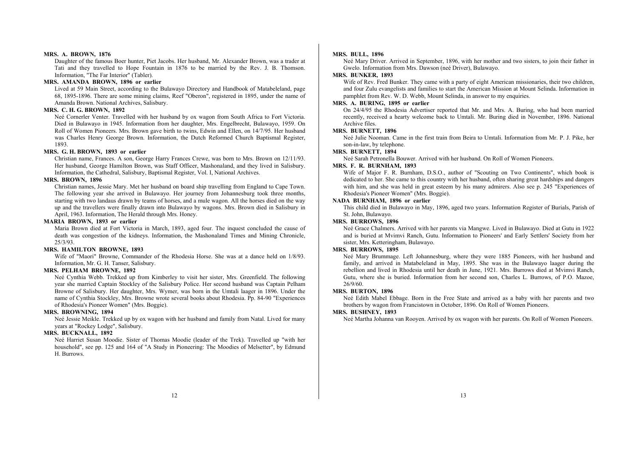#### **MRS. A. BROWN, 1876**

Daughter of the famous Boer hunter, Piet Jacobs. Her husband, Mr. Alexander Brown, was a trader at Tati and they travelled to Hope Fountain in 1876 to be married by the Rev. J. B. Thomson. Information, "The Far Interior" (Tabler).

## **MRS. AMANDA BROWN, 1896 or earlier**

Lived at 59 Main Street, according to the Bulawayo Directory and Handbook of Matabeleland, page 68, 1895-1896. There are some mining claims, Reef "Oberon", registered in 1895, under the name of Amanda Brown. National Archives, Salisbury.

#### **MRS. C. H. G. BROWN, 1892**

Neé Cornerler Venter. Travelled with her husband by ox wagon from South Africa to Fort Victoria. Died in Bulawayo in 1945. Information from her daughter, Mrs. Engelbrecht, Bulawayo, 1959. On Roll of Women Pioneers. Mrs. Brown gave birth to twins, Edwin and Ellen, on 14/7/95. Her husband was Charles Henry George Brown. Information, the Dutch Reformed Church Baptismal Register, 1893.

## **MRS. G. H. BROWN, 1893 or earlier**

Christian name, Frances. A son, George Harry Frances Crewe, was born to Mrs. Brown on 12/11/93. Her husband, George Hamilton Brown, was Staff Officer, Mashonaland, and they lived in Salisbury. Information, the Cathedral, Salisbury, Baptismal Register, Vol. I, National Archives.

#### **MRS. BROWN, 1896**

Christian names, Jessie Mary. Met her husband on board ship travelling from England to Cape Town. The following year she arrived in Bulawayo. Her journey from Johannesburg took three months, starting with two landaus drawn by teams of horses, and a mule wagon. All the horses died on the way up and the travellers were finally drawn into Bulawayo by wagons. Mrs. Brown died in Salisbury in April, 1963. Information, The Herald through Mrs. Honey.

#### **MARIA BROWN, 1893 or earlier**

Maria Brown died at Fort Victoria in March, 1893, aged four. The inquest concluded the cause of death was congestion of the kidneys. Information, the Mashonaland Times and Mining Chronicle, 25/3/93.

## **MRS. HAMILTON BROWNE, 1893**

Wife of "Maori" Browne, Commander of the Rhodesia Horse. She was at a dance held on 1/8/93. Information, Mr. G. H. Tanser, Salisbury.

## **MRS. PELHAM BROWNE, 1892**

Neé Cynthia Webb. Trekked up from Kimberley to visit her sister, Mrs. Greenfield. The following year she married Captain Stockley of the Salisbury Police. Her second husband was Captain Pelham Browne of Salisbury. Her daughter, Mrs. Wymer, was born in the Umtali laager in 1896. Under the name of Cynthia Stockley, Mrs. Browne wrote several books about Rhodesia. Pp. 84-90 "Experiences of Rhodesia's Pioneer Women" (Mrs. Boggie).

#### **MRS. BROWNING, 1894**

Neé Jessie Meikle. Trekked up by ox wagon with her husband and family from Natal. Lived for many years a<sup>t</sup>"Rockey Lodge", Salisbury.

## **MRS. BUCKNALL, 1892**

Neé Harriet Susan Moodie. Sister of Thomas Moodie (leader of the Trek). Travelled up "with her household", see pp. 125 and 164 of "A Study in Pioneering: The Moodies of Melsetter", by Edmund H. Burrows.

## **MRS. BULL, 1896**

Neé Mary Driver. Arrived in September, 1896, with her mother and two sisters, to join their father in Gwelo. Information from Mrs. Dawson (neé Driver), Bulawayo.

## **MRS. BUNKER, 1893**

Wife of Rev. Fred Bunker. They came with a party of eight American missionaries, their two children, and four Zulu evangelists and families to start the American Mission at Mount Selinda. Information in pamphlet from Rev. W. D. Webb, Mount Selinda, in answer to my enquiries.

## **MRS. A. BURING, 1895 or earlier**

On 24/4/95 the Rhodesia Advertiser reported that Mr. and Mrs. A. Buring, who had been married recently, received a hearty welcome back to Umtali. Mr. Buring died in November, 1896. National Archive files.

#### **MRS. BURNETT, 1896**

Neé Julie Nooman. Came in the first train from Beira to Umtali. Information from Mr. P. J. Pike, her son-in-law, by telephone.

#### **MRS. BURNETT, 1894**

Neé Sarah Petronella Bouwer. Arrived with her husband. On Roll of Women Pioneers.

#### **MRS. F. R. BURNHAM, 1893**

Wife of Major F. R. Burnham, D.S.O., author of "Scouting on Two Continents", which book is dedicated to her. She came to this country with her husband, often sharing great hardships and dangers with him, and she was held in great esteem by his many admirers. Also see p. 245 "Experiences of Rhodesia's Pioneer Women" (Mrs. Boggie).

## **NADA BURNHAM, 1896 or earlier**

This child died in Bulawayo in May, 1896, aged two years. Information Register of Burials, Parish of St. John, Bulawayo.

## **MRS. BURROWS, 1896**

Neé Grace Chalmers. Arrived with her parents via Mangwe. Lived in Bulawayo. Died at Gutu in 1922 and is buried at Mvimvi Ranch, Gutu. Information to Pioneers' and Early Settlers' Society from her sister, Mrs. Ketteringham, Bulawayo.

## **MRS. BURROWS, 1895**

Neé Mary Brummage. Left Johannesburg, where they were 1885 Pioneers, with her husband and family, and arrived in Matabeleland in May, 1895. She was in the Bulawayo laager during the rebellion and lived in Rhodesia until her death in June, 1921. Mrs. Burrows died at Mvimvi Ranch, Gutu, where she is buried. Information from her second son, Charles L. Burrows, of P.O. Mazoe, 26/9/60.

## **MRS. BURTON, 1896**

Neé Edith Mabel Ebbage. Born in the Free State and arrived as a baby with her parents and two brothers by wagon from Francistown in October, 1896. On Roll of Women Pioneers.

#### **MRS. BUSHNEY, 1893**

Neé Martha Johanna van Rooyen. Arrived by ox wagon with her parents. On Roll of Women Pioneers.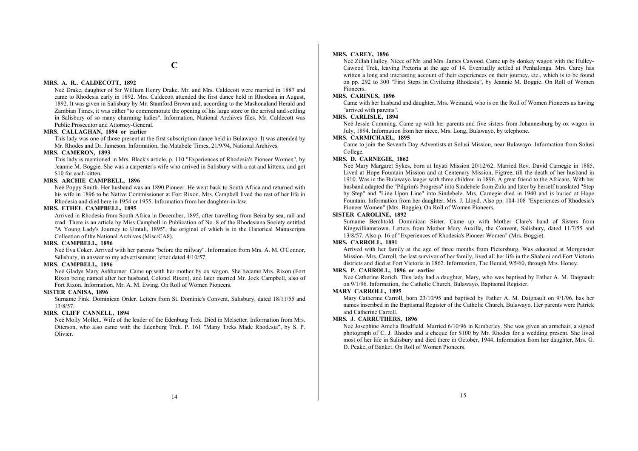## **MRS. A. R.. CALDECOTT, 1892**

Neé Drake, daughter of Sir William Henry Drake. Mr. and Mrs. Caldecott were married in 1887 and came to Rhodesia early in 1892. Mrs. Caldecott attended the first dance held in Rhodesia in August, 1892. It was given in Salisbury by Mr. Stamford Brown and, according to the Mashonaland Herald and Zambian Times, it was either "to commemorate the opening of his large store or the arrival and settling in Salisbury of so many charming ladies". Information, National Archives files. Mr. Caldecott was Public Prosecutor and Attorney-General.

#### **MRS. CALLAGHAN, 1894 or earlier**

This lady was one of those present at the first subscription dance held in Bulawayo. It was attended by Mr. Rhodes and Dr. Jameson. Information, the Matabele Times, 21/9/94, National Archives.

## **MRS. CAMERON, 1893**

This lady is mentioned in Mrs. Black's article, p. 110 "Experiences of Rhodesia's Pioneer Women", by Jeannie M. Boggie. She was a carpenter's wife who arrived in Salisbury with a cat and kittens, and got \$10 for each kitten.

## **MRS. ARCHIE CAMPBELL, 1896**

Neé Poppy Smith. Her husband was an 1890 Pioneer. He went back to South Africa and returned with his wife in 1896 to be Native Commissioner at Fort Rixon. Mrs. Campbell lived the rest of her life in Rhodesia and died here in 1954 or 1955. Information from her daughter-in-law.

## **MRS. ETHEL CAMPBELL, 1895**

Arrived in Rhodesia from South Africa in December, 1895, after travelling from Beira by sea, rail and road. There is an article by Miss Campbell in Publication of No. 8 of the Rhodesiana Society entitled "A Young Lady's Journey to Umtali, 1895", the original of which is in the Historical Manuscripts Collection of the National Archives (Misc/CA8).

#### **MRS. CAMPBELL, 1896**

Neé Eva Coker. Arrived with her parents "before the railway". Information from Mrs. A. M. O'Connor, Salisbury, in answer to my advertisement; letter dated 4/10/57.

#### **MRS. CAMPBELL, 1896**

Neé Gladys Mary Ashburner. Came up with her mother by ox wagon. She became Mrs. Rixon (Fort Rixon being named after her husband, Colonel Rixon), and later married Mr. Jock Campbell, also of Fort Rixon. Information, Mr. A. M. Ewing. On Roll of Women Pioneers.

#### **SISTER CANISA, 1896**

Surname Fink. Dominican Order. Letters from St. Dominic's Convent, Salisbury, dated 18/11/55 and 13/8/57.

## **MRS. CLIFF CANNELL, 1894**

Neé Molly Mollet.. Wife of the leader of the Edenburg Trek. Died in Melsetter. Information from Mrs. Otterson, who also came with the Edenburg Trek. P. 161 "Many Treks Made Rhodesia", by S. P. Olivier.

#### **MRS. CAREY, 1896**

Neé Zillah Hulley. Niece of Mr. and Mrs. James Cawood. Came up by donkey wagon with the Hulley-Cawood Trek, leaving Pretoria at the age of 14. Eventually settled at Penhalonga. Mrs. Carey has written a long and interesting account of their experiences on their journey, etc., which is to be found on pp. 292 to 300 "First Steps in Civilizing Rhodesia", by Jeannie M. Boggie. On Roll of Women Pioneers.

#### **MRS. CARINUS, 1896**

Came with her husband and daughter, Mrs. Weinand, who is on the Roll of Women Pioneers as having "arrived with parents".

## **MRS. CARLISLE, 1894**

Neé Jessie Cumming. Came up with her parents and five sisters from Johannesburg by ox wagon in July, 1894. Information from her niece, Mrs. Long, Bulawayo, by telephone.

## **MRS. CARMICHAEL, 1895**

Came to join the Seventh Day Adventists at Solusi Mission, near Bulawayo. Information from Solusi College.

## **MRS. D. CARNEGIE, 1862**

Neé Mary Margaret Sykes, born at Inyati Mission 20/12/62. Married Rev. David Carnegie in 1885. Lived at Hope Fountain Mission and at Centenary Mission, Figtree, till the death of her husband in 1910. Was in the Bulawayo laager with three children in 1896. A great friend to the Africans. With her husband adapted the "Pilgrim's Progress" into Sindebele from Zulu and later by herself translated "Step by Step" and "Line Upon Line" into Sindebele. Mrs. Carnegie died in 1940 and is buried at Hope Fountain. Information from her daughter, Mrs. J. Lloyd. Also pp. 104-108 "Experiences of Rhodesia's Pioneer Women" (Mrs. Boggie). On Roll of Women Pioneers.

## **SISTER CAROLINE, 1892**

Surname Berchtold. Dominican Sister. Came up with Mother Clare's band of Sisters from Kingwilliamstown. Letters from Mother Mary Auxilla, the Convent, Salisbury, dated 11/7/55 and 13/8/57. Also p. 16 of "Experiences of Rhodesia's Pioneer Women" (Mrs. Boggie).

#### **MRS. CARROLL, 1891**

Arrived with her family at the age of three months from Pietersburg. Was educated at Morgenster Mission. Mrs. Carroll, the last survivor of her family, lived all her life in the Shabani and Fort Victoria districts and died at Fort Victoria in 1862. Information, The Herald, 9/5/60, through Mrs. Honey.

#### **MRS. P. CARROLL, 1896 or earlier**

Neé Catherine Rorich. This lady had a daughter, Mary, who was baptised by Father A. M. Daignault on 9/1/96. Information, the Catholic Church, Bulawayo, Baptismal Register.

#### **MARY CARROLL, 1895**

Mary Catherine Carroll, born 23/10/95 and baptised by Father A. M. Daignault on 9/1/96, has her names inscribed in the Baptismal Register of the Catholic Church, Bulawayo. Her parents were Patrick and Catherine Carroll.

#### **MRS. J. CARRUTHERS, 1896**

Neé Josephine Amelia Bradfield. Married 6/10/96 in Kimberley. She was given an armchair, a signed photograph of C. J. Rhodes and a cheque for \$100 by Mr. Rhodes for a wedding present. She lived most of her life in Salisbury and died there in October, 1944. Information from her daughter, Mrs. G. D. Peake, of Banket. On Roll of Women Pioneers.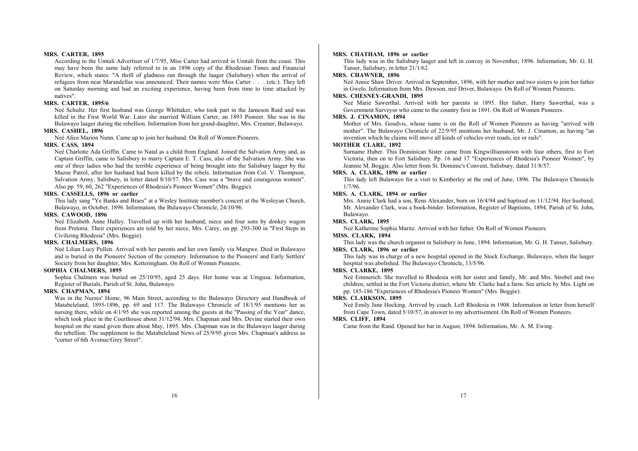#### **MRS. CARTER, 1895**

According to the Umtali Advertiser of 1/7/95, Miss Carter had arrived in Umtali from the coast. This may have been the same lady referred to in an 1896 copy of the Rhodesian Times and Financial Review, which states: "A thrill of gladness ran through the laager (Salisbury) when the arrival of refugees from near Marandellas was announced. Their names were Miss Carter . . . (etc.). They left on Saturday morning and had an exciting experience, having been from time to time attacked by natives".

## **MRS. CARTER, 1895/6**

Neé Schultz. Her first husband was George Whittaker, who took part in the Jameson Raid and was killed in the First World War. Later she married William Carter, an 1893 Pioneer. She was in the Bulawayo laager during the rebellion. Information from her grand-daughter, Mrs. Creamer, Bulawayo. **MRS. CASHEL, 1896** 

Neé Alice Marion Nunn. Came up to join her husband. On Roll of Women Pioneers.

#### **MRS. CASS, 1894**

Neé Charlotte Ada Griffin. Came to Natal as a child from England. Joined the Salvation Army and, as Captain Griffin, came to Salisbury to marry Captain E. T. Cass, also of the Salvation Army. She was one of three ladies who had the terrible experience of being brought into the Salisbury laager by the Mazoe Patrol, after her husband had been killed by the rebels. Information from Col. V. Thompson, Salvation Army, Salisbury, in letter dated 8/10/57. Mrs. Cass was a "brave and courageous women". Also pp. 59, 60, 262 "Experiences of Rhodesia's Pioneer Women" (Mrs. Boggie).

#### **MRS. CASSELLS, 1896 or earlier**

This lady sang "Ye Banks and Braes" at a Wesley Institute member's concert at the Wesleyan Church, Bulawayo, in October, 1896. Information, the Bulawayo Chronicle, 24/10/96.

## **MRS. CAWOOD, 1896**

Neé Elizabeth Anne Hulley. Travelled up with her husband, niece and four sons by donkey wagon from Pretoria. Their experiences are told by her niece, Mrs. Carey, on pp. 293-300 in "First Steps in Civilizing Rhodesia" (Mrs. Boggie).

### **MRS. CHALMERS, 1896**

Neé Lilian Lucy Pullen. Arrived with her parents and her own family via Mangwe. Died in Bulawayo and is buried in the Pioneers' Section of the cemetery. Information to the Pioneers' and Early Settlers' Society from her daughter, Mrs. Ketteringham. On Roll of Women Pioneers.

#### **SOPHIA CHALMERS, 1895**

Sophia Chalmers was buried on 25/10/95, aged 25 days. Her home was at Umgusa. Information, Register of Burials, Parish of St. John, Bulawayo.

#### **MRS. CHAPMAN, 1894**

Was in the Nurses' Home, 96 Main Street, according to the Bulawayo Directory and Handbook of Matabeleland, 1895-1896, pp. 69 and 117. The Bulawayo Chronicle of 18/1/95 mentions her as nursing there, while on 4/1/95 she was reported among the guests at the "Passing of the Year" dance, which took place in the Courthouse about 31/12/94. Mrs. Chapman and Mrs. Devine started their own hospital on the stand given them about May, 1895. Mrs. Chapman was in the Bulawayo laager during the rebellion. The supplement to the Matabeleland News of 25/9/95 gives Mrs. Chapman's address as "corner of 6th Avenue/Grey Street".

#### **MRS. CHATHAM, 1896 or earlier**

This lady was in the Salisbury laager and left in convoy in November, 1896. Information, Mr. G. H. Tanser, Salisbury, in letter 21/1/62.

## **MRS. CHAWNER, 1896**

Neé Annie Shaw Driver. Arrived in September, 1896, with her mother and two sisters to join her father in Gwelo. Information from Mrs. Dawson, neé Driver, Bulawayo. On Roll of Women Pioneers.

## **MRS. CHESNEY-GRANDI, 1895**

Neé Marie Sawerthal. Arrived with her parents in 1895. Her father, Harry Sawerthal, was a Government Surveyor who came to the country first in 1891. On Roll of Women Pioneers.

## **MRS. J. CINAMON, 1894**

Mother of Mrs. Goudvis, whose name is on the Roll of Women Pioneers as having "arrived with mother". The Bulawayo Chronicle of 22/9/95 mentions her husband, Mr. J. Cinamon, as having "an invention which he claims will move all kinds of vehicles over roads, ice or rails".

#### **MOTHER CLARE, 1892**

Surname Huber. This Dominican Sister came from Kingwilliamstown with four others, first to Fort Victoria, then on to Fort Salisbury. Pp. 16 and 17 "Experiences of Rhodesia's Pioneer Women", by Jeannie M. Boggie. Also letter from St. Dominic's Convent, Salisbury, dated 31/8/57.

## **MRS. A. CLARK, 1896 or earlier**

This lady left Bulawayo for a visit to Kimberley at the end of June, 1896. The Bulawayo Chronicle 1/7/96.

## **MRS. A. CLARK, 1894 or earlier**

Mrs. Annie Clark had a son, Rens Alexander, born on 16/4/94 and baptised on 11/12/94. Her husband, Mr. Alexander Clark, was a book-binder. Information, Register of Baptisms, 1894, Parish of St. John, Bulawayo.

## **MRS. CLARK, 1895**

Neé Katherine Sophia Maritz. Arrived with her father. On Roll of Women Pioneers.

## **MISS. CLARK, 1894**

This lady was the church organist in Salisbury in June, 1894. Information, Mr. G. H. Tanser, Salisbury.

## **MRS. CLARK, 1896 or earlier**

This lady was in charge of a new hospital opened in the Stock Exchange, Bulawayo, when the laager hospital was abolished. The Bulawayo Chronicle, 13/5/96.

## **MRS. CLARKE, 1895**

Neé Emmerich. She travelled to Rhodesia with her sister and family, Mr. and Mrs. Strobel and two children, settled in the Fort Victoria district, where Mr. Clarke had a farm. See article by Mrs. Light on pp. 185-186 "Experiences of Rhodesia's Pioneer Women" (Mrs. Boggie).

#### **MRS. CLARKSON, 1895**

Neé Emily Jane Hocking. Arrived by coach. Left Rhodesia in 1908. Information in letter from herself from Cape Town, dated 5/10/57, in answer to my advertisement. On Roll of Women Pioneers.

## **MRS. CLIFF, 1894**

Came from the Rand. Opened her bar in August, 1894. Information, Mr. A. M. Ewing.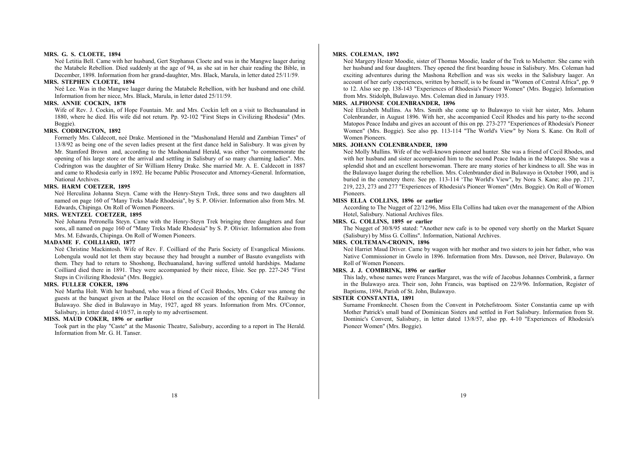#### **MRS. G. S. CLOETE, 1894**

Neé Letitia Bell. Came with her husband, Gert Stephanus Cloete and was in the Mangwe laager during the Matabele Rebellion. Died suddenly at the age of 94, as she sat in her chair reading the Bible, in December, 1898. Information from her grand-daughter, Mrs. Black, Marula, in letter dated 25/11/59.

#### **MRS. STEPHEN CLOETE, 1894**

Neé Lee. Was in the Mangwe laager during the Matabele Rebellion, with her husband and one child. Information from her niece, Mrs. Black, Marula, in letter dated 25/11/59.

#### **MRS. ANNIE COCKIN, 1878**

Wife of Rev. J. Cockin, of Hope Fountain. Mr. and Mrs. Cockin left on a visit to Bechuanaland in 1880, where he died. His wife did not return. Pp. 92-102 "First Steps in Civilizing Rhodesia" (Mrs. Boggie).

#### **MRS. CODRINGTON, 1892**

Formerly Mrs. Caldecott, neé Drake. Mentioned in the "Mashonaland Herald and Zambian Times" of 13/8/92 as being one of the seven ladies present at the first dance held in Salisbury. It was given by Mr. Stamford Brown and, according to the Mashonaland Herald, was either "to commemorate the opening of his large store or the arrival and settling in Salisbury of so many charming ladies". Mrs. Codrington was the daughter of Sir William Henry Drake. She married Mr. A. E. Caldecott in 1887 and came to Rhodesia early in 1892. He became Public Prosecutor and Attorney-General. Information, National Archives.

## **MRS. HARM COETZER, 1895**

Neé Herculina Johanna Steyn. Came with the Henry-Steyn Trek, three sons and two daughters all named on page 160 of "Many Treks Made Rhodesia", by S. P. Olivier. Information also from Mrs. M. Edwards, Chipinga. On Roll of Women Pioneers.

#### **MRS. WENTZEL COETZER, 1895**

Neé Johanna Petronella Steyn. Came with the Henry-Steyn Trek bringing three daughters and four sons, all named on page 160 of "Many Treks Made Rhodesia" by S. P. Olivier. Information also from Mrs. M. Edwards, Chipinga. On Roll of Women Pioneers.

## **MADAME F. COILLIARD, 1877**

Neé Christine Mackintosh. Wife of Rev. F. Coilliard of the Paris Society of Evangelical Missions. Lobengula would not let them stay because they had brought a number of Basuto evangelists with them. They had to return to Shoshong, Bechuanaland, having suffered untold hardships. Madame Coilliard died there in 1891. They were accompanied by their niece, Elsie. See pp. 227-245 "First Steps in Civilizing Rhodesia" (Mrs. Boggie).

## **MRS. FULLER COKER, 1896**

Neé Martha Holt. With her husband, who was a friend of Cecil Rhodes, Mrs. Coker was among the guests at the banquet given at the Palace Hotel on the occasion of the opening of the Railway in Bulawayo. She died in Bulawayo in May, 1927, aged 88 years. Information from Mrs. O'Connor, Salisbury, in letter dated 4/10/57, in reply to my advertisement.

## **MISS. MAUD COKER, 1896 or earlier**

Took part in the play "Caste" at the Masonic Theatre, Salisbury, according to a report in The Herald. Information from Mr. G. H. Tanser.

## **MRS. COLEMAN, 1892**

Neé Margery Hester Moodie, sister of Thomas Moodie, leader of the Trek to Melsetter. She came with her husband and four daughters. They opened the first boarding house in Salisbury. Mrs. Coleman had exciting adventures during the Mashona Rebellion and was six weeks in the Salisbury laager. An account of her early experiences, written by herself, is to be found in "Women of Central Africa", pp. 9 to 12. Also see pp. 138-143 "Experiences of Rhodesia's Pioneer Women" (Mrs. Boggie). Information from Mrs. Stidolph, Bulawayo. Mrs. Coleman died in January 1935.

## **MRS. ALPHONSE COLENBRANDER, 1896**

Neé Elizabeth Mullins. As Mrs. Smith she come up to Bulawayo to visit her sister, Mrs. Johann Colenbrander, in August 1896. With her, she accompanied Cecil Rhodes and his party to-the second Matopos Peace Indaba and gives an account of this on pp. 273-277 "Experiences of Rhodesia's Pioneer Women" (Mrs. Boggie). See also pp. 113-114 "The World's View" by Nora S. Kane. On Roll of Women Pioneers.

#### **MRS. JOHANN COLENBRANDER, 1890**

Neé Molly Mullins. Wife of the well-known pioneer and hunter. She was a friend of Cecil Rhodes, and with her husband and sister accompanied him to the second Peace Indaba in the Matopos. She was a splendid shot and an excellent horsewoman. There are many stories of her kindness to all. She was in the Bulawayo laager during the rebellion. Mrs. Colenbrander died in Bulawayo in October 1900, and is buried in the cemetery there. See pp. 113-114 'The World's View", by Nora S. Kane; also pp. 217, 219, 223, 273 and 277 "Experiences of Rhodesia's Pioneer Women" (Mrs. Boggie). On Roll of Women Pioneers.

## **MISS ELLA COLLINS, 1896 or earlier**

According to The Nugget of 22/12/96, Miss Ella Collins had taken over the management of the Albion Hotel, Salisbury. National Archives files.

#### **MRS. G. COLLINS, 1895 or earlier**

The Nugget of 30/8/95 stated: "Another new cafe is to be opened very shortly on the Market Square (Salisbury) by Miss G. Collins". Information, National Archives.

### **MRS. COLTEMAN-CRONIN, 1896**

Neé Harriet Maud Driver. Came by wagon with her mother and two sisters to join her father, who was Native Commissioner in Gwelo in 1896. Information from Mrs. Dawson, neé Driver, Bulawayo. On Roll of Women Pioneers.

#### **MRS. J. J. COMBRINK, 1896 or earlier**

This lady, whose names were Frances Margaret, was the wife of Jacobus Johannes Combrink, a farmer in the Bulawayo area. Their son, John Francis, was baptised on 22/9/96. Information, Register of Baptisms, 1894, Parish of St. John, Bulawayo.

#### **SISTER CONSTANTIA, 1891**

Surname Fromknecht. Chosen from the Convent in Potchefstroom. Sister Constantia came up with Mother Patrick's small band of Dominican Sisters and settled in Fort Salisbury. Information from St. Dominic's Convent, Salisbury, in letter dated 13/8/57, also pp. 4-10 "Experiences of Rhodesia's Pioneer Women" (Mrs. Boggie).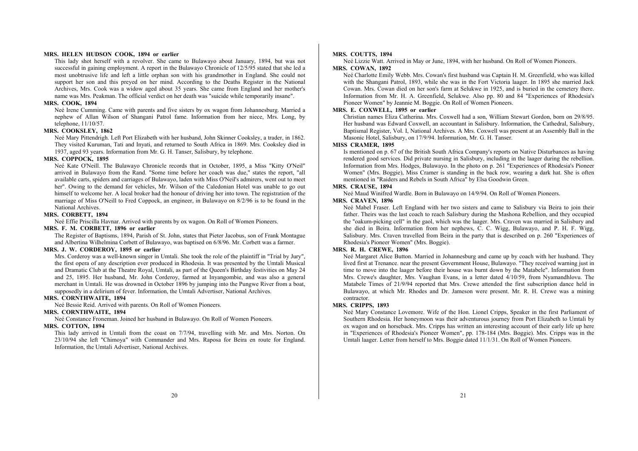#### **MRS. HELEN HUDSON COOK, 1894 or earlier**

This lady shot herself with a revolver. She came to Bulawayo about January, 1894, but was not successful in gaining employment. A report in the Bulawayo Chronicle of 12/5/95 stated that she led a most unobtrusive life and left a little orphan son with his grandmother in England. She could not support her son and this preyed on her mind. According to the Deaths Register in the National Archives, Mrs. Cook was a widow aged about 35 years. She came from England and her mother's name was Mrs. Peakman. The official verdict on her death was "suicide while temporarily insane".

#### **MRS. COOK, 1894**

Neé Irene Cumming. Came with parents and five sisters by ox wagon from Johannesburg. Married a nephew of Allan Wilson of Shangani Patrol fame. Information from her niece, Mrs. Long, by telephone, 11/10/57.

#### **MRS. COOKSLEY, 1862**

Neé Mary Pittendrigh. Left Port Elizabeth with her husband, John Skinner Cooksley, a trader, in 1862. They visited Kuruman, Tati and Inyati, and returned to South Africa in 1869. Mrs. Cooksley died in 1937, aged 93 years. Information from Mr. G. H. Tanser, Salisbury, by telephone.

#### **MRS. COPPOCK, 1895**

Neé Kate O'Neill. The Bulawayo Chronicle records that in October, 1895, a Miss "Kitty O'Neil" arrived in Bulawayo from the Rand. "Some time before her coach was due," states the report, "all available carts, spiders and carriages of Bulawayo, laden with Miss O'Neil's admirers, went out to meet her". Owing to the demand for vehicles, Mr. Wilson of the Caledonian Hotel was unable to go out himself to welcome her. A local broker had the honour of driving her into town. The registration of the marriage of Miss O'Neill to Fred Coppock, an engineer, in Bulawayo on 8/2/96 is to be found in the National Archives.

#### **MRS. CORBETT, 1894**

Neé Effie Priscilla Havnar. Arrived with parents by ox wagon. On Roll of Women Pioneers.

## **MRS. F. M. CORBETT, 1896 or earlier**

The Register of Baptisms, 1894, Parish of St. John, states that Pieter Jacobus, son of Frank Montague and Albertina Wilhelmina Corbett of Bulawayo, was baptised on 6/8/96. Mr. Corbett was a farmer.

## **MRS. J. W. CORDEROY, 1895 or earlier**

Mrs. Corderoy was a well-known singer in Umtali. She took the role of the plaintiff in "Trial by Jury", the first opera of any description ever produced in Rhodesia. It was presented by the Umtali Musical and Dramatic Club at the Theatre Royal, Umtali, as part of the Queen's Birthday festivities on May 24 and 25, 1895. Her husband, Mr. John Corderoy, farmed at Inyangombie, and was also a general merchant in Umtali. He was drowned in October 1896 by jumping into the Pungwe River from a boat, supposedly in a delirium of fever. Information, the Umtali Advertiser, National Archives.

#### **MRS. CORNTHWAITE, 1894**

Neé Bessie Reid. Arrived with parents. On Roll of Women Pioneers.

#### **MRS. CORNTHWAITE, 1894**

Neé Constance Froneman. Joined her husband in Bulawayo. On Roll of Women Pioneers.

#### **MRS. COTTON, 1894**

This lady arrived in Umtali from the coast on 7/7/94, travelling with Mr. and Mrs. Norton. On 23/10/94 she left "Chimoya" with Commander and Mrs. Raposa for Beira en route for England. Information, the Umtali Advertiser, National Archives.

## **MRS. COUTTS, 1894**

Neé Lizzie Watt. Arrived in May or June, 1894, with her husband. On Roll of Women Pioneers.

## **MRS. COWAN, 1892**

Neé Charlotte Emily Webb. Mrs. Cowan's first husband was Captain H. M. Greenfield, who was killed with the Shangani Patrol, 1893, while she was in the Fort Victoria laager. In 1895 she married Jack Cowan. Mrs. Cowan died on her son's farm at Selukwe in 1925, and is buried in the cemetery there. Information from Mr. H. A. Greenfield, Selukwe. Also pp. 80 and 84 "Experiences of Rhodesia's Pioneer Women" by Jeannie M. Boggie. On Roll of Women Pioneers.

## **MRS. E. COXWELL, 1895 or earlier**

Christian names Eliza Catherina. Mrs. Coxwell had a son, William Stewart Gordon, born on 29/8/95. Her husband was Edward Coxwell, an accountant in Salisbury. Information, the Cathedral, Salisbury, Baptismal Register, Vol. I, National Archives. A Mrs. Coxwell was present at an Assembly Ball in the Masonic Hotel, Salisbury, on 17/9/94. Information, Mr. G. H. Tanser.

#### **MISS CRAMER, 1895**

Is mentioned on p. 67 of the British South Africa Company's reports on Native Disturbances as having rendered good services. Did private nursing in Salisbury, including in the laager during the rebellion. Information from Mrs. Hodges, Bulawayo. In the photo on p. 261 "Experiences of Rhodesia's Pioneer Women" (Mrs. Boggie), Miss Cramer is standing in the back row, wearing a dark hat. She is often mentioned in "Raiders and Rebels in South Africa" by Elsa Goodwin Green.

#### **MRS. CRAUSE, 1894**

Neé Maud Winifred Wardle. Born in Bulawayo on 14/9/94. On Roll of Women Pioneers.

## **MRS. CRAVEN, 1896**

Neé Mabel Fraser. Left England with her two sisters and came to Salisbury via Beira to join their father. Theirs was the last coach to reach Salisbury during the Mashona Rebellion, and they occupied the "oakum-picking cell" in the gaol, which was the laager. Mrs. Craven was married in Salisbury and she died in Beira. Information from her nephews, C. C. Wigg, Bulawayo, and P. H. F. Wigg, Salisbury. Mrs. Craven travelled from Beira in the party that is described on p. 260 "Experiences of Rhodesia's Pioneer Women" (Mrs. Boggie).

## **MRS. R. H. CREWE, 1896**

Neé Margaret Alice Button. Married in Johannesburg and came up by coach with her husband. They lived first at Trenance. near the present Government House, Bulawayo. "They received warning just in time to move into the laager before their house was burnt down by the Matabele". Information from Mrs. Crewe's daughter, Mrs. Vaughan Evans, in a letter dated 4/10/59, from Nyamandhlovu. The Matabele Times of 21/9/94 reported that Mrs. Crewe attended the first subscription dance held in Bulawayo, at which Mr. Rhodes and Dr. Jameson were present. Mr. R. H. Crewe was a mining contractor.

#### **MRS. CRIPPS, 1893**

Neé Mary Constance Lovemore. Wife of the Hon. Lionel Cripps, Speaker in the first Parliament of Southern Rhodesia. Her honeymoon was their adventurous journey from Port Elizabeth to Umtali by ox wagon and on horseback. Mrs. Cripps has written an interesting account of their early life up here in "Experiences of Rhodesia's Pioneer Women", pp. 178-184 (Mrs. Boggie). Mrs. Cripps was in the Umtali laager. Letter from herself to Mrs. Boggie dated 11/1/31. On Roll of Women Pioneers.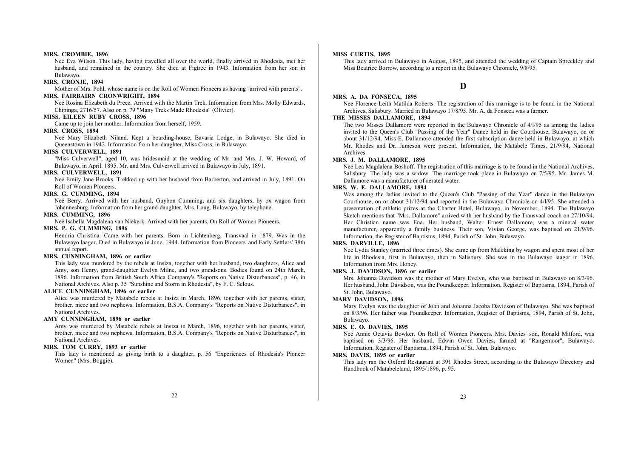#### **MRS. CROMBIE, 1896**

Neé Eva Wilson. This lady, having travelled all over the world, finally arrived in Rhodesia, met her husband, and remained in the country. She died at Figtree in 1943. Information from her son in Bulawayo.

#### **MRS. CRONJE, 1894**

Mother of Mrs. Pohl, whose name is on the Roll of Women Pioneers as having "arrived with parents".

## **MRS. FAIRBAIRN CRONWRIGHT, 1894**

Neé Rosina Elizabeth du Preez. Arrived with the Martin Trek. Information from Mrs. Molly Edwards, Chipinga, 2716/57. Also on p. 79 "Many Treks Made Rhodesia" (Olivier).

## **MISS. EILEEN RUBY CROSS, 1896**

Came up to join her mother. Information from herself, 1959.

#### **MRS. CROSS, 1894**

Neé Mary Elizabeth Niland. Kept a boarding-house, Bavaria Lodge, in Bulawayo. She died in Queenstown in 1942. Information from her daughter, Miss Cross, in Bulawayo.

## **MISS CULVERWELL, 1891**

"Miss Culverwell", aged 10, was bridesmaid at the wedding of Mr. and Mrs. J. W. Howard, of Bulawayo, in April. 1895. Mr. and Mrs. Culverwell arrived in Bulawayo in July, 1891.

## **MRS. CULVERWELL, 1891**

Neé Emily Jane Brooks. Trekked up with her husband from Barberton, and arrived in July, 1891. On Roll of Women Pioneers.

#### **MRS. G. CUMMING, 1894**

Neé Berry. Arrived with her husband, Guybon Cumming, and six daughters, by ox wagon from Johannesburg. Information from her grand-daughter, Mrs. Long, Bulawayo, by telephone.

#### **MRS. CUMMING, 1896**

Neé Isabella Magdalena van Niekerk. Arrived with her parents. On Roll of Women Pioneers.

## **MRS. P. G. CUMMING, 1896**

Hendria Christina. Came with her parents. Born in Lichtenberg, Transvaal in 1879. Was in the Bulawayo laager. Died in Bulawayo in June, 1944. Information from Pioneers' and Early Settlers' 38th annual report.

## **MRS. CUNNINGHAM, 1896 or earlier**

This lady was murdered by the rebels at Insiza, together with her husband, two daughters, Alice and Amy, son Henry, grand-daughter Evelyn Milne, and two grandsons. Bodies found on 24th March, 1896. Information from British South Africa Company's "Reports on Native Disturbances", p. 46, in National Archives. Also p. 35 "Sunshine and Storm in Rhodesia", by F. C. Selous.

#### **ALICE CUNNINGHAM, 1896 or earlier**

Alice was murdered by Matabele rebels at Insiza in March, 1896, together with her parents, sister, brother, niece and two nephews. Information, B.S.A. Company's "Reports on Native Disturbances", in National Archives.

#### **AMY CUNNINGHAM, 1896 or earlier**

Amy was murdered by Matabele rebels at Insiza in March, 1896, together with her parents, sister, brother, niece and two nephews. Information, B.S.A. Company's "Reports on Native Disturbances", in National Archives.

## **MRS. TOM CURRY, 1893 or earlier**

This lady is mentioned as giving birth to a daughter, p. 56 "Experiences of Rhodesia's Pioneer Women" (Mrs. Boggie).

## **MISS CURTIS, 1895**

This lady arrived in Bulawayo in August, 1895, and attended the wedding of Captain Spreckley and Miss Beatrice Borrow, according to a report in the Bulawayo Chronicle, 9/8/95.

## **D**

#### **MRS. A. DA FONSECA, 1895**

Neé Florence Leith Matilda Roberts. The registration of this marriage is to be found in the National Archives, Salisbury. Married in Bulawayo 17/8/95. Mr. A. da Fonseca was a farmer.

## **THE MISSES DALLAMORE, 1894**

The two Misses Dallamore were reported in the Bulawayo Chronicle of 4/l/95 as among the ladies invited to the Queen's Club "Passing of the Year" Dance held in the Courthouse, Bulawayo, on or about 31/12/94. Miss E. Dallamore attended the first subscription dance held in Bulawayo, at which Mr. Rhodes and Dr. Jameson were present. Information, the Matabele Times, 21/9/94, National Archives.

## **MRS. J. M. DALLAMORE, 1895**

Neé Lea Magdalena Boshoff. The registration of this marriage is to be found in the National Archives, Salisbury. The lady was a widow. The marriage took place in Bulawayo on 7/5/95. Mr. James M. Dallamore was a manufacturer of aerated water.

## **MRS. W. E. DALLAMORE, 1894**

Was among the ladies invited to the Queen's Club "Passing of the Year" dance in the Bulawayo Courthouse, on or about 31/12/94 and reported in the Bulawayo Chronicle on 4/l/95. She attended a presentation of athletic prizes at the Charter Hotel, Bulawayo, in November, 1894. The Bulawayo Sketch mentions that "Mrs. Dallamore" arrived with her husband by the Transvaal coach on 27/10/94. Her Christian name was Ena. Her husband, Walter Ernest Dallamore, was a mineral water manufacturer, apparently a family business. Their son, Vivian George, was baptised on 21/9/96. Information, the Register of Baptisms, 1894, Parish of St. John, Bulawayo.

#### **MRS. DARVILLE, 1896**

Neé Lydia Stanley (married three times). She came up from Mafeking by wagon and spent most of her life in Rhodesia, first in Bulawayo, then in Salisbury. She was in the Bulawayo laager in 1896. Information from Mrs. Honey.

## **MRS. J. DAVIDSON, 1896 or earlier**

Mrs. Johanna Davidson was the mother of Mary Evelyn, who was baptised in Bulawayo on 8/3/96. Her husband, John Davidson, was the Poundkeeper. Information, Register of Baptisms, 1894, Parish of St. John, Bulawayo.

#### **MARY DAVIDSON, 1896**

Mary Evelyn was the daughter of John and Johanna Jacoba Davidson of Bulawayo. She was baptised on 8/3/96. Her father was Poundkeeper. Information, Register of Baptisms, 1894, Parish of St. John, Bulawayo.

#### **MRS. E. O. DAVIES, 1895**

Neé Annie Octavia Bowker. On Roll of Women Pioneers. Mrs. Davies' son, Ronald Mitford, was baptised on 3/3/96. Her husband, Edwin Owen Davies, farmed at "Rangemoor", Bulawayo. Information, Register of Baptisms, 1894, Parish of St. John, Bulawayo.

## **MRS. DAVIS, 1895 or earlier**

This lady ran the Oxford Restaurant at 391 Rhodes Street, according to the Bulawayo Directory and Handbook of Matabeleland, 1895/1896, p. 95.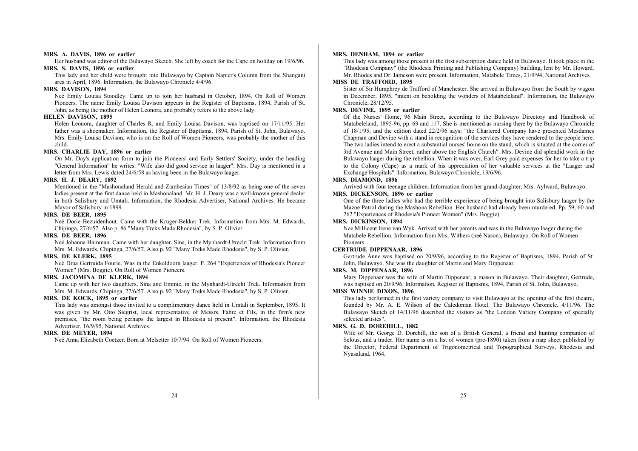#### **MRS. A. DAVIS, 1896 or earlier**

Her husband was editor of the Bulawayo Sketch. She left by coach for the Cape on holiday on 19/6/96.

## **MRS. S. DAVIS, 1896 or earlier**

This lady and her child were brought into Bulawayo by Captain Napier's Column from the Shangani area in April, 1896. Information, the Bulawayo Chronicle 4/4/96.

## **MRS. DAVISON, 1894**

Neé Emily Louisa Stoodley. Came up to join her husband in October, 1894. On Roll of Women Pioneers. The name Emily Louisa Davison appears in the Register of Baptisms, 1894, Parish of St. John, as being the mother of Helen Leonora, and probably refers to the above lady.

## **HELEN DAVISON, 1895**

Helen Leonora, daughter of Charles R. and Emily Louisa Davison, was baptised on 17/11/95. Her father was a shoemaker. Information, the Register of Baptisms, 1894, Parish of St. John, Bulawayo. Mrs. Emily Louisa Davison, who is on the Roll of Women Pioneers, was probably the mother of this child.

## **MRS. CHARLIE DAY, 1896 or earlier**

On Mr. Day's application form to join the Pioneers' and Early Settlers' Society, under the heading "General Information" he writes: "Wife also did good service in laager". Mrs. Day is mentioned in a letter from Mrs. Lewis dated 24/6/58 as having been in the Bulawayo laager.

## **MRS. H. J. DEARY, 1892**

Mentioned in the "Mashonaland Herald and Zambesian Times" of 13/8/92 as being one of the seven ladies present at the first dance held in Mashonaland. Mr. H. J. Deary was a well-known general dealer in both Salisbury and Umtali. Information, the Rhodesia Advertiser, National Archives. He became Mayor of Salisbury in 1899.

#### **MRS. DE BEER, 1895**

Neé Dorie Bezuidenhout. Came with the Kruger-Bekker Trek. Information from Mrs. M. Edwards, Chipinga, 27/6/57. Also p. 86 "Many Treks Made Rhodesia", by S. P. Olivier.

## **MRS. DE BEER, 1896**

Neé Johanna Hamman. Came with her daughter, Sina, in the Mynhardt-Utrecht Trek. Information from Mrs. M. Edwards, Chipinga, 27/6/57. Also p. 92 "Many Treks Made Rhodesia", by S. P. Olivier.

## **MRS. DE KLERK, 1895**

Neé Dina Gertruida Fourie. Was in the Enkeldoorn laager. P. 264 "Experiences of Rhodesia's Pioneer Women" (Mrs. Boggie). On Roll of Women Pioneers.

## **MRS. JACOMINA DE KLERK, 1894**

Came up with her two daughters, Sina and Emmie, in the Mynhardt-Utrecht Trek. Information from Mrs. M. Edwards, Chipinga, 27/6/57. Also p. 92 "Many Treks Made Rhodesia", by S. P. Olivier.

## **MRS. DE KOCK, 1895 or earlier**

This lady was amongst those invited to a complimentary dance held in Umtali in September, 1895. It was given by Mr. Otto Siegrist, local representative of Messrs. Fabre et Fils, in the firm's new premises, "the room being perhaps the largest in Rhodesia at present". Information, the Rhodesia Advertiser, 16/9/95, National Archives.

## **MRS. DE MEYER, 1894**

Neé Anna Elizabeth Coetzer. Born at Melsetter 10/7/94. On Roll of Women Pioneers.

## **MRS. DENHAM, 1894 or earlier**

This lady was among those present at the first subscription dance held in Bulawayo. It took place in the "Rhodesia Company" (the Rhodesia Printing and Publishing Company) building, lent by Mr. Howard. Mr. Rhodes and Dr. Jameson were present. Information, Matabele Times, 21/9/94, National Archives.

## **MISS DE TRAFFORD, 1895**

Sister of Sir Humphrey de Trafford of Manchester. She arrived in Bulawayo from the South by wagon in December, 1895, "intent on beholding the wonders of Matabeleland". Information, the Bulawayo Chronicle, 28/12/95.

#### **MRS. DEVINE, 1895 or earlier**

Of the Nurses' Home, 96 Main Street, according to the Bulawayo Directory and Handbook of Matabeleland, 1895-96, pp. 69 and 117. She is mentioned as nursing there by the Bulawayo Chronicle of 18/1/95, and the edition dated 22/2/96 says: "the Chartered Company have presented Mesdames Chapman and Devine with a stand in recognition of the services they have rendered to the people here. The two ladies intend to erect a substantial nurses' home on the stand, which is situated at the corner of 3rd Avenue and Main Street, rather above the English Church". Mrs. Devine did splendid work in the Bulawayo laager during the rebellion. When it was over, Earl Grey paid expenses for her to take a trip to the Colony (Cape) as a mark of his appreciation of her valuable services at the "Laager and Exchange Hospitals". Information, Bulawayo Chronicle, 13/6/96.

## **MRS. DIAMOND, 1896**

Arrived with four teenage children. Information from her grand-daughter, Mrs. Aylward, Bulawayo.

## **MRS. DICKENSON, 1896 or earlier**

One of the three ladies who had the terrible experience of being brought into Salisbury laager by the Mazoe Patrol during the Mashona Rebellion. Her husband had already been murdered. Pp. 59, 60 and 262 "Experiences of Rhodesia's Pioneer Women" (Mrs. Boggie).

#### **MRS. DICKINSON, 1894**

Neé Millicent Irene van Wyk. Arrived with her parents and was in the Bulawayo laager during the Matabele Rebellion. Information from Mrs. Withers (neé Nason), Bulawayo. On Roll of Women Pioneers.

## **GERTRUDE DIPPENAAR, 1896**

Gertrude Anne was baptised on 20/9/96, according to the Register of Baptisms, 1894, Parish of St. John, Bulawayo. She was the daughter of Martin and Mary Dippenaar.

## **MRS. M. DIPPENAAR, 1896**

Mary Dippenaar was the wife of Martin Dippenaar, a mason in Bulawayo. Their daughter, Gertrude, was baptised on 20/9/96. Information, Register of Baptisms, 1894, Parish of St. John, Bulawayo.

## **MISS WINNIE DIXON, 1896**

This lady performed in the first variety company to visit Bulawayo at the opening of the first theatre, founded by Mr. A. E. Wilson of the Caledonian Hotel. The Bulawayo Chronicle, 4/11/96. The Bulawayo Sketch of 14/11/96 described the visitors as "the London Variety Company of specially selected artistes".

## **MRS. G. D. DOREHILL, 1882**

Wife of Mr. George D. Dorehill, the son of a British General, a friend and hunting companion of Selous, and a trader. Her name is on a list of women (pre-1890) taken from a map sheet published by the Director, Federal Department of Trigonometrical and Topographical Surveys, Rhodesia and Nyasaland, 1964.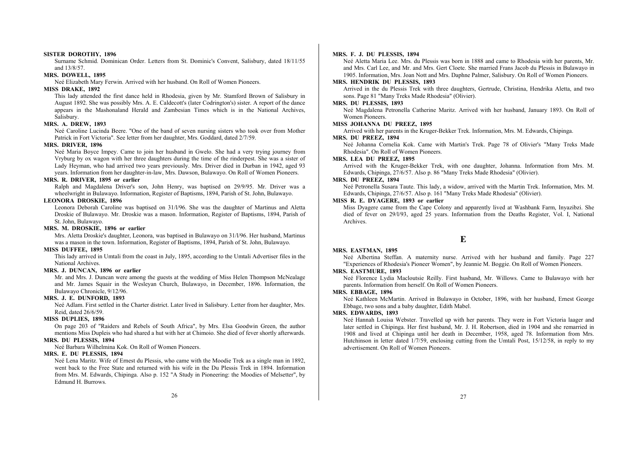#### **SISTER DOROTHY, 1896**

Surname Schmid. Dominican Order. Letters from St. Dominic's Convent, Salisbury, dated 18/11/55 and 13/8/57.

#### **MRS. DOWELL, 1895**

Neé Elizabeth Mary Ferwin. Arrived with her husband. On Roll of Women Pioneers.

## **MISS DRAKE, 1892**

This lady attended the first dance held in Rhodesia, given by Mr. Stamford Brown of Salisbury in August 1892. She was possibly Mrs. A. E. Caldecott's (later Codrington's) sister. A report of the dance appears in the Mashonaland Herald and Zambesian Times which is in the National Archives, Salisbury.

## **MRS. A. DREW, 1893**

Neé Caroline Lucinda Beere. "One of the band of seven nursing sisters who took over from Mother Patrick in Fort Victoria". See letter from her daughter, Mrs. Goddard, dated 2/7/59.

#### **MRS. DRIVER, 1896**

Neé Maria Boyce Impey. Came to join her husband in Gwelo. She had a very trying journey from Vryburg by ox wagon with her three daughters during the time of the rinderpest. She was a sister of Lady Heyman, who had arrived two years previously. Mrs. Driver died in Durban in 1942, aged 93 years. Information from her daughter-in-law, Mrs. Dawson, Bulawayo. On Roll of Women Pioneers.

## **MRS. R. DRIVER, 1895 or earlier**

Ralph and Magdalena Driver's son, John Henry, was baptised on 29/9/95. Mr. Driver was a wheelwright in Bulawayo. Information, Register of Baptisms, 1894, Parish of St. John, Bulawayo.

#### **LEONORA DROSKIE, 1896**

Leonora Deborah Caroline was baptised on 31/l/96. She was the daughter of Martinus and Aletta Droskie of Bulawayo. Mr. Droskie was a mason. Information, Register of Baptisms, 1894, Parish of St. John, Bulawayo.

## **MRS. M. DROSKIE, 1896 or earlier**

Mrs. Aletta Droskie's daughter, Leonora, was baptised in Bulawayo on 31/l/96. Her husband, Martinus was a mason in the town. Information, Register of Baptisms, 1894, Parish of St. John, Bulawayo.

#### **MISS DUFFEE, 1895**

This lady arrived in Umtali from the coast in July, 1895, according to the Umtali Advertiser files in the National Archives.

## **MRS. J. DUNCAN, 1896 or earlier**

Mr. and Mrs. J. Duncan were among the guests at the wedding of Miss Helen Thompson McNealage and Mr. James Squair in the Wesleyan Church, Bulawayo, in December, 1896. Information, the Bulawayo Chronicle, 9/12/96.

#### **MRS. J. E. DUNFORD, 1893**

Neé Adlam. First settled in the Charter district. Later lived in Salisbury. Letter from her daughter, Mrs. Reid, dated 26/6/59.

## **MISS DUPLIES, 1896**

On page 203 of "Raiders and Rebels of South Africa", by Mrs. Elsa Goodwin Green, the author mentions Miss Dupleis who had shared a hut with her at Chimoio. She died of fever shortly afterwards. **MRS. DU PLESSIS, 1894** 

Neé Barbara Wilhelmina Kok. On Roll of Women Pioneers.

#### **MRS. E. DU PLESSIS, 1894**

Neé Lena Maritz. Wife of Ernest du Plessis, who came with the Moodie Trek as a single man in 1892, went back to the Free State and returned with his wife in the Du Plessis Trek in 1894. Information from Mrs. M. Edwards, Chipinga. Also p. 152 "A Study in Pioneering: the Moodies of Melsetter", by Edmund H. Burrows.

#### **MRS. F. J. DU PLESSIS, 1894**

Neé Aletta Maria Lee. Mrs. du Plessis was born in 1888 and came to Rhodesia with her parents, Mr. and Mrs. Carl Lee, and Mr. and Mrs. Gert Cloete. She married Frans Jacob du Plessis in Bulawayo in 1905. Information, Mrs. Joan Nott and Mrs. Daphne Palmer, Salisbury. On Roll of Women Pioneers.

## **MRS. HENDRIK DU PLESSIS, 1893**

Arrived in the du Plessis Trek with three daughters, Gertrude, Christina, Hendrika Aletta, and two sons. Page 81 "Many Treks Made Rhodesia" (Olivier).

#### **MRS. DU PLESSIS, 1893**

Neé Magdalena Petronella Catherine Maritz. Arrived with her husband, January 1893. On Roll of Women Pioneers.

#### **MISS JOHANNA DU PREEZ, 1895**

Arrived with her parents in the Kruger-Bekker Trek. Information, Mrs. M. Edwards, Chipinga.

#### **MRS. DU PREEZ, 1894**

Neé Johanna Cornelia Kok. Came with Martin's Trek. Page 78 of Olivier's "Many Treks Made Rhodesia". On Roll of Women Pioneers.

#### **MRS. LEA DU PREEZ, 1895**

Arrived with the Kruger-Bekker Trek, with one daughter, Johanna. Information from Mrs. M. Edwards, Chipinga, 27/6/57. Also p. 86 "Many Treks Made Rhodesia" (Olivier).

## **MRS. DU PREEZ, 1894**

Neé Petronella Susara Taute. This lady, a widow, arrived with the Martin Trek. Information, Mrs. M. Edwards, Chipinga, 27/6/57. Also p. 161 "Many Treks Made Rhodesia" (Olivier).

#### **MISS R. E. DYAGERE, 1893 or earlier**

Miss Dyagere came from the Cape Colony and apparently lived at Washbank Farm, Inyazibzi. She died of fever on 29/l/93, aged 25 years. Information from the Deaths Register, Vol. I, National Archives.

## **E**

#### **MRS. EASTMAN, 1895**

Neé Albertina Steffan. A maternity nurse. Arrived with her husband and family. Page 227 "Experiences of Rhodesia's Pioneer Women", by Jeannie M. Boggie. On Roll of Women Pioneers.

#### **MRS. EASTMURE, 1893**

Neé Florence Lydia Macloutsie Reilly. First husband, Mr. Willows. Came to Bulawayo with her parents. Information from herself. On Roll of Women Pioneers.

## **MRS. EBBAGE, 1896**

Neé Kathleen McMartin. Arrived in Bulawayo in October, 1896, with her husband, Ernest George Ebbage, two sons and a baby daughter, Edith Mabel.

## **MRS. EDWARDS, 1893**

Neé Hannah Louisa Webster. Travelled up with her parents. They were in Fort Victoria laager and later settled in Chipinga. Her first husband, Mr. J. H. Robertson, died in 1904 and she remarried in 1908 and lived at Chipinga until her death in December, 1958, aged 78. Information from Mrs. Hutchinson in letter dated 1/7/59, enclosing cutting from the Umtali Post, 15/12/58, in reply to my advertisement. On Roll of Women Pioneers.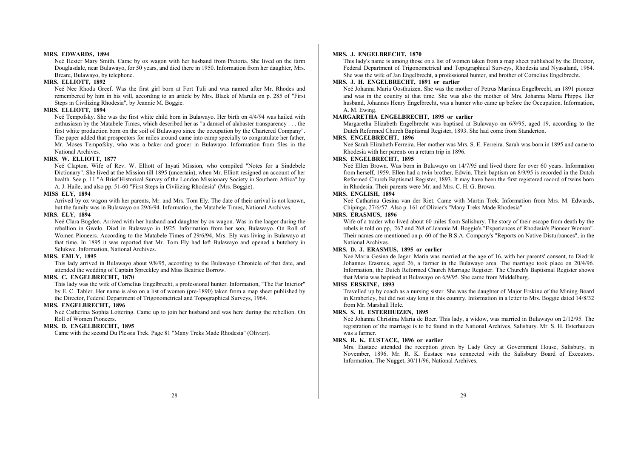#### **MRS. EDWARDS, 1894**

Neé Hester Mary Smith. Came by ox wagon with her husband from Pretoria. She lived on the farm Douglasdale, near Bulawayo, for 50 years, and died there in 1950. Information from her daughter, Mrs. Breare, Bulawayo, by telephone.

#### **MRS. ELLIOTT, 1892**

Neé Nee Rhoda Greef. Was the first girl born at Fort Tuli and was named after Mr. Rhodes and remembered by him in his will, according to an article by Mrs. Black of Marula on p. 285 of "First Steps in Civilizing Rhodesia", by Jeannie M. Boggie.

## **MRS. ELLIOTT, 1894**

Neé Tempofsky. She was the first white child born in Bulawayo. Her birth on 4/4/94 was hailed with enthusiasm by the Matabele Times, which described her as "a damsel of alabaster transparency . . . the first white production born on the soil of Bulawayo since the occupation by the Chartered Company". The paper added that prospectors for miles around came into camp specially to congratulate her father, Mr. Moses Tempofsky, who was a baker and grocer in Bulawayo. Information from files in the National Archives.

## **MRS. W. ELLIOTT, 1877**

Neé Clapton. Wife of Rev. W. Elliott of Inyati Mission, who compiled "Notes for a Sindebele Dictionary". She lived at the Mission till 1895 (uncertain), when Mr. Elliott resigned on account of her health. See p. 11 "A Brief Historical Survey of the London Missionary Society in Southern Africa" by A. J. Haile, and also pp. 51-60 "First Steps in Civilizing Rhodesia" (Mrs. Boggie).

#### **MISS ELY, 1894**

Arrived by ox wagon with her parents, Mr. and Mrs. Tom Ely. The date of their arrival is not known, but the family was in Bulawayo on 29/6/94. Information, the Matabele Times, National Archives.

#### **MRS. ELY, 1894**

Neé Clara Bugden. Arrived with her husband and daughter by ox wagon. Was in the laager during the rebellion in Gwelo. Died in Bulawayo in 1925. Information from her son, Bulawayo. On Roll of Women Pioneers. According to the Matabele Times of 29/6/94, Mrs. Ely was living in Bulawayo at that time. In 1895 it was reported that Mr. Tom Ely had left Bulawayo and opened a butchery in Selukwe. Information, National Archives.

## **MRS. EMLY, 1895**

This lady arrived in Bulawayo about 9/8/95, according to the Bulawayo Chronicle of that date, and attended the wedding of Captain Spreckley and Miss Beatrice Borrow.

## **MRS. C. ENGELBRECHT, 1870**

This lady was the wife of Cornelius Engelbrecht, a professional hunter. Information, "The Far Interior" by E. C. Tabler. Her name is also on a list of women (pre-1890) taken from a map sheet published by the Director, Federal Department of Trigonometrical and Topographical Surveys, 1964.

## **MRS. ENGELBRECHT, 1896**

Neé Catherina Sophia Lottering. Came up to join her husband and was here during the rebellion. On Roll of Women Pioneers.

## **MRS. D. ENGELBRECHT, 1895**

Came with the second Du Plessis Trek. Page 81 "Many Treks Made Rhodesia" (Olivier).

## **MRS. J. ENGELBRECHT, 1870**

This lady's name is among those on a list of women taken from a map sheet published by the Director, Federal Department of Trigonometrical and Topographical Surveys, Rhodesia and Nyasaland, 1964. She was the wife of Jan Engelbrecht, a professional hunter, and brother of Cornelius Engelbrecht.

## **MRS. J. H. ENGELBRECHT, 1891 or earlier**

Neé Johanna Maria Oosthuizen. She was the mother of Petrus Martinus Engelbrecht, an 1891 pioneer and was in the country at that time. She was also the mother of Mrs. Johanna Maria Phipps. Her husband, Johannes Henry Engelbrecht, was a hunter who came up before the Occupation. Information, A. M. Ewing.

## **MARGARETHA ENGELBRECHT, 1895 or earlier**

Margaretha Elizabeth Engelbrecht was baptised at Bulawayo on 6/9/95, aged 19, according to the Dutch Reformed Church Baptismal Register, 1893. She had come from Standerton.

## **MRS. ENGELBRECHT, 1896**

Neé Sarah Elizabeth Ferreira. Her mother was Mrs. S. E. Ferreira. Sarah was born in 1895 and came to Rhodesia with her parents on a return trip in 1896.

#### **MRS. ENGELBRECHT, 1895**

Neé Ellen Brown. Was born in Bulawayo on 14/7/95 and lived there for over 60 years. Information from herself, 1959. Ellen had a twin brother, Edwin. Their baptism on 8/9/95 is recorded in the Dutch Reformed Church Baptismal Register, 1893. It may have been the first registered record of twins born in Rhodesia. Their parents were Mr. and Mrs. C. H. G. Brown.

#### **MRS. ENGLISH, 1894**

Neé Catharina Gesina van der Riet. Came with Martin Trek. Information from Mrs. M. Edwards, Chipinga, 27/6/57. Also p. 161 of Olivier's "Many Treks Made Rhodesia".

#### **MRS. ERASMUS, 1896**

Wife of a trader who lived about 60 miles from Salisbury. The story of their escape from death by the rebels is told on pp,. 267 and 268 of Jeannie M. Boggie's "Experiences of Rhodesia's Pioneer Women". Their names are mentioned on p. 60 of the B.S.A. Company's "Reports on Native Disturbances", in the National Archives.

## **MRS. D. J. ERASMUS, 1895 or earlier**

Neé Maria Gesina de Jager. Maria was married at the age of 16, with her parents' consent, to Diedrik Johannes Erasmus, aged 26, a farmer in the Bulawayo area. The marriage took place on 20/4/96. Information, the Dutch Reformed Church Marriage Register. The Church's Baptismal Register shows that Maria was baptised at Bulawayo on 6/9/95. She came from Middelburg.

## **MISS ERSKINE, 1893**

Travelled up by coach as a nursing sister. She was the daughter of Major Erskine of the Mining Board in Kimberley, but did not stay long in this country. Information in a letter to Mrs. Boggie dated 14/8/32 from Mr. Marshall Hole.

#### **MRS. S. H. ESTERHUIZEN, 1895**

Neé Johanna Christina Maria de Beer. This lady, a widow, was married in Bulawayo on 2/12/95. The registration of the marriage is to be found in the National Archives, Salisbury. Mr. S. H. Esterhuizen was a farmer.

## **MRS. R. K. EUSTACE, 1896 or earlier**

Mrs. Eustace attended the reception given by Lady Grey at Government House, Salisbury, in November, 1896. Mr. R. K. Eustace was connected with the Salisbury Board of Executors. Information, The Nugget, 30/11/96, National Archives.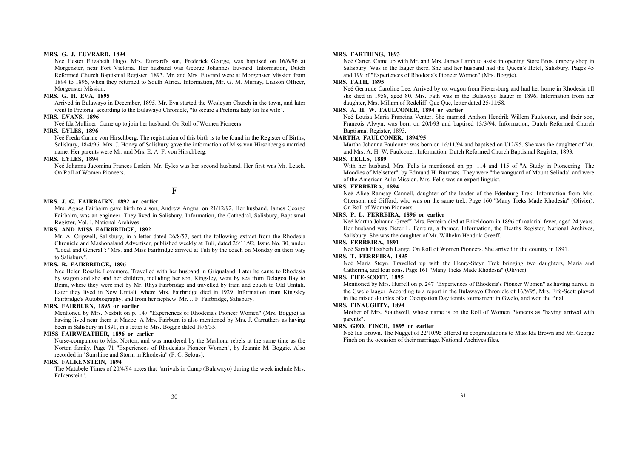#### **MRS. G. J. EUVRARD, 1894**

Neé Hester Elizabeth Hugo. Mrs. Euvrard's son, Frederick George, was baptised on 16/6/96 at Morgenster, near Fort Victoria. Her husband was George Johannes Euvrard. Information, Dutch Reformed Church Baptismal Register, 1893. Mr. and Mrs. Euvrard were at Morgenster Mission from 1894 to 1896, when they returned to South Africa. Information, Mr. G. M. Murray, Liaison Officer, Morgenster Mission.

## **MRS. G. H. EVA, 1895**

Arrived in Bulawayo in December, 1895. Mr. Eva started the Wesleyan Church in the town, and later went to Pretoria, according to the Bulawayo Chronicle, "to secure a Pretoria lady for his wife".

#### **MRS. EVANS, 1896**

Neé Ida Mulliner. Came up to join her husband. On Roll of Women Pioneers.

#### **MRS. EYLES, 1896**

Neé Freda Carine von Hirschberg. The registration of this birth is to be found in the Register of Births, Salisbury, 18/4/96. Mrs. J. Honey of Salisbury gave the information of Miss von Hirschberg's married name. Her parents were Mr. and Mrs. E. A. F. von Hirschberg.

#### **MRS. EYLES, 1894**

Neé Johanna Jacomina Frances Larkin. Mr. Eyles was her second husband. Her first was Mr. Leach. On Roll of Women Pioneers.

## **F**

#### **MRS. J. G. FAIRBAIRN, 1892 or earlier**

Mrs. Agnes Fairbairn gave birth to a son, Andrew Angus, on 21/12/92. Her husband, James George Fairbairn, was an engineer. They lived in Salisbury. Information, the Cathedral, Salisbury, Baptismal Register, Vol. I, National Archives.

## **MRS. AND MISS FAIRBRIDGE, 1892**

Mr. A. Cripwell, Salisbury, in a letter dated 26/8/57, sent the following extract from the Rhodesia Chronicle and Mashonaland Advertiser, published weekly at Tuli, dated 26/11/92, Issue No. 30, under "Local and General": "Mrs. and Miss Fairbridge arrived at Tuli by the coach on Monday on their way to Salisbury".

## **MRS. R. FAIRBRIDGE, 1896**

Neé Helen Rosalie Lovemore. Travelled with her husband in Griqualand. Later he came to Rhodesia by wagon and she and her children, including her son, Kingsley, went by sea from Delagoa Bay to Beira, where they were met by Mr. Rhys Fairbridge and travelled by train and coach to Old Umtali. Later they lived in New Umtali, where Mrs. Fairbridge died in 1929. Information from Kingsley Fairbridge's Autobiography, and from her nephew, Mr. J. F. Fairbridge, Salisbury.

## **MRS. FAIRBURN, 1893 or earlier**

Mentioned by Mrs. Nesbitt on p. 147 "Experiences of Rhodesia's Pioneer Women" (Mrs. Boggie) as having lived near them at Mazoe. A Mrs. Fairburn is also mentioned by Mrs. J. Carruthers as having been in Salisbury in 1891, in a letter to Mrs. Boggie dated 19/6/35.

## **MISS FAIRWEATHER, 1896 or earlier**

Nurse-companion to Mrs. Norton, and was murdered by the Mashona rebels at the same time as the Norton family. Page 71 "Experiences of Rhodesia's Pioneer Women", by Jeannie M. Boggie. Also recorded in "Sunshine and Storm in Rhodesia" (F. C. Selous).

## **MRS. FALKENSTEIN, 1894**

The Matabele Times of 20/4/94 notes that "arrivals in Camp (Bulawayo) during the week include Mrs. Falkenstein".

#### **MRS. FARTHING, 1893**

Neé Carter. Came up with Mr. and Mrs. James Lamb to assist in opening Store Bros. drapery shop in Salisbury. Was in the laager there. She and her husband had the Queen's Hotel, Salisbury. Pages 45 and 199 of "Experiences of Rhodesia's Pioneer Women" (Mrs. Boggie).

## **MRS. FATH, 1895**

Neé Gertrude Caroline Lee. Arrived by ox wagon from Pietersburg and had her home in Rhodesia till she died in 1958, aged 80. Mrs. Fath was in the Bulawayo laager in 1896. Information from her daughter, Mrs. Millam of Redcliff, Que Que, letter dated 25/11/58.

#### **MRS. A. H. W. FAULCONER, 1894 or earlier**

Neé Louisa Maria Francina Venter. She married Anthon Hendrik Willem Faulconer, and their son, Francois Alwyn, was born on 20/l/93 and baptised 13/3/94. Information, Dutch Reformed Church Baptismal Register, 1893.

#### **MARTHA FAULCONER, 1894/95**

Martha Johanna Faulconer was born on 16/11/94 and baptised on l/12/95. She was the daughter of Mr. and Mrs. A. H. W. Faulconer. Information, Dutch Reformed Church Baptismal Register, 1893.

#### **MRS. FELLS, 1889**

With her husband, Mrs. Fells is mentioned on pp. 114 and 115 of "A Study in Pioneering: The Moodies of Melsetter", by Edmund H. Burrows. They were "the vanguard of Mount Selinda" and were of the American Zulu Mission. Mrs. Fells was an expert linguist.

#### **MRS. FERREIRA, 1894**

Neé Alice Ramsay Cannell, daughter of the leader of the Edenburg Trek. Information from Mrs. Otterson, neé Gifford, who was on the same trek. Page 160 "Many Treks Made Rhodesia" (Olivier). On Roll of Women Pioneers.

## **MRS. P. L. FERREIRA, 1896 or earlier**

Neé Martha Johanna Greeff. Mrs. Ferreira died at Enkeldoorn in 1896 of malarial fever, aged 24 years. Her husband was Pieter L. Ferreira, a farmer. Information, the Deaths Register, National Archives, Salisbury. She was the daughter of Mr. Wilhelm Hendrik Greeff.

## **MRS. FERREIRA, 1891**

Neé Sarah Elizabeth Lange. On Roll of Women Pioneers. She arrived in the country in 1891.

#### **MRS. T. FERREIRA, 1895**

Neé Maria Steyn. Travelled up with the Henry-Steyn Trek bringing two daughters, Maria and Catherina, and four sons. Page 161 "Many Treks Made Rhodesia" (Olivier).

#### **MRS. FIFE-SCOTT, 1895**

Mentioned by Mrs. Hurrell on p. 247 "Experiences of Rhodesia's Pioneer Women" as having nursed in the Gwelo laager. According to a report in the Bulawayo Chronicle of 16/9/95, Mrs. Fife-Scott played in the mixed doubles of an Occupation Day tennis tournament in Gwelo, and won the final.

#### **MRS. FINAUGHTY, 1894**

Mother of Mrs. Southwell, whose name is on the Roll of Women Pioneers as "having arrived with parents".

## **MRS. GEO. FINCH, 1895 or earlier**

Neé Ida Brown. The Nugget of 22/10/95 offered its congratulations to Miss Ida Brown and Mr. George Finch on the occasion of their marriage. National Archives files.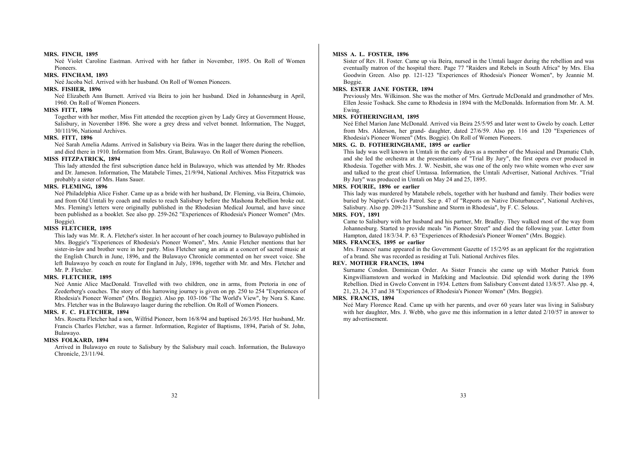#### **MRS. FINCH, 1895**

Neé Violet Caroline Eastman. Arrived with her father in November, 1895. On Roll of Women Pioneers.

## **MRS. FINCHAM, 1893**

Neé Jacoba Nel. Arrived with her husband. On Roll of Women Pioneers.

## **MRS. FISHER, 1896**

Neé Elizabeth Ann Burnett. Arrived via Beira to join her husband. Died in Johannesburg in April, 1960. On Roll of Women Pioneers.

#### **MISS FITT, 1896**

Together with her mother, Miss Fitt attended the reception given by Lady Grey at Government House, Salisbury, in November 1896. She wore a grey dress and velvet bonnet. Information, The Nugget, 30/11l/96, National Archives.

## **MRS. FITT, 1896**

Neé Sarah Amelia Adams. Arrived in Salisbury via Beira. Was in the laager there during the rebellion, and died there in 1910. Information from Mrs. Grant, Bulawayo. On Roll of Women Pioneers.

## **MISS FITZPATRICK, 1894**

This lady attended the first subscription dance held in Bulawayo, which was attended by Mr. Rhodes and Dr. Jameson. Information, The Matabele Times, 21/9/94, National Archives. Miss Fitzpatrick was probably a sister of Mrs. Hans Sauer.

## **MRS. FLEMING, 1896**

Neé Philadelphia Alice Fisher. Came up as a bride with her husband, Dr. Fleming, via Beira, Chimoio, and from Old Umtali by coach and mules to reach Salisbury before the Mashona Rebellion broke out. Mrs. Fleming's letters were originally published in the Rhodesian Medical Journal, and have since been published as a booklet. See also pp. 259-262 "Experiences of Rhodesia's Pioneer Women" (Mrs. Boggie).

## **MISS FLETCHER, 1895**

This lady was Mr. R. A. Fletcher's sister. In her account of her coach journey to Bulawayo published in Mrs. Boggie's "Experiences of Rhodesia's Pioneer Women", Mrs. Annie Fletcher mentions that her sister-in-law and brother were in her party. Miss Fletcher sang an aria at a concert of sacred music at the English Church in June, 1896, and the Bulawayo Chronicle commented on her sweet voice. She left Bulawayo by coach en route for England in July, 1896, together with Mr. and Mrs. Fletcher and Mr. P. Fletcher.

#### **MRS. FLETCHER, 1895**

Neé Annie Alice MacDonald. Travelled with two children, one in arms, from Pretoria in one of Zeederberg's coaches. The story of this harrowing journey is given on pp. 250 to 254 "Experiences of Rhodesia's Pioneer Women" (Mrs. Boggie). Also pp. 103-106 'The World's View", by Nora S. Kane. Mrs. Fletcher was in the Bulawayo laager during the rebellion. On Roll of Women Pioneers.

## **MRS. F. C. FLETCHER, 1894**

Mrs. Rosetta Fletcher had a son, Wilfrid Pioneer, born 16/8/94 and baptised 26/3/95. Her husband, Mr. Francis Charles Fletcher, was a farmer. Information, Register of Baptisms, 1894, Parish of St. John, Bulawayo.

## **MISS FOLKARD, 1894**

Arrived in Bulawayo en route to Salisbury by the Salisbury mail coach. Information, the Bulawayo Chronicle, 23/11/94.

#### **MISS A. L. FOSTER, 1896**

Sister of Rev. H. Foster. Came up via Beira, nursed in the Umtali laager during the rebellion and was eventually matron of the hospital there. Page 77 "Raiders and Rebels in South Africa" by Mrs. Elsa Goodwin Green. Also pp. 121-123 "Experiences of Rhodesia's Pioneer Women", by Jeannie M. Boggie.

## **MRS. ESTER JANE FOSTER, 1894**

Previously Mrs. Wilkinson. She was the mother of Mrs. Gertrude McDonald and grandmother of Mrs. Ellen Jessie Toshack. She came to Rhodesia in 1894 with the McDonalds. Information from Mr. A. M. Ewing.

## **MRS. FOTHERINGHAM, 1895**

Neé Ethel Marion Jane McDonald. Arrived via Beira 25/5/95 and later went to Gwelo by coach. Letter from Mrs. Alderson, her grand- daughter, dated 27/6/59. Also pp. 116 and 120 "Experiences of Rhodesia's Pioneer Women" (Mrs. Boggie). On Roll of Women Pioneers.

## **MRS. G. D. FOTHERINGHAME, 1895 or earlier**

This lady was well known in Umtali in the early days as a member of the Musical and Dramatic Club, and she led the orchestra at the presentations of "Trial By Jury", the first opera ever produced in Rhodesia. Together with Mrs. J. W. Nesbitt, she was one of the only two white women who ever saw and talked to the great chief Umtassa. Information, the Umtali Advertiser, National Archives. "Trial By Jury" was produced in Umtali on May 24 and 25, 1895.

## **MRS. FOURIE, 1896 or earlier**

This lady was murdered by Matabele rebels, together with her husband and family. Their bodies were buried by Napier's Gwelo Patrol. See p. 47 of "Reports on Native Disturbances", National Archives, Salisbury. Also pp. 209-213 "Sunshine and Storm in Rhodesia", by F. C. Selous.

## **MRS. FOY, 1891**

Came to Salisbury with her husband and his partner, Mr. Bradley. They walked most of the way from Johannesburg. Started to provide meals "in Pioneer Street" and died the following year. Letter from Hampton, dated 18/3/34. P. 63 "Experiences of Rhodesia's Pioneer Women" (Mrs. Boggie).

### **MRS. FRANCES, 1895 or earlier**

Mrs. Frances' name appeared in the Government Gazette of 15/2/95 as an applicant for the registration of a brand. She was recorded as residing at Tuli. National Archives files.

#### **REV. MOTHER FRANCIS, 1894**

Surname Condon. Dominican Order. As Sister Francis she came up with Mother Patrick from Kingwilliamstown and worked in Mafeking and Macloutsie. Did splendid work during the 1896 Rebellion. Died in Gwelo Convent in 1934. Letters from Salisbury Convent dated 13/8/57. Also pp. 4, 21, 23, 24, 37 and 38 "Experiences of Rhodesia's Pioneer Women" (Mrs. Boggie).

#### **MRS. FRANCIS, 1894**

Neé Mary Florence Read. Came up with her parents, and over 60 years later was living in Salisbury with her daughter, Mrs. J. Webb, who gave me this information in a letter dated  $2/10/57$  in answer to my advertisement.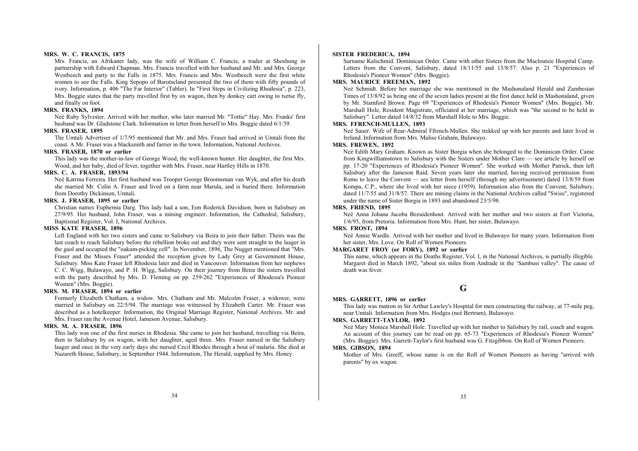#### **MRS. W. C. FRANCIS, 1875**

Mrs. Francis, an Afrikaner lady, was the wife of William C. Francis, a trader at Shoshong in partnership with Edward Chapman. Mrs. Francis travelled with her husband and Mr. and Mrs. George Westbeech and party to the Falls in 1875. Mrs. Francis and Mrs. Westbeech were the first white women to see the Falls. King Sepopo of Barotseland presented the two of them with fifty pounds of ivory. Information, p. 406 "The Far Interior" (Tabler). In "First Steps in Civilizing Rhodesia", p. 223, Mrs. Boggie states that the party travelled first by ox wagon, then by donkey cart owing to tsetse fly, and finally on foot.

#### **MRS. FRANKS, 1894**

Neé Ruby Sylvester. Arrived with her mother, who later married Mr. "Tottie" Hay. Mrs. Franks' first husband was Dr. Gladstone Clark. Information in letter from herself to Mrs. Boggie dated 6/1/39.

#### **MRS. FRASER, 1895**

The Umtali Advertiser of 1/7/95 mentioned that Mr. and Mrs. Fraser had arrived in Umtali from the coast. A Mr. Fraser was a blacksmith and farrier in the town. Information, National Archives.

## **MRS. FRASER, 1870 or earlier**

This lady was the mother-in-law of George Wood, the well-known hunter. Her daughter, the first Mrs. Wood, and her baby, died of fever, together with Mrs. Fraser, near Hartley Hills in 1870.

## **MRS. C. A. FRASER, 1893/94**

Neé Katrina Ferreira. Her first husband was Trooper George Broomsman van Wyk, and after his death she married Mr. Colin A. Fraser and lived on a farm near Marula, and is buried there. Information from Dorothy Dickinson, Umtali.

## **MRS. J. FRASER, 1895 or earlier**

Christian names Euphemia Darg. This lady had a son, Eon Roderick Davidson, born in Salisbury on 27/9/95. Her husband, John Fraser, was a mining engineer. Information, the Cathedral, Salisbury, Baptismal Register, Vol. I, National Archives.

## **MISS KATE FRASER, 1896**

Left England with her two sisters and came to Salisbury via Beira to join their father. Theirs was the last coach to reach Salisbury before the rebellion broke out and they were sent straight to the laager in the gaol and occupied the "oakum-picking cell". In November, 1896, The Nugget mentioned that "Mrs. Fraser and the Misses Fraser" attended the reception given by Lady Grey at Government House, Salisbury. Miss Kate Fraser left Rhodesia later and died in Vancouver. Information from her nephews C. C. Wigg, Bulawayo, and P. H. Wigg, Salisbury. On their journey from Beira the sisters travelled with the party described by Mrs. D. Fleming on pp. 259-262 "Experiences of Rhodesia's Pioneer Women" (Mrs. Boggie).

#### **MRS. M. FRASER, 1894 or earlier**

Formerly Elizabeth Chatham, a widow. Mrs. Chatham and Mr. Malcolm Fraser, a widower, were married in Salisbury on 22/5/94. The marriage was witnessed by Elizabeth Carter. Mr. Fraser was described as a hotelkeeper. Information, the Original Marriage Register, National Archives. Mr. and Mrs. Fraser ran the Avenue Hotel, Jameson Avenue, Salisbury.

#### **MRS. M. A. FRASER, 1896**

This lady was one of the first nurses in Rhodesia. She came to join her husband, travelling via Beira, then to Salisbury by ox wagon, with her daughter, aged three. Mrs. Fraser nursed in the Salisbury laager and once in the very early days she nursed Cecil Rhodes through a bout of malaria. She died at Nazareth House, Salisbury, in September 1944. Information, The Herald, supplied by Mrs. Honey.

#### **SISTER FREDERICA, 1894**

Surname Kalschmid. Dominican Order. Came with other Sisters from the Macloutsie Hospital Camp. Letters from the Convent, Salisbury, dated  $18/11/55$  and  $13/8/57$ . Also p. 21 "Experiences of Rhodesia's Pioneer Women" (Mrs. Boggie).

## **MRS. MAURICE FREEMAN, 1892**

Neé Schmidt. Before her marriage she was mentioned in the Mashonaland Herald and Zambesian Times of 13/8/92 as being one of the seven ladies present at the first dance held in Mashonaland, given by Mr. Stamford Brown. Page 69 "Experiences of Rhodesia's Pioneer Women" (Mrs. Boggie). Mr. Marshall Hole, Resident Magistrate, officiated at her marriage, which was "the second to be held in Salisbury". Letter dated 14/8/32 from Marshall Hole to Mrs. Boggie.

## **MRS. FFRENCH-MULLEN, 1893**

Neé Sauer. Wife of Rear-Admiral Ffrench-Mullen. She trekked up with her parents and later lived in Ireland. Information from Mrs. Malise Graham, Bulawayo.

## **MRS. FREWEN, 1892**

Neé Edith Mary Graham. Known as Sister Borgia when she belonged to the Dominican Order. Came from Kingwilliamstown to Salisbury with the Sisters under Mother Clare — see article by herself on pp. 17-20 "Experiences of Rhodesia's Pioneer Women". She worked with Mother Patrick, then left Salisbury after the Jameson Raid. Seven years later she married, having received permission from Rome to leave the Convent — see letter from herself (through my advertisement) dated 13/8/59 from Kompa, C.P., where she lived with her niece (1959). Information also from the Convent, Salisbury, dated 11/7/55 and 31/8/57. There are mining claims in the National Archives called "Swiss", registered under the name of Sister Borgia in 1893 and abandoned 23/5/98.

#### **MRS. FRIEND, 1895**

Neé Anna Johana Jacoba Bezuidenhout. Arrived with her mother and two sisters at Fort Victoria, 1/6/95, from Pretoria. Information from Mrs. Hunt, her sister, Bulawayo.

#### **MRS. FROST, 1894**

Neé Annie Wardle. Arrived with her mother and lived in Bulawayo for many years. Information from her sister, Mrs. Love. On Roll of Women Pioneers.

## **MARGARET FROY (or FORY), 1892 or earlier**

This name, which appears in the Deaths Register, Vol. I, in the National Archives, is partially illegible. Margaret died in March 1892, "about six miles from Andrade in the 'Sambusi valley". The cause of death was fever.

## **G**

#### **MRS. GARRETT, 1896 or earlier**

This lady was matron in Sir Arthur Lawley's Hospital for men constructing the railway, at 77-mile peg, near Umtali. Information from Mrs. Hodges (neé Bertram), Bulawayo.

#### **MRS. GARRETT-TAYLOR, 1892**

Neé Mary Monica Marshall Hole. Travelled up with her mother to Salisbury by rail, coach and wagon. An account of this journey can be read on pp. 65-73 "Experiences of Rhodesia's Pioneer Women" (Mrs. Boggie). Mrs. Garrett-Taylor's first husband was G. Fitzgibbon. On Roll of Women Pioneers.

#### **MRS. GIBSON, 1894**

Mother of Mrs. Greeff, whose name is on the Roll of Women Pioneers as having "arrived with parents" by ox wagon.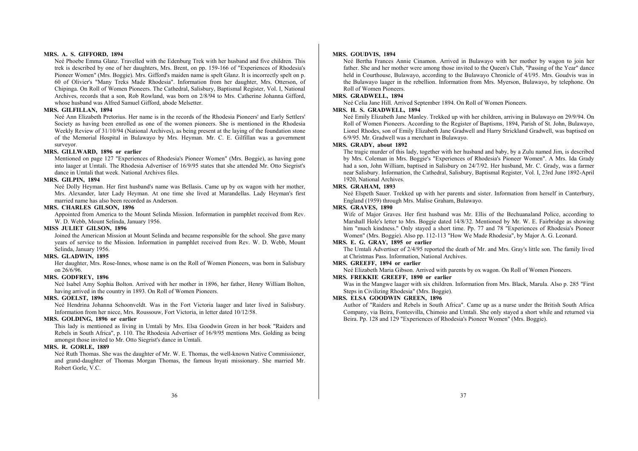#### **MRS. A. S. GIFFORD, 1894**

Neé Phoebe Emma Glanz. Travelled with the Edenburg Trek with her husband and five children. This trek is described by one of her daughters, Mrs. Brent, on pp. 159-166 of "Experiences of Rhodesia's Pioneer Women" (Mrs. Boggie). Mrs. Gifford's maiden name is spelt Glanz. It is incorrectly spelt on p. 60 of Olivier's "Many Treks Made Rhodesia". Information from her daughter, Mrs. Otterson, of Chipinga. On Roll of Women Pioneers. The Cathedral, Salisbury, Baptismal Register, Vol. I, National Archives, records that a son, Rob Rowland, was born on 2/8/94 to Mrs. Catherine Johanna Gifford, whose husband was Alfred Samuel Gifford, abode Melsetter.

#### **MRS. GILFILLAN, 1894**

Neé Ann Elizabeth Pretorius. Her name is in the records of the Rhodesia Pioneers' and Early Settlers' Society as having been enrolled as one of the women pioneers. She is mentioned in the Rhodesia Weekly Review of 31/10/94 (National Archives), as being present at the laying of the foundation stone of the Memorial Hospital in Bulawayo by Mrs. Heyman. Mr. C. E. Gilfillan was a government surveyor.

## **MRS. GILLWARD, 1896 or earlier**

Mentioned on page 127 "Experiences of Rhodesia's Pioneer Women" (Mrs. Boggie), as having gone into laager at Umtali. The Rhodesia Advertiser of 16/9/95 states that she attended Mr. Otto Siegrist's dance in Umtali that week. National Archives files.

## **MRS. GILPIN, 1894**

Neé Dolly Heyman. Her first husband's name was Bellasis. Came up by ox wagon with her mother, Mrs. Alexander, later Lady Heyman. At one time she lived at Marandellas. Lady Heyman's first married name has also been recorded as Anderson.

## **MRS. CHARLES GILSON, 1896**

Appointed from America to the Mount Selinda Mission. Information in pamphlet received from Rev. W. D. Webb, Mount Selinda, January 1956.

#### **MISS JULIET GILSON, 1896**

Joined the American Mission at Mount Selinda and became responsible for the school. She gave many years of service to the Mission. Information in pamphlet received from Rev. W. D. Webb, Mount Selinda, January 1956.

## **MRS. GLADWIN, 1895**

Her daughter, Mrs. Rose-Innes, whose name is on the Roll of Women Pioneers, was born in Salisbury on 26/6/96.

#### **MRS. GODFREY, 1896**

Neé Isabel Amy Sophia Bolton. Arrived with her mother in 1896, her father, Henry William Bolton, having arrived in the country in 1893. On Roll of Women Pioneers.

#### **MRS. GOELST, 1896**

Neé Hendrina Johanna Schoonveldt. Was in the Fort Victoria laager and later lived in Salisbury. Information from her niece, Mrs. Roussouw, Fort Victoria, in letter dated 10/12/58.

## **MRS. GOLDING, 1896 or earlier**

This lady is mentioned as living in Umtali by Mrs. Elsa Goodwin Green in her book "Raiders and Rebels in South Africa", p. 110. The Rhodesia Advertiser of 16/9/95 mentions Mrs. Golding as being amongst those invited to Mr. Otto Siegrist's dance in Umtali.

## **MRS. R. GORLE, 1889**

Neé Ruth Thomas. She was the daughter of Mr. W. E. Thomas, the well-known Native Commissioner, and grand-daughter of Thomas Morgan Thomas, the famous Inyati missionary. She married Mr. Robert Gorle, V.C.

#### **MRS. GOUDVIS, 1894**

Neé Bertha Frances Annie Cinamon. Arrived in Bulawayo with her mother by wagon to join her father. She and her mother were among those invited to the Queen's Club, "Passing of the Year" dance held in Courthouse, Bulawayo, according to the Bulawayo Chronicle of  $4/1/95$ . Mrs. Goudvis was in the Bulawayo laager in the rebellion. Information from Mrs. Myerson, Bulawayo, by telephone. On Roll of Women Pioneers.

## **MRS. GRADWELL, 1894**

Neé Celia Jane Hill. Arrived September 1894. On Roll of Women Pioneers.

#### **MRS. H. S. GRADWELL, 1894**

Neé Emily Elizabeth Jane Manley. Trekked up with her children, arriving in Bulawayo on 29/9/94. On Roll of Women Pioneers. According to the Register of Baptisms, 1894, Parish of St. John, Bulawayo, Lionel Rhodes, son of Emily Elizabeth Jane Gradwell and Harry Strickland Gradwell, was baptised on 6/9/95. Mr. Gradwell was a merchant in Bulawayo.

## **MRS. GRADY, about 1892**

The tragic murder of this lady, together with her husband and baby, by a Zulu named Jim, is described by Mrs. Coleman in Mrs. Boggie's "Experiences of Rhodesia's Pioneer Women". A Mrs. Ida Grady had a son, John William, baptised in Salisbury on 24/7/92. Her husband, Mr. C. Grady, was a farmer near Salisbury. Information, the Cathedral, Salisbury, Baptismal Register, Vol. I, 23rd June 1892-April 1920, National Archives.

## **MRS. GRAHAM, 1893**

Neé Elspeth Sauer. Trekked up with her parents and sister. Information from herself in Canterbury, England (1959) through Mrs. Malise Graham, Bulawayo.

## **MRS. GRAVES, 1890**

Wife of Major Graves. Her first husband was Mr. Ellis of the Bechuanaland Police, according to Marshall Hole's letter to Mrs. Boggie dated 14/8/32. Mentioned by Mr. W. E. Fairbridge as showing him "much kindness." Only stayed a short time. Pp. 77 and 78 "Experiences of Rhodesia's Pioneer Women" (Mrs. Boggie). Also pp. 112-113 "How We Made Rhodesia", by Major A. G. Leonard.

### **MRS. E. G. GRAY, 1895 or earlier**

The Umtali Advertiser of 2/4/95 reported the death of Mr. and Mrs. Gray's little son. The family lived at Christmas Pass. Information, National Archives.

#### **MRS. GREEFF, 1894 or earlier**

Neé Elizabeth Maria Gibson. Arrived with parents by ox wagon. On Roll of Women Pioneers.

## **MRS. FREKKIE GREEFF, 1890 or earlier**

Was in the Mangwe laager with six children. Information from Mrs. Black, Marula. Also p. 285 "First Steps in Civilizing Rhodesia" (Mrs. Boggie).

#### **MRS. ELSA GOODWIN GREEN, 1896**

Author of "Raiders and Rebels in South Africa". Came up as a nurse under the British South Africa Company, via Beira, Fontesvilla, Chimoio and Umtali. She only stayed a short while and returned via Beira. Pp. 128 and 129 "Experiences of Rhodesia's Pioneer Women" (Mrs. Boggie).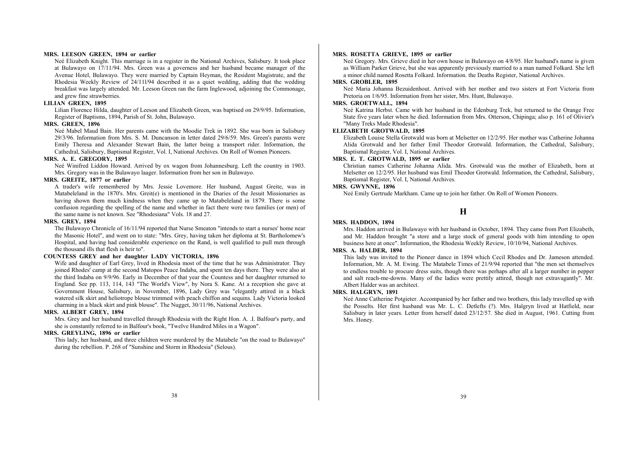#### **MRS. LEESON GREEN, 1894 or earlier**

Neé Elizabeth Knight. This marriage is in a register in the National Archives, Salisbury. It took place at Bulawayo on 17/11/94. Mrs. Green was a governess and her husband became manager of the Avenue Hotel, Bulawayo. They were married by Captain Heyman, the Resident Magistrate, and the Rhodesia Weekly Review of 24/11l/94 described it as a quiet wedding, adding that the wedding breakfast was largely attended. Mr. Leeson Green ran the farm Inglewood, adjoining the Commonage, and grew fine strawberries.

## **LILIAN GREEN, 1895**

Lilian Florence Hilda, daughter of Leeson and Elizabeth Green, was baptised on 29/9/95. Information, Register of Baptisms, 1894, Parish of St. John, Bulawayo.

## **MRS. GREEN, 1896**

Neé Mabel Maud Bain. Her parents came with the Moodie Trek in 1892. She was born in Salisbury 29/3/96. Information from Mrs. S. M. Duncanson in letter dated 29/6/59. Mrs. Green's parents were Emily Theresa and Alexander Stewart Bain, the latter being a transport rider. Information, the Cathedral, Salisbury, Baptismal Register, Vol. I, National Archives. On Roll of Women Pioneers.

#### **MRS. A. E. GREGORY, 1895**

Neé Winifred Liddon Howard. Arrived by ox wagon from Johannesburg. Left the country in 1903. Mrs. Gregory was in the Bulawayo laager. Information from her son in Bulawayo.

## **MRS. GREITE, 1877 or earlier**

A trader's wife remembered by Mrs. Jessie Lovemore. Her husband, August Greite, was in Matabeleland in the 1870's. Mrs. Greit(e) is mentioned in the Diaries of the Jesuit Missionaries as having shown them much kindness when they came up to Matabeleland in 1879. There is some confusion regarding the spelling of the name and whether in fact there were two families (or men) of the same name is not known. See "Rhodesiana" Vols. 18 and 27.

#### **MRS. GREY, 1894**

The Bulawayo Chronicle of 16/11/94 reported that Nurse Smeaton "intends to start a nurses' home near the Masonic Hotel", and went on to state: "Mrs. Grey, having taken her diploma at St. Bartholomew's Hospital, and having had considerable experience on the Rand, is well qualified to pull men through the thousand ills that flesh is heir to".

## **COUNTESS GREY and her daughter LADY VICTORIA, 1896**

Wife and daughter of Earl Grey, lived in Rhodesia most of the time that he was Administrator. They joined Rhodes' camp at the second Matopos Peace Indaba, and spent ten days there. They were also at the third Indaba on 9/9/96. Early in December of that year the Countess and her daughter returned to England. See pp. 113, 114, 143 "The World's View", by Nora S. Kane. At a reception she gave at Government House, Salisbury, in November, 1896, Lady Grey was "elegantly attired in a black watered silk skirt and heliotrope blouse trimmed with peach chiffon and sequins. Lady Victoria looked charming in a black skirt and pink blouse". The Nugget, 30/11/96, National Archives.

## **MRS. ALBERT GREY, 1894**

Mrs. Grey and her husband travelled through Rhodesia with the Right Hon. A. .I. Balfour's party, and she is constantly referred to in Balfour's book, "Twelve Hundred Miles in a Wagon".

## **MRS. GREYLING, 1896 or earlier**

This lady, her husband, and three children were murdered by the Matabele "on the road to Bulawayo" during the rebellion. P. 268 of "Sunshine and Storm in Rhodesia" (Selous).

#### **MRS. ROSETTA GRIEVE, 1895 or earlier**

Neé Gregory. Mrs. Grieve died in her own house in Bulawayo on 4/8/95. Her husband's name is given as William Parker Grieve, but she was apparently previously married to a man named Folkard. She left a minor child named Rosetta Folkard. Information. the Deaths Register, National Archives.

## **MRS. GROBLER, 1895**

Neé Maria Johanna Bezuidenhout. Arrived with her mother and two sisters at Fort Victoria from Pretoria on 1/6/95. Information from her sister, Mrs. Hunt, Bulawayo.

## **MRS. GROETWALL, 1894**

Neé Katrina Herbst. Came with her husband in the Edenburg Trek, but returned to the Orange Free State five years later when he died. Information from Mrs. Otterson, Chipinga; also p. 161 of Olivier's "Many Treks Made Rhodesia".

#### **ELIZABETH GROTWALD, 1895**

Elizabeth Louise Stella Grotwald was born at Melsetter on 12/2/95. Her mother was Catherine Johanna Alida Grotwald and her father Emil Theodor Grotwald. Information, the Cathedral, Salisbury, Baptismal Register, Vol. I, National Archives.

#### **MRS. E. T. GROTWALD, 1895 or earlier**

Christian names Catherine Johanna Alida. Mrs. Grotwald was the mother of Elizabeth, born at Melsetter on 12/2/95. Her husband was Emil Theodor Grotwald. Information, the Cathedral, Salisbury, Baptismal Register, Vol. I, National Archives.

## **MRS. GWYNNE, 1896**

Neé Emily Gertrude Markham. Came up to join her father. On Roll of Women Pioneers.

## **H**

#### **MRS. HADDON, 1894**

Mrs. Haddon arrived in Bulawayo with her husband in October, 1894. They came from Port Elizabeth, and Mr. Haddon brought "a store and a large stock of general goods with him intending to open business here at once". Information, the Rhodesia Weekly Review, 10/10/94, National Archives.

#### **MRS. A. HALDER, 1894**

This lady was invited to the Pioneer dance in 1894 which Cecil Rhodes and Dr. Jameson attended. Information, Mr. A. M. Ewing. The Matabele Times of 21/9/94 reported that "the men set themselves to endless trouble to procure dress suits, though there was perhaps after all a larger number in pepper and salt reach-me-downs. Many of the ladies were prettily attired, though not extravagantly". Mr. Albert Halder was an architect.

#### **MRS. HALGRYN, 1891**

Neé Anne Catherine Potgieter. Accompanied by her father and two brothers, this lady travelled up with the Posselts. Her first husband was Mr. L. C. Detlefts (?). Mrs. Halgryn lived at Hatfield, near Salisbury in later years. Letter from herself dated 23/12/57. She died in August, 1961. Cutting from Mrs. Honey.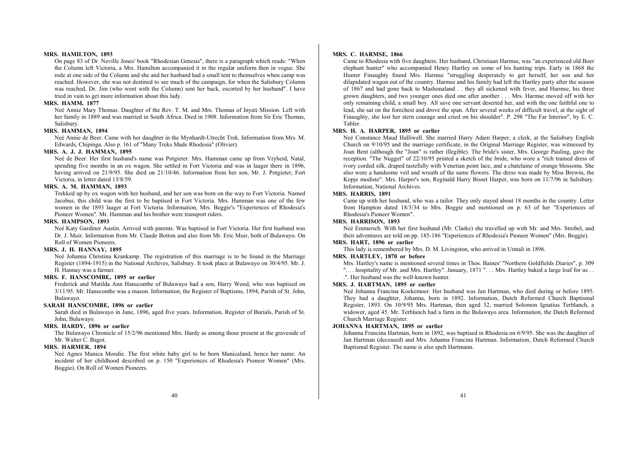#### **MRS. HAMILTON, 1893**

On page 83 of Dr. Neville Jones' book "Rhodesian Genesis", there is a paragraph which reads: "When the Column left Victoria, a Mrs. Hamilton accompanied it in the regular uniform then in vogue. She rode at one side of the Column and she and her husband had a small tent to themselves when camp was reached. However, she was not destined to see much of the campaign, for when the Salisbury Column was reached, Dr. Jim (who went with the Column) sent her back, escorted by her husband". I have tried in vain to get more information about this lady.

#### **MRS. HAMM, 1877**

Neé Annie Mary Thomas. Daughter of the Rev. T. M. and Mrs. Thomas of Inyati Mission. Left with her family in 1889 and was married in South Africa. Died in 1908. Information from Sir Eric Thomas, Salisbury.

#### **MRS. HAMMAN, 1894**

Neé Annie de Beer. Came with her daughter in the Mynhardt-Utrecht Trek. Information from Mrs. M. Edwards, Chipinga. Also p. 161 of "Many Treks Made Rhodesia" (Olivier).

## **MRS. A. J. J. HAMMAN, 1895**

Neé de Beer. Her first husband's name was Potgieter. Mrs. Hamman came up from Vryheid, Natal, spending five months in an ox wagon. She settled in Fort Victoria and was in laager there in 1896, having arrived on 21/9/95. She died on 21/10/46. Information from her son, Mr. J. Potgieter, Fort Victoria, in letter dated 13/8/59.

## **MRS. A. M. HAMMAN, 1893**

Trekked up by ox wagon with her husband, and her son was born on the way to Fort Victoria. Named Jacobus, this child was the first to be baptised in Fort Victoria. Mrs. Hamman was one of the few women in the 1893 laager at Fort Victoria. Information, Mrs. Boggie's "Experiences of Rhodesia's Pioneer Women". Mr. Hamman and his brother were transport riders.

#### **MRS. HAMPSON, 1893**

Neé Katy Gardiner Austin. Arrived with parents. Was baptised in Fort Victoria. Her first husband was Dr. J. Muir. Information from Mr. Claude Botton and also from Mr. Eric Muir, both of Bulawayo. On Roll of Women Pioneers.

#### **MRS. J. H. HANNAY, 1895**

Neé Johanna Christina Krankamp. The registration of this marriage is to be found in the Marriage Register (1894-1915) in the National Archives, Salisbury. It took place at Bulawayo on 30/4/95. Mr. J. H. Hannay was a farmer.

#### **MRS. F. HANSCOMBE, 1895 or earlier**

Frederick and Matilda Ann Hanscombe of Bulawayo had a son, Harry Wood, who was baptised on 3/11/95. Mr. Hanscombe was a mason. Information, the Register of Baptisms, 1894, Parish of St. John, Bulawayo.

## **SARAH HANSCOMBE, 1896 or earlier**

Sarah died in Bulawayo in June, 1896, aged five years. Information, Register of Burials, Parish of St. John, Bulawayo.

## **MRS. HARDY, 1896 or earlier**

The Bulawayo Chronicle of 15/2/96 mentioned Mrs. Hardy as among those present at the graveside of Mr. Walter C. Bagot.

## **MRS. HARMER, 1894**

Neé Agnes Manica Moodie. The first white baby girl to be born Manicaland, hence her name. An incident of her childhood described on p. 150 "Experiences of Rhodesia's Pioneer Women" (Mrs. Boggie). On Roll of Women Pioneers.

#### **MRS. C. HARMSE, 1866**

Came to Rhodesia with five daughters. Her husband, Christiaan Harmse, was "an experienced old Boer elephant hunter" who accompanied Henry Hartley on some of his hunting trips. Early in 1868 the Hunter Finaughty found Mrs. Harmse "struggling desperately to get herself, her son and her dilapidated wagon out of the country. Harmse and his family had left the Hartley party after the season of 1867 and had gone back to Mashonaland . . they all sickened with fever, and Harmse, his three grown daughters, and two younger ones died one after another . . . Mrs. Harmse moved off with her only remaining child, a small boy. All save one servant deserted her, and with the one faithful one to lead, she sat on the forechest and drove the span. After several weeks of difficult travel, at the sight of Finaughty, she lost her stern courage and cried on his shoulder". P. 298 "The Far Interior", by E. C. Tabler.

## **MRS. H. A. HARPER, 1895 or earlier**

Neé Constance Maud Halliwell. She married Harry Adam Harper, a clerk, at the Salisbury English Church on 9/10/95 and the marriage certificate, in the Original Marriage Register, was witnessed by Joan Bent (although the "Joan" is rather illegible). The bride's sister, Mrs. George Pauling, gave the reception. "The Nugget" of 22/10/95 printed a sketch of the bride, who wore a "rich trained dress of ivory corded silk, draped tastefully with Venetian point lace, and a chatelaine of orange blossoms. She also wore a handsome veil and wreath of the same flowers. The dress was made by Miss Brewin, the Kopje modiste". Mrs. Harper's son, Reginald Harry Bisset Harper, was born on 11/7/96 in Salisbury. Information, National Archives.

#### **MRS. HARRIS, 1891**

Came up with her husband, who was a tailor. They only stayed about 18 months in the country. Letter from Hampton dated 18/3/34 to Mrs. Boggie and mentioned on p. 63 of her "Experiences of Rhodesia's Pioneer Women".

## **MRS. HARRISON, 1893**

Neé Emmerich. With her first husband (Mr. Clarke) she travelled up with Mr. and Mrs. Strobel, and their adventures are told on pp. 185-186 "Experiences of Rhodesia's Pioneer Women" (Mrs. Boggie).

## **MRS. HART, 1896 or earlier**

This lady is remembered by Mrs. D. M. Livingston, who arrived in Umtali in 1896.

## **MRS. HARTLEY, 1870 or before**

Mrs. Hartley's name is mentioned several times in Thos. Baines' "Northern Goldfields Diaries", p. 309

"... hospitality of Mr. and Mrs. Hartley". January, 1871 "... Mrs. Hartley baked a large loaf for us...

.". Her husband was the well-known hunter.

## **MRS. J. HARTMAN, 1895 or earlier**

Neé Johanna Francina Koekemoer. Her husband was Jan Hartman, who died during or before 1895. They had a daughter, Johanna, born in 1892. Information, Dutch Reformed Church Baptismal Register, 1893. On 10/9/95 Mrs. Hartman, then aged 32, married Solomon Ignatius Terblanch, a widower, aged 45. Mr. Terblanch had a farm in the Bulawayo area. Information, the Dutch Reformed Church Marriage Register.

#### **JOHANNA HARTMAN, 1895 or earlier**

Johanna Francina Hartman, born in 1892, was baptised in Rhodesia on 6/9/95. She was the daughter of Jan Hartman (deceased) and Mrs. Johanna Francina Hartman. Information, Dutch Reformed Church Baptismal Register. The name is also spelt Hartmann.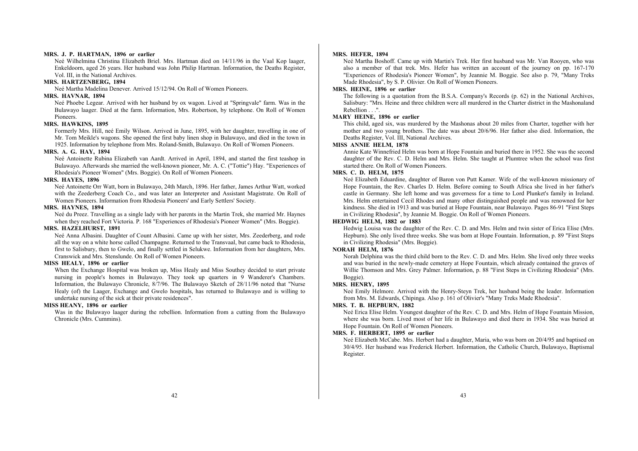#### **MRS. J. P. HARTMAN, 1896 or earlier**

Neé Wilhelmina Christina Elizabeth Briel. Mrs. Hartman died on 14/11/96 in the Vaal Kop laager, Enkeldoorn, aged 26 years. Her husband was John Philip Hartman. Information, the Deaths Register, Vol. III, in the National Archives.

#### **MRS. HARTZENBERG, 1894**

Neé Martha Madelina Denever. Arrived 15/12/94. On Roll of Women Pioneers.

#### **MRS. HAVNAR, 1894**

Neé Phoebe Legear. Arrived with her husband by ox wagon. Lived at "Springvale" farm. Was in the Bulawayo laager. Died at the farm. Information, Mrs. Robertson, by telephone. On Roll of Women Pioneers.

## **MRS. HAWKINS, 1895**

Formerly Mrs. Hill, neé Emily Wilson. Arrived in June, 1895, with her daughter, travelling in one of Mr. Tom Meikle's wagons. She opened the first baby linen shop in Bulawayo, and died in the town in 1925. Information by telephone from Mrs. Roland-Smith, Bulawayo. On Roll of Women Pioneers.

## **MRS. A. G. HAY, 1894**

Neé Antoinette Rubina Elizabeth van Aardt. Arrived in April, 1894, and started the first teashop in Bulawayo. Afterwards she married the well-known pioneer, Mr. A. C. ("Tottie") Hay. "Experiences of Rhodesia's Pioneer Women" (Mrs. Boggie). On Roll of Women Pioneers.

#### **MRS. HAYES, 1896**

Neé Antoinette Orr Watt, born in Bulawayo, 24th March, 1896. Her father, James Arthur Watt, worked with the Zeederberg Coach Co., and was later an Interpreter and Assistant Magistrate. On Roll of Women Pioneers. Information from Rhodesia Pioneers' and Early Settlers' Society.

#### **MRS. HAYNES, 1894**

Neé du Preez. Travelling as a single lady with her parents in the Martin Trek, she married Mr. Haynes when they reached Fort Victoria. P. 168 "Experiences of Rhodesia's Pioneer Women" (Mrs. Boggie).

## **MRS. HAZELHURST, 1891**

Neé Anna Albasini. Daughter of Count Albasini. Came up with her sister, Mrs. Zeederberg, and rode all the way on a white horse called Champagne. Returned to the Transvaal, but came back to Rhodesia, first to Salisbury, then to Gwelo, and finally settled in Selukwe. Information from her daughters, Mrs. Cranswick and Mrs. Stenslunde. On Roll of Women Pioneers.

#### **MISS HEALY, 1896 or earlier**

When the Exchange Hospital was broken up, Miss Healy and Miss Southey decided to start private nursing in people's homes in Bulawayo. They took up quarters in 9 Wanderer's Chambers. Information, the Bulawayo Chronicle, 8/7/96. The Bulawayo Sketch of 28/11/96 noted that "Nurse Healy (of) the Laager, Exchange and Gwelo hospitals, has returned to Bulawayo and is willing to undertake nursing of the sick at their private residences".

## **MISS HEANY, 1896 or earlier**

Was in the Bulawayo laager during the rebellion. Information from a cutting from the Bulawayo Chronicle (Mrs. Cummins).

#### **MRS. HEFER, 1894**

Neé Martha Boshoff. Came up with Martin's Trek. Her first husband was Mr. Van Rooyen, who was also a member of that trek. Mrs. Hefer has written an account of the journey on pp. 167-170 "Experiences of Rhodesia's Pioneer Women", by Jeannie M. Boggie. See also p. 79, "Many Treks Made Rhodesia", by S. P. Olivier. On Roll of Women Pioneers.

#### **MRS. HEINE, 1896 or earlier**

The following is a quotation from the B.S.A. Company's Records (p. 62) in the National Archives, Salisbury: "Mrs. Heine and three children were all murdered in the Charter district in the Mashonaland Rebellion . . . ".

## **MARY HEINE, 1896 or earlier**

This child, aged six, was murdered by the Mashonas about 20 miles from Charter, together with her mother and two young brothers. The date was about 20/6/96. Her father also died. Information, the Deaths Register, Vol. III, National Archives.

## **MISS ANNIE HELM, 1878**

Annie Kate Winnefried Helm was born at Hope Fountain and buried there in 1952. She was the second daughter of the Rev. C. D. Helm and Mrs. Helm. She taught at Plumtree when the school was first started there. On Roll of Women Pioneers.

## **MRS. C. D. HELM, 1875**

Neé Elizabeth Eduardine, daughter of Baron von Putt Kamer. Wife of the well-known missionary of Hope Fountain, the Rev. Charles D. Helm. Before coming to South Africa she lived in her father's castle in Germany. She left home and was governess for a time to Lord Plunket's family in Ireland. Mrs. Helm entertained Cecil Rhodes and many other distinguished people and was renowned for her kindness. She died in 1913 and was buried at Hope Fountain, near Bulawayo. Pages 86-91 "First Steps in Civilizing Rhodesia", by Jeannie M. Boggie. On Roll of Women Pioneers.

#### **HEDWIG HELM, 1882 or 1883**

Hedwig Louisa was the daughter of the Rev. C. D. and Mrs. Helm and twin sister of Erica Elise (Mrs. Hepburn). She only lived three weeks. She was born at Hope Fountain. Information, p. 89 "First Steps in Civilizing Rhodesia" (Mrs. Boggie).

## **NORAH HELM, 1876**

Norah Delphina was the third child born to the Rev. C. D. and Mrs. Helm. She lived only three weeks and was buried in the newly-made cemetery at Hope Fountain, which already contained the graves of Willie Thomson and Mrs. Grey Palmer. Information, p. 88 "First Steps in Civilizing Rhodesia" (Mrs. Boggie).

#### **MRS. HENRY, 1895**

Neé Emily Helmore. Arrived with the Henry-Steyn Trek, her husband being the leader. Information from Mrs. M. Edwards, Chipinga. Also p. 161 of Olivier's "Many Treks Made Rhodesia".

#### **MRS. T. B. HEPBURN, 1882**

Neé Erica Elise Helm. Youngest daughter of the Rev. C. D. and Mrs. Helm of Hope Fountain Mission, where she was born. Lived most of her life in Bulawayo and died there in 1934. She was buried at Hope Fountain. On Roll of Women Pioneers.

## **MRS. F. HERBERT, 1895 or earlier**

Neé Elizabeth McCabe. Mrs. Herbert had a daughter, Maria, who was born on 20/4/95 and baptised on 30/4/95. Her husband was Frederick Herbert. Information, the Catholic Church, Bulawayo, Baptismal Register.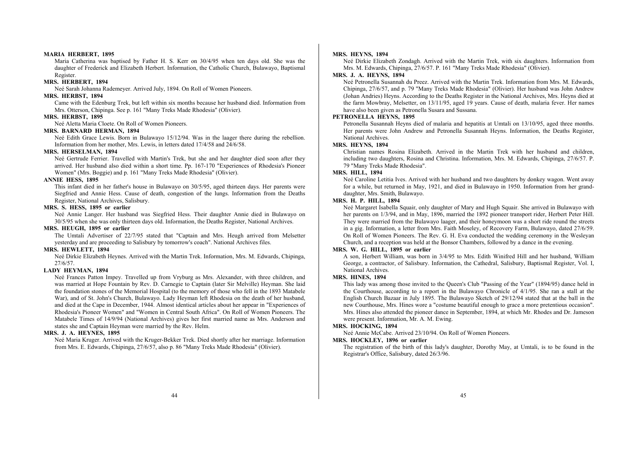#### **MARIA HERBERT, 1895**

Maria Catherina was baptised by Father H. S. Kerr on 30/4/95 when ten days old. She was the daughter of Frederick and Elizabeth Herbert. Information, the Catholic Church, Bulawayo, Baptismal Register.

#### **MRS. HERBERT, 1894**

Neé Sarah Johanna Rademeyer. Arrived July, 1894. On Roll of Women Pioneers.

#### **MRS. HERBST, 1894**

Came with the Edenburg Trek, but left within six months because her husband died. Information from Mrs. Otterson, Chipinga. See p. 161 "Many Treks Made Rhodesia" (Olivier).

#### **MRS. HERBST, 1895**

Neé Aletta Maria Cloete. On Roll of Women Pioneers.

#### **MRS. BARNARD HERMAN, 1894**

Neé Edith Grace Lewis. Born in Bulawayo 15/12/94. Was in the laager there during the rebellion. Information from her mother, Mrs. Lewis, in letters dated 17/4/58 and 24/6/58.

#### **MRS. HERSELMAN, 1894**

Neé Gertrude Ferrier. Travelled with Martin's Trek, but she and her daughter died soon after they arrived. Her husband also died within a short time. Pp. 167-170 "Experiences of Rhodesia's Pioneer Women" (Mrs. Boggie) and p. 161 "Many Treks Made Rhodesia" (Olivier).

#### **ANNIE HESS, 1895**

This infant died in her father's house in Bulawayo on 30/5/95, aged thirteen days. Her parents were Siegfried and Annie Hess. Cause of death, congestion of the lungs. Information from the Deaths Register, National Archives, Salisbury.

## **MRS. S. HESS, 1895 or earlier**

Neé Annie Langer. Her husband was Siegfried Hess. Their daughter Annie died in Bulawayo on 30/5/95 when she was only thirteen days old. Information, the Deaths Register, National Archives.

#### **MRS. HEUGH, 1895 or earlier**

The Umtali Advertiser of 22/7/95 stated that "Captain and Mrs. Heugh arrived from Melsetter yesterday and are proceeding to Salisbury by tomorrow's coach". National Archives files.

## **MRS. HEWLETT, 1894**

Neé Dirkie Elizabeth Heynes. Arrived with the Martin Trek. Information, Mrs. M. Edwards, Chipinga, 27/6/57.

## **LADY HEYMAN, 1894**

Neé Frances Patton Impey. Travelled up from Vryburg as Mrs. Alexander, with three children, and was married at Hope Fountain by Rev. D. Carnegie to Captain (later Sir Melville) Heyman. She laid the foundation stones of the Memorial Hospital (to the memory of those who fell in the 1893 Matabele War), and of St. John's Church, Bulawayo. Lady Heyman left Rhodesia on the death of her husband, and died at the Cape in December, 1944. Almost identical articles about her appear in "Experiences of Rhodesia's Pioneer Women" and "Women in Central South Africa". On Roll of Women Pioneers. The Matabele Times of 14/9/94 (National Archives) gives her first married name as Mrs. Anderson and states she and Captain Heyman were married by the Rev. Helm.

#### **MRS. J. A. HEYNES, 1895**

Neé Maria Kruger. Arrived with the Kruger-Bekker Trek. Died shortly after her marriage. Information from Mrs. E. Edwards, Chipinga, 27/6/57, also p. 86 "Many Treks Made Rhodesia" (Olivier).

#### **MRS. HEYNS, 1894**

Neé Dirkie Elizabeth Zondagh. Arrived with the Martin Trek, with six daughters. Information from Mrs. M. Edwards, Chipinga, 27/6/57. P. 161 "Many Treks Made Rhodesia" (Olivier).

## **MRS. J. A. HEYNS, 1894**

Neé Petronella Susannah du Preez. Arrived with the Martin Trek. Information from Mrs. M. Edwards, Chipinga, 27/6/57, and p. 79 "Many Treks Made Rhodesia" (Olivier). Her husband was John Andrew (Johan Andries) Heyns. According to the Deaths Register in the National Archives, Mrs. Heyns died at the farm Mowbray, Melsetter, on 13/11/95, aged 19 years. Cause of death, malaria fever. Her names have also been given as Petronella Susara and Sussana.

## **PETRONELLA HEYNS, 1895**

Petronella Susannah Heyns died of malaria and hepatitis at Umtali on 13/10/95, aged three months. Her parents were John Andrew and Petronella Susannah Heyns. Information, the Deaths Register, National Archives.

## **MRS. HEYNS, 1894**

Christian names Rosina Elizabeth. Arrived in the Martin Trek with her husband and children, including two daughters, Rosina and Christina. Information, Mrs. M. Edwards, Chipinga, 27/6/57. P. 79 "Many Treks Made Rhodesia".

## **MRS. HILL, 1894**

Neé Caroline Letitia Ives. Arrived with her husband and two daughters by donkey wagon. Went away for a while, but returned in May, 1921, and died in Bulawayo in 1950. Information from her granddaughter, Mrs. Smith, Bulawayo.

## **MRS. H. P. HILL, 1894**

Neé Margaret Isabella Squair, only daughter of Mary and Hugh Squair. She arrived in Bulawayo with her parents on 1/3/94, and in May, 1896, married the 1892 pioneer transport rider, Herbert Peter Hill. They were married from the Bulawayo laager, and their honeymoon was a short ride round the streets in a gig. Information, a letter from Mrs. Faith Moseley, of Recovery Farm, Bulawayo, dated 27/6/59. On Roll of Women Pioneers. The Rev. G. H. Eva conducted the wedding ceremony in the Wesleyan Church, and a reception was held at the Bonsor Chambers, followed by a dance in the evening.

## **MRS. W. G. HILL, 1895 or earlier**

A son, Herbert William, was born in 3/4/95 to Mrs. Edith Winifred Hill and her husband, William George, a contractor, of Salisbury. Information, the Cathedral, Salisbury, Baptismal Register, Vol. I, National Archives.

#### **MRS. HINES, 1894**

This lady was among those invited to the Queen's Club "Passing of the Year" (1894/95) dance held in the Courthouse, according to a report in the Bulawayo Chronicle of 4/1/95. She ran a stall at the English Church Bazaar in July 1895. The Bulawayo Sketch of 29/12/94 stated that at the ball in the new Courthouse, Mrs. Hines wore a "costume beautiful enough to grace a more pretentious occasion". Mrs. Hines also attended the pioneer dance in September, 1894, at which Mr. Rhodes and Dr. Jameson were present. Information, Mr. A. M. Ewing.

## **MRS. HOCKING, 1894**

Neé Annie McCabe. Arrived 23/10/94. On Roll of Women Pioneers.

#### **MRS. HOCKLEY, 1896 or earlier**

The registration of the birth of this lady's daughter, Dorothy May, at Umtali, is to be found in the Registrar's Office, Salisbury, dated 26/3/96.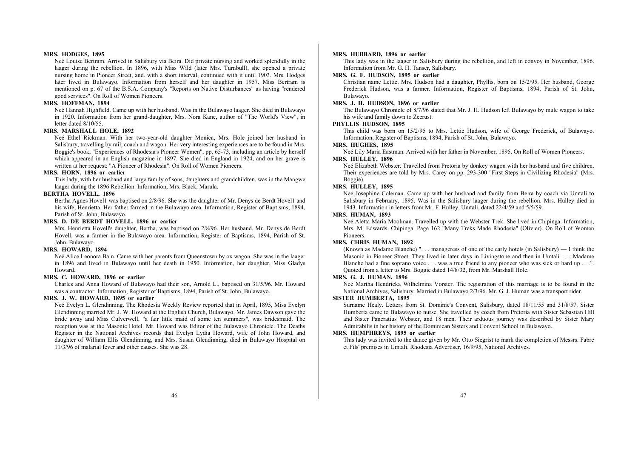#### **MRS. HODGES, 1895**

Neé Louise Bertram. Arrived in Salisbury via Beira. Did private nursing and worked splendidly in the laager during the rebellion. In 1896, with Miss Wild (later Mrs. Turnbull), she opened a private nursing home in Pioneer Street, and. with a short interval, continued with it until 1903. Mrs. Hodges later lived in Bulawayo. Information from herself and her daughter in 1957. Miss Bertram is mentioned on p. 67 of the B.S.A. Company's "Reports on Native Disturbances" as having "rendered good services". On Roll of Women Pioneers.

## **MRS. HOFFMAN, 1894**

Neé Hannah Highfield. Came up with her husband. Was in the Bulawayo laager. She died in Bulawayo in 1920. Information from her grand-daughter, Mrs. Nora Kane, author of "The World's View", in letter dated 8/10/55.

#### **MRS. MARSHALL HOLE, 1892**

Neé Ethel Rickman. With her two-year-old daughter Monica, Mrs. Hole joined her husband in Salisbury, travelling by rail, coach and wagon. Her very interesting experiences are to be found in Mrs. Boggie's book, "Experiences of Rhodesia's Pioneer Women", pp. 65-73, including an article by herself which appeared in an English magazine in 1897. She died in England in 1924, and on her grave is written at her request: "A Pioneer of Rhodesia". On Roll of Women Pioneers.

## **MRS. HORN, 1896 or earlier**

This lady, with her husband and large family of sons, daughters and grandchildren, was in the Mangwe laager during the 1896 Rebellion. Information, Mrs. Black, Marula.

#### **BERTHA HOVELL, 1896**

Bertha Agnes Hovel1 was baptised on 2/8/96. She was the daughter of Mr. Denys de Berdt Hovel1 and his wife, Henrietta. Her father farmed in the Bulawayo area. Information, Register of Baptisms, 1894, Parish of St. John, Bulawayo.

## **MRS. D. DE BERDT HOVELL, 1896 or earlier**

Mrs. Henrietta Hovell's daughter, Bertha, was baptised on 2/8/96. Her husband, Mr. Denys de Berdt Hovell, was a farmer in the Bulawayo area. Information, Register of Baptisms, 1894, Parish of St. John, Bulawayo.

## **MRS. HOWARD, 1894**

Neé Alice Leonora Bain. Came with her parents from Queenstown by ox wagon. She was in the laager in 1896 and lived in Bulawayo until her death in 1950. Information, her daughter, Miss Gladys Howard.

## **MRS. C. HOWARD, 1896 or earlier**

Charles and Anna Howard of Bulawayo had their son, Arnold L., baptised on 31/5/96. Mr. Howard was a contractor. Information, Register of Baptisms, 1894, Parish of St. John, Bulawayo.

## **MRS. J. W. HOWARD, 1895 or earlier**

Neé Evelyn L. Glendinning. The Rhodesia Weekly Review reported that in April, 1895, Miss Evelyn Glendinning married Mr. J. W. Howard at the English Church, Bulawayo. Mr. James Dawson gave the bride away and Miss Culverwell, "a fair little maid of some ten summers", was bridesmaid. The reception was at the Masonic Hotel. Mr. Howard was Editor of the Bulawayo Chronicle. The Deaths Register in the National Archives records that Evelyn Lydia Howard, wife of John Howard, and daughter of William Ellis Glendinning, and Mrs. Susan Glendinning, died in Bulawayo Hospital on 11/3/96 of malarial fever and other causes. She was 28.

#### **MRS. HUBBARD, 1896 or earlier**

This lady was in the laager in Salisbury during the rebellion, and left in convoy in November, 1896. Information from Mr. G. H. Tanser, Salisbury.

#### **MRS. G. F. HUDSON, 1895 or earlier**

Christian name Lettie. Mrs. Hudson had a daughter, Phyllis, born on 15/2/95. Her husband, George Frederick Hudson, was a farmer. Information, Register of Baptisms, 1894, Parish of St. John, Bulawayo.

## **MRS. J. H. HUDSON, 1896 or earlier**

The Bulawayo Chronicle of 8/7/96 stated that Mr. J. H. Hudson left Bulawayo by mule wagon to take his wife and family down to Zeerust.

## **PHYLLIS HUDSON, 1895**

This child was born on 15/2/95 to Mrs. Lettie Hudson, wife of George Frederick, of Bulawayo. Information, Register of Baptisms, 1894, Parish of St. John, Bulawayo.

## **MRS. HUGHES, 1895**

Neé Lily Maria Eastman. Arrived with her father in November, 1895. On Roll of Women Pioneers.

## **MRS. HULLEY, 1896**

Neé Elizabeth Webster. Travelled from Pretoria by donkey wagon with her husband and five children. Their experiences are told by Mrs. Carey on pp. 293-300 "First Steps in Civilizing Rhodesia" (Mrs. Boggie).

## **MRS. HULLEY, 1895**

Neé Josephine Coleman. Came up with her husband and family from Beira by coach via Umtali to Salisbury in February, 1895. Was in the Salisbury laager during the rebellion. Mrs. Hulley died in 1943. Information in letters from Mr. F. Hulley, Umtali, dated 22/4/59 and 5/5/59.

#### **MRS. HUMAN, 1893**

Neé Aletta Maria Moolman. Travelled up with the Webster Trek. She lived in Chipinga. Information, Mrs. M. Edwards, Chipinga. Page 162 "Many Treks Made Rhodesia" (Olivier). On Roll of Women Pioneers.

### **MRS. CHRIS HUMAN, 1892**

(Known as Madame Blanche) " $\ldots$  manageress of one of the early hotels (in Salisbury)  $\ldots$  I think the Masonic in Pioneer Street. They lived in later days in Livingstone and then in Umtali . . . Madame Blanche had a fine soprano voice . . . was a true friend to any pioneer who was sick or hard up . . . " Quoted from a letter to Mrs. Boggie dated 14/8/32, from Mr. Marshall Hole.

#### **MRS. G. J. HUMAN, 1896**

Neé Martha Hendricka Wilhelmina Vorster. The registration of this marriage is to be found in the National Archives, Salisbury. Married in Bulawayo 2/3/96. Mr. G. J. Human was a transport rider.

## **SISTER HUMBERTA, 1895**

Surname Healy. Letters from St. Dominic's Convent, Salisbury, dated 18/11/55 and 31/8/57. Sister Humberta came to Bulawayo to nurse. She travelled by coach from Pretoria with Sister Sebastian Hill and Sister Pancratius Webster, and 18 men. Their arduous journey was described by Sister Mary Admirabilis in her history of the Dominican Sisters and Convent School in Bulawayo.

#### **MRS. HUMPHREYS, 1895 or earlier**

This lady was invited to the dance given by Mr. Otto Siegrist to mark the completion of Messrs. Fabre et Fils' premises in Umtali. Rhodesia Advertiser, 16/9/95, National Archives.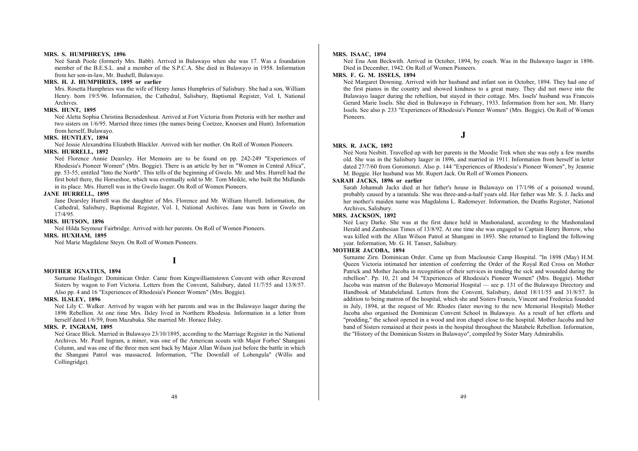#### **MRS. S. HUMPHREYS, 1896**

Neé Sarah Poole (formerly Mrs. Babb). Arrived in Bulawayo when she was 17. Was a foundation member of the B.E.S.L. and a member of the S.P.C.A. She died in Bulawayo in 1958. Information from her son-in-law, Mr. Bushell, Bulawayo.

## **MRS. H. J. HUMPHRIES, 1895 or earlier**

Mrs. Rosetta Humphries was the wife of Henry James Humphries of Salisbury. She had a son, William Henry. born 19/5/96. Information, the Cathedral, Salisbury, Baptismal Register, Vol. I, National Archives.

#### **MRS. HUNT, 1895**

Neé Aletta Sophia Christina Bezuidenhout. Arrived at Fort Victoria from Pretoria with her mother and two sisters on 1/6/95. Married three times (the names being Coetzee, Knoesen and Hunt). Information from herself, Bulawayo.

#### **MRS. HUNTLEY, 1894**

Neé Jessie Alexandrina Elizabeth Blackler. Arrived with her mother. On Roll of Women Pioneers.

#### **MRS. HURRELL, 1892**

Neé Florence Annie Dearsley. Her Memoirs are to be found on pp. 242-249 "Experiences of Rhodesia's Pioneer Women" (Mrs. Boggie). There is an article by her in "Women in Central Africa", pp. 53-55, entitled "Into the North". This tells of the beginning of Gwelo. Mr. and Mrs. Hurrell had the first hotel there, the Horseshoe, which was eventually sold to Mr. Tom Meikle, who built the Midlands in its place. Mrs. Hurrell was in the Gwelo laager. On Roll of Women Pioneers.

#### **JANE HURRELL, 1895**

Jane Dearsley Hurrell was the daughter of Mrs. Florence and Mr. William Hurrell. Information, the Cathedral, Salisbury, Baptismal Register, Vol. I, National Archives. Jane was born in Gwelo on 17/4/95.

#### **MRS. HUTSON, 1896**

Neé Hilda Seymour Fairbridge. Arrived with her parents. On Roll of Women Pioneers.

#### **MRS. HUXHAM, 1895**

Neé Marie Magdalene Steyn. On Roll of Women Pioneers.

**I** 

#### **MOTHER IGNATIUS, 1894**

Surname Haslinger. Dominican Order. Came from Kingwilliamstown Convent with other Reverend Sisters by wagon to Fort Victoria. Letters from the Convent, Salisbury, dated 11/7/55 and 13/8/57. Also pp. 4 and 16 "Experiences of Rhodesia's Pioneer Women" (Mrs. Boggie).

#### **MRS. ILSLEY, 1896**

Neé Lily C. Walker. Arrived by wagon with her parents and was in the Bulawayo laager during the 1896 Rebellion. At one time Mrs. Ilsley lived in Northern Rhodesia. Information in a letter from herself dated 1/6/59, from Mazabuka. She married Mr. Horace Ilsley.

#### **MRS. P. INGRAM, 1895**

Neé Grace Blick. Married in Bulawayo 23/10/1895, according to the Marriage Register in the National Archives. Mr. Pearl Ingram, a miner, was one of the American scouts with Major Forbes' Shangani Column, and was one of the three men sent back by Major Allan Wilson just before the battle in which the Shangani Patrol was massacred. Information, "The Downfall of Lobengula" (Willis and Collingridge).

#### **MRS. ISAAC, 1894**

Neé Ena Ann Beckwith. Arrived in October, 1894, by coach. Was in the Bulawayo laager in 1896. Died in December, 1942. On Roll of Women Pioneers.

## **MRS. F. G. M. ISSELS, 1894**

Neé Margaret Downing. Arrived with her husband and infant son in October, 1894. They had one of the first pianos in the country and showed kindness to a great many. They did not move into the Bulawayo laager during the rebellion, but stayed in their cottage. Mrs. Issels' husband was Francois Gerard Marie Issels. She died in Bulawayo in February, 1933. Information from her son, Mr. Harry Issels. See also p. 233 "Experiences of Rhodesia's Pioneer Women" (Mrs. Boggie). On Roll of Women Pioneers.

**J** 

#### **MRS. R. JACK, 1892**

Neé Nora Nesbitt. Travelled up with her parents in the Moodie Trek when she was only a few months old. She was in the Salisbury laager in 1896, and married in 1911. Information from herself in letter dated 27/7/60 from Goromonzi. Also p. 144 "Experiences of Rhodesia's Pioneer Women", by Jeannie M. Boggie. Her husband was Mr. Rupert Jack. On Roll of Women Pioneers.

## **SARAH JACKS, 1896 or earlier**

Sarah Johannah Jacks died at her father's house in Bulawayo on 17/1/96 of a poisoned wound, probably caused by a tarantula. She was three-and-a-half years old. Her father was Mr. S. J. Jacks and her mother's maiden name was Magdalena L. Rademeyer. Information, the Deaths Register, National Archives, Salisbury.

## **MRS. JACKSON, 1892**

Neé Lucy Darke. She was at the first dance held in Mashonaland, according to the Mashonaland Herald and Zambesian Times of 13/8/92. At one time she was engaged to Captain Henry Borrow, who was killed with the Allan Wilson Patrol at Shangani in 1893. She returned to England the following year. Information, Mr. G. H. Tanser, Salisbury.

## **MOTHER JACOBA, 1894**

Surname Zirn. Dominican Order. Came up from Macloutsie Camp Hospital. "In 1898 (May) H.M. Queen Victoria intimated her intention of conferring the Order of the Royal Red Cross on Mother Patrick and Mother Jacoba in recognition of their services in tending the sick and wounded during the rebellion". Pp. 10, 21 and 34 "Experiences of Rhodesia's Pioneer Women" (Mrs. Boggie). Mother Jacoba was matron of the Bulawayo Memorial Hospital — see p. 131 of the Bulawayo Directory and Handbook of Matabeleland. Letters from the Convent, Salisbury, dated 18/11/55 and 31/8/57. In addition to being matron of the hospital, which she and Sisters Francis, Vincent and Frederica founded in July, 1894, at the request of Mr. Rhodes (later moving to the new Memorial Hospital) Mother Jacoba also organised the Dominican Convent School in Bulawayo. As a result of her efforts and "prodding," the school opened in a wood and iron chapel close to the hospital. Mother Jacoba and her band of Sisters remained at their posts in the hospital throughout the Matabele Rebellion. Information, the "History of the Dominican Sisters in Bulawayo", compiled by Sister Mary Admirabilis.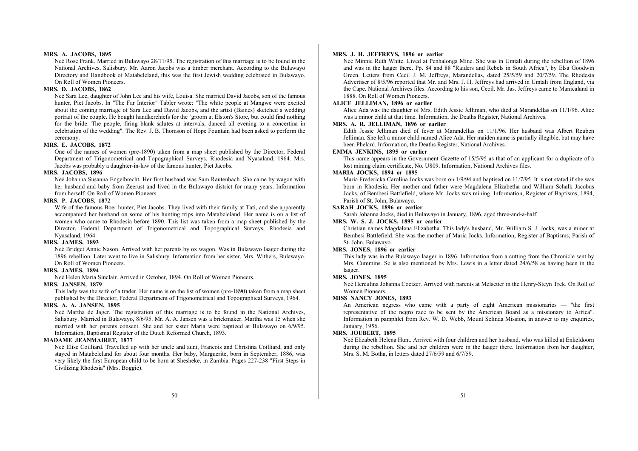## **MRS. A. JACOBS, 1895**

Neé Rose Frank. Married in Bulawayo 28/11/95. The registration of this marriage is to be found in the National Archives, Salisbury. Mr. Aaron Jacobs was a timber merchant. According to the Bulawayo Directory and Handbook of Matabeleland, this was the first Jewish wedding celebrated in Bulawayo. On Roll of Women Pioneers.

#### **MRS. D. JACOBS, 1862**

Neé Sara Lee, daughter of John Lee and his wife, Louisa. She married David Jacobs, son of the famous hunter, Piet Jacobs. In "The Far Interior" Tabler wrote: "The white people at Mangwe were excited about the coming marriage of Sara Lee and David Jacobs, and the artist (Baines) sketched a wedding portrait of the couple. He bought handkerchiefs for the 'groom at Elston's Store, but could find nothing for the bride. The people, firing blank salutes at intervals, danced all evening to a concertina in celebration of the wedding". The Rev. J. B. Thomson of Hope Fountain had been asked to perform the ceremony.

## **MRS. E. JACOBS, 1872**

One of the names of women (pre-1890) taken from a map sheet published by the Director, Federal Department of Trigonometrical and Topographical Surveys, Rhodesia and Nyasaland, 1964. Mrs. Jacobs was probably a daughter-in-law of the famous hunter, Piet Jacobs.

## **MRS. JACOBS, 1896**

Neé Johanna Susanna Engelbrecht. Her first husband was Sam Rautenbach. She came by wagon with her husband and baby from Zeerust and lived in the Bulawayo district for many years. Information from herself. On Roll of Women Pioneers.

## **MRS. P. JACOBS, 1872**

Wife of the famous Boer hunter, Piet Jacobs. They lived with their family at Tati, and she apparently accompanied her husband on some of his hunting trips into Matabeleland. Her name is on a list of women who came to Rhodesia before 1890. This list was taken from a map sheet published by the Director, Federal Department of Trigonometrical and Topographical Surveys, Rhodesia and Nyasaland, 1964.

## **MRS. JAMES, 1893**

Neé Bridget Annie Nason. Arrived with her parents by ox wagon. Was in Bulawayo laager during the 1896 rebellion. Later went to live in Salisbury. Information from her sister, Mrs. Withers, Bulawayo. On Roll of Women Pioneers.

#### **MRS. JAMES, 1894**

Neé Helen Maria Sinclair. Arrived in October, 1894. On Roll of Women Pioneers.

#### **MRS. JANSEN, 1879**

This lady was the wife of a trader. Her name is on the list of women (pre-1890) taken from a map sheet published by the Director, Federal Department of Trigonometrical and Topographical Surveys, 1964.

## **MRS. A. A. JANSEN, 1895**

Neé Martha de Jager. The registration of this marriage is to be found in the National Archives, Salisbury. Married in Bulawayo, 8/6/95. Mr. A. A. Jansen was a brickmaker. Martha was 15 when she married with her parents consent. She and her sister Maria were baptized at Bulawayo on 6/9/95. Information, Baptismal Register of the Dutch Reformed Church, 1893.

#### **MADAME JEANMAIRET, 1877**

Neé Elise Coilliard. Travelled up with her uncle and aunt, Francois and Christina Coilliard, and only stayed in Matabeleland for about four months. Her baby, Marguerite, born in September, 1886, was very likely the first European child to be born at Shesheke, in Zambia. Pages 227-238 "First Steps in Civilizing Rhodesia" (Mrs. Boggie).

#### **MRS. J. H. JEFFREYS, 1896 or earlier**

Neé Minnie Ruth White. Lived at Penhalonga Mine. She was in Umtali during the rebellion of 1896 and was in the laager there. Pp. 84 and 88 "Raiders and Rebels in South Africa", by Elsa Goodwin Green. Letters from Cecil J. M. Jeffreys, Marandellas, dated 25/5/59 and 20/7/59. The Rhodesia Advertiser of 8/5/96 reported that Mr. and Mrs. J. H. Jeffreys had arrived in Umtali from England, via the Cape. National Archives files. According to his son, Cecil. Mr. Jas. Jeffreys came to Manicaland in 1888. On Roll of Women Pioneers.

## **ALICE JELLIMAN, 1896 or earlier**

Alice Ada was the daughter of Mrs. Edith Jessie Jelliman, who died at Marandellas on 11/1/96. Alice was a minor child at that time. Information, the Deaths Register, National Archives.

## **MRS. A. R. JELLIMAN, 1896 or earlier**

Edith Jessie Jelliman died of fever at Marandellas on 11/1/96. Her husband was Albert Reuben Jelliman. She left a minor child named Alice Ada. Her maiden name is partially illegible, but may have been Phelard. Information, the Deaths Register, National Archives.

## **EMMA JENKINS, 1895 or earlier**

This name appears in the Government Gazette of 15/5/95 as that of an applicant for a duplicate of a lost mining claim certificate, No. U809. Information, National Archives files.

## **MARIA JOCKS, 1894 or 1895**

Maria Fredericka Carolina Jocks was born on 1/9/94 and baptised on 11/7/95. It is not stated if she was born in Rhodesia. Her mother and father were Magdalena Elizabetha and William Schalk Jacobus Jocks, of Bembesi Battlefield, where Mr. Jocks was mining. Information, Register of Baptisms, 1894, Parish of St. John, Bulawayo.

#### **SARAH JOCKS, 1896 or earlier**

Sarah Johanna Jocks, died in Bulawayo in January, 1896, aged three-and-a-half.

## **MRS. W. S. J. JOCKS, 1895 or earlier**

Christian names Magdalena Elizabetha. This lady's husband, Mr. William S. J. Jocks, was a miner at Bembesi Battlefield. She was the mother of Maria Jocks. Information, Register of Baptisms, Parish of St. John, Bulawayo.

## **MRS. JONES, 1896 or earlier**

This lady was in the Bulawayo laager in 1896. Information from a cutting from the Chronicle sent by Mrs. Cummins. Se is also mentioned by Mrs. Lewis in a letter dated 24/6/58 as having been in the laager.

#### **MRS. JONES, 1895**

Neé Herculina Johanna Coetzer. Arrived with parents at Melsetter in the Henry-Steyn Trek. On Roll of Women Pioneers.

## **MISS NANCY JONES, 1893**

An American negress who came with a party of eight American missionaries — "the first representative of the negro race to be sent by the American Board as a missionary to Africa". Information in pamphlet from Rev. W. D. Webb, Mount Selinda Mission, in answer to my enquiries, January, 1956.

#### **MRS. JOUBERT, 1895**

Neé Elizabeth Helena Hunt. Arrived with four children and her husband, who was killed at Enkeldoorn during the rebellion. She and her children were in the laager there. Information from her daughter, Mrs. S. M. Botha, in letters dated 27/6/59 and 6/7/59.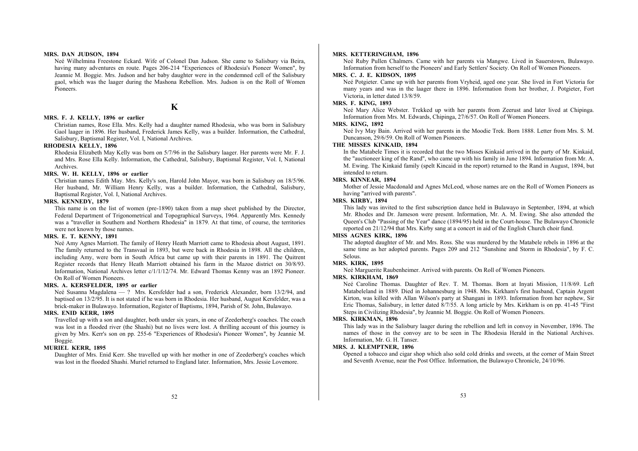#### **MRS. DAN JUDSON, 1894**

Neé Wilhelmina Freestone Eckard. Wife of Colonel Dan Judson. She came to Salisbury via Beira, having many adventures en route. Pages 206-214 "Experiences of Rhodesia's Pioneer Women", by Jeannie M. Boggie. Mrs. Judson and her baby daughter were in the condemned cell of the Salisbury gaol, which was the laager during the Mashona Rebellion. Mrs. Judson is on the Roll of Women Pioneers.

**K** 

#### **MRS. F. J. KELLY, 1896 or earlier**

Christian names, Rose Ella. Mrs. Kelly had a daughter named Rhodesia, who was born in Salisbury Gaol laager in 1896. Her husband, Frederick James Kelly, was a builder. Information, the Cathedral, Salisbury, Baptismal Register, Vol. I, National Archives.

#### **RHODESIA KELLY, 1896**

Rhodesia Elizabeth May Kelly was born on 5/7/96 in the Salisbury laager. Her parents were Mr. F. J. and Mrs. Rose Ella Kelly. Information, the Cathedral, Salisbury, Baptismal Register, Vol. I, National Archives.

#### **MRS. W. H. KELLY, 1896 or earlier**

Christian names Edith May. Mrs. Kelly's son, Harold John Mayor, was born in Salisbury on 18/5/96. Her husband, Mr. William Henry Kelly, was a builder. Information, the Cathedral, Salisbury, Baptismal Register, Vol. I, National Archives.

#### **MRS. KENNEDY, 1879**

This name is on the list of women (pre-1890) taken from a map sheet published by the Director, Federal Department of Trigonometrical and Topographical Surveys, 1964. Apparently Mrs. Kennedy was a "traveller in Southern and Northern Rhodesia" in 1879. At that time, of course, the territories were not known by those names.

## **MRS. E. T. KENNY, 1891**

Neé Amy Agnes Marriott. The family of Henry Heath Marriott came to Rhodesia about August, 1891. The family returned to the Transvaal in 1893, but were back in Rhodesia in 1898. All the children, including Amy, were born in South Africa but came up with their parents in 1891. The Quitrent Register records that Henry Heath Marriott obtained his farm in the Mazoe district on 30/8/93. Information, National Archives letter c/1/1/12/74. Mr. Edward Thomas Kenny was an 1892 Pioneer. On Roll of Women Pioneers.

#### **MRS. A. KERSFELDER, 1895 or earlier**

Neé Susanna Magdalena — ? Mrs. Kersfelder had a son, Frederick Alexander, born 13/2/94, and baptised on 13/2/95. It is not stated if he was born in Rhodesia. Her husband, August Kersfelder, was a brick-maker in Bulawayo. Information, Register of Baptisms, 1894, Parish of St. John, Bulawayo.

## **MRS. ENID KERR, 1895**

Travelled up with a son and daughter, both under six years, in one of Zeederberg's coaches. The coach was lost in a flooded river (the Shashi) but no lives were lost. A thrilling account of this journey is given by Mrs. Kerr's son on pp. 255-6 "Experiences of Rhodesia's Pioneer Women", by Jeannie M. Boggie.

#### **MURIEL KERR, 1895**

Daughter of Mrs. Enid Kerr. She travelled up with her mother in one of Zeederberg's coaches which was lost in the flooded Shashi. Muriel returned to England later. Information, Mrs. Jessie Lovemore.

#### **MRS. KETTERINGHAM, 1896**

Neé Ruby Pullen Chalmers. Came with her parents via Mangwe. Lived in Sauerstown, Bulawayo. Information from herself to the Pioneers' and Early Settlers' Society. On Roll of Women Pioneers.

#### **MRS. C. J. E. KIDSON, 1895**

Neé Potgieter. Came up with her parents from Vryheid, aged one year. She lived in Fort Victoria for many years and was in the laager there in 1896. Information from her brother, J. Potgieter, Fort Victoria, in letter dated 13/8/59.

#### **MRS. F. KING, 1893**

Neé Mary Alice Webster. Trekked up with her parents from Zeerust and later lived at Chipinga. Information from Mrs. M. Edwards, Chipinga, 27/6/57. On Roll of Women Pioneers.

## **MRS. KING, 1892**

Neé Ivy May Bain. Arrived with her parents in the Moodie Trek. Born 1888. Letter from Mrs. S. M. Duncanson, 29/6/59. On Roll of Women Pioneers.

#### **THE MISSES KINKAID, 1894**

In the Matabele Times it is recorded that the two Misses Kinkaid arrived in the party of Mr. Kinkaid, the "auctioneer king of the Rand", who came up with his family in June 1894. Information from Mr. A. M. Ewing. The Kinkaid family (spelt Kincaid in the report) returned to the Rand in August, 1894, but intended to return.

#### **MRS. KINNEAR, 1894**

Mother of Jessie Macdonald and Agnes McLeod, whose names are on the Roll of Women Pioneers as having "arrived with parents".

## **MRS. KIRBY, 1894**

This lady was invited to the first subscription dance held in Bulawayo in September, 1894, at which Mr. Rhodes and Dr. Jameson were present. Information, Mr. A. M. Ewing. She also attended the Queen's Club "Passing of the Year" dance (1894/95) held in the Court-house. The Bulawayo Chronicle reported on 21/12/94 that Mrs. Kirby sang at a concert in aid of the English Church choir fund.

#### **MISS AGNES KIRK, 1896**

The adopted daughter of Mr. and Mrs. Ross. She was murdered by the Matabele rebels in 1896 at the same time as her adopted parents. Pages 209 and 212 "Sunshine and Storm in Rhodesia", by F. C. Selous.

#### **MRS. KIRK, 1895**

Neé Marguerite Raubenheimer. Arrived with parents. On Roll of Women Pioneers.

## **MRS. KIRKHAM, 1869**

Neé Caroline Thomas. Daughter of Rev. T. M. Thomas. Born at Inyati Mission, 11/8/69. Left Matabeleland in 1889. Died in Johannesburg in 1948. Mrs. Kirkham's first husband, Captain Argent Kirton, was killed with Allan Wilson's party at Shangani in 1893. Information from her nephew, Sir Eric Thomas, Salisbury, in letter dated 8/7/55. A long article by Mrs. Kirkham is on pp. 41-45 "First Steps in Civilizing Rhodesia", by Jeannie M. Boggie. On Roll of Women Pioneers.

#### **MRS. KIRKMAN, 1896**

This lady was in the Salisbury laager during the rebellion and left in convoy in November, 1896. The names of those in the convoy are to be seen in The Rhodesia Herald in the National Archives. Information, Mr. G. H. Tanser.

#### **MRS. J. KLEMPTNER, 1896**

Opened a tobacco and cigar shop which also sold cold drinks and sweets, at the corner of Main Street and Seventh Avenue, near the Post Office. Information, the Bulawayo Chronicle, 24/10/96.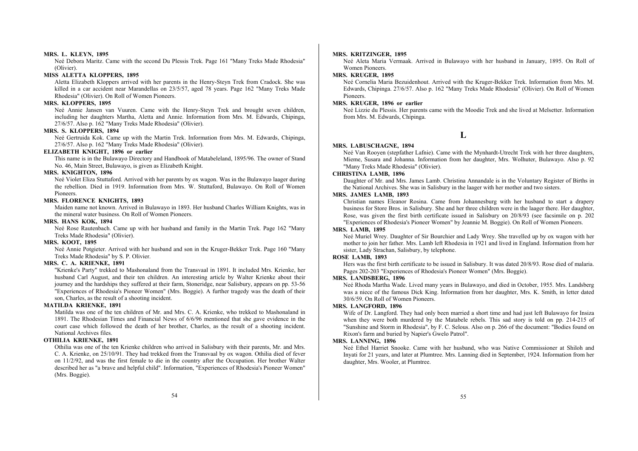#### **MRS. L. KLEYN, 1895**

Neé Debora Maritz. Came with the second Du Plessis Trek. Page 161 "Many Treks Made Rhodesia" (Olivier).

## **MISS ALETTA KLOPPERS, 1895**

Aletta Elizabeth Kloppers arrived with her parents in the Henry-Steyn Trek from Cradock. She was killed in a car accident near Marandellas on 23/5/57, aged 78 years. Page 162 "Many Treks Made Rhodesia" (Olivier). On Roll of Women Pioneers.

## **MRS. KLOPPERS, 1895**

Neé Annie Jansen van Vuuren. Came with the Henry-Steyn Trek and brought seven children, including her daughters Martha, Aletta and Annie. Information from Mrs. M. Edwards, Chipinga, 27/6/57. Also p. 162 "Many Treks Made Rhodesia" (Olivier).

## **MRS. S. KLOPPERS, 1894**

Neé Gertruida Kok. Came up with the Martin Trek. Information from Mrs. M. Edwards, Chipinga, 27/6/57. Also p. 162 "Many Treks Made Rhodesia" (Olivier).

## **ELIZABETH KNIGHT, 1896 or earlier**

This name is in the Bulawayo Directory and Handbook of Matabeleland, 1895/96. The owner of Stand No. 46, Main Street, Bulawayo, is given as Elizabeth Knight.

## **MRS. KNIGHTON, 1896**

Neé Violet Eliza Stuttaford. Arrived with her parents by ox wagon. Was in the Bulawayo laager during the rebellion. Died in 1919. Information from Mrs. W. Stuttaford, Bulawayo. On Roll of Women Pioneers.

## **MRS. FLORENCE KNIGHTS, 1893**

Maiden name not known. Arrived in Bulawayo in 1893. Her husband Charles William Knights, was in the mineral water business. On Roll of Women Pioneers.

#### **MRS. HANS KOK, 1894**

Neé Rose Rautenbach. Came up with her husband and family in the Martin Trek. Page 162 "Many Treks Made Rhodesia" (Olivier).

## **MRS. KOOT, 1895**

Neé Annie Potgieter. Arrived with her husband and son in the Kruger-Bekker Trek. Page 160 "Many Treks Made Rhodesia" by S. P. Olivier.

#### **MRS. C. A. KRIENKE, 1891**

"Krienke's Party" trekked to Mashonaland from the Transvaal in 1891. It included Mrs. Krienke, her husband Carl August, and their ten children. An interesting article by Walter Krienke about their journey and the hardships they suffered at their farm, Stoneridge, near Salisbury, appears on pp. 53-56 "Experiences of Rhodesia's Pioneer Women" (Mrs. Boggie). A further tragedy was the death of their son, Charles, as the result of a shooting incident.

#### **MATILDA KRIENKE, 1891**

Matilda was one of the ten children of Mr. and Mrs. C. A. Krienke, who trekked to Mashonaland in 1891. The Rhodesian Times and Financial News of 6/6/96 mentioned that she gave evidence in the court case which followed the death of her brother, Charles, as the result of a shooting incident. National Archives files.

#### **OTHILIA KRIENKE, 1891**

Othilia was one of the ten Krienke children who arrived in Salisbury with their parents, Mr. and Mrs. C. A. Krienke, on 25/10/91. They had trekked from the Transvaal by ox wagon. Othilia died of fever on 11/2/92, and was the first female to die in the country after the Occupation. Her brother Walter described her as "a brave and helpful child". Information, "Experiences of Rhodesia's Pioneer Women" (Mrs. Boggie).

#### **MRS. KRITZINGER, 1895**

Neé Aleta Maria Vermaak. Arrived in Bulawayo with her husband in January, 1895. On Roll of Women Pioneers.

## **MRS. KRUGER, 1895**

Neé Cornelia Maria Bezuidenhout. Arrived with the Kruger-Bekker Trek. Information from Mrs. M. Edwards, Chipinga. 27/6/57. Also p. 162 "Many Treks Made Rhodesia" (Olivier). On Roll of Women Pioneers.

#### **MRS. KRUGER, 1896 or earlier**

Neé Lizzie du Plessis. Her parents came with the Moodie Trek and she lived at Melsetter. Information from Mrs. M. Edwards, Chipinga.

## **L**

#### **MRS. LABUSCHAGNE, 1894**

Neé Van Rooyen (stepfather Lafnie). Came with the Mynhardt-Utrecht Trek with her three daughters, Mieme, Susara and Johanna. Information from her daughter, Mrs. Wolhuter, Bulawayo. Also p. 92 "Many Treks Made Rhodesia" (Olivier).

## **CHRISTINA LAMB, 1896**

Daughter of Mr. and Mrs. James Lamb. Christina Annandale is in the Voluntary Register of Births in the National Archives. She was in Salisbury in the laager with her mother and two sisters.

## **MRS. JAMES LAMB, 1893**

Christian names Eleanor Rosina. Came from Johannesburg with her husband to start a drapery business for Store Bros. in Salisbury. She and her three children were in the laager there. Her daughter, Rose, was given the first birth certificate issued in Salisbury on 20/8/93 (see facsimile on p. 202 "Experiences of Rhodesia's Pioneer Women" by Jeannie M. Boggie). On Roll of Women Pioneers.

## **MRS. LAMB, 1895**

Neé Muriel Wrey. Daughter of Sir Bourchier and Lady Wrey. She travelled up by ox wagon with her mother to join her father. Mrs. Lamb left Rhodesia in 1921 and lived in England. Information from her sister, Lady Strachan, Salisbury, by telephone.

## **ROSE LAMB, 1893**

Hers was the first birth certificate to be issued in Salisbury. It was dated 20/8/93. Rose died of malaria. Pages 202-203 "Experiences of Rhodesia's Pioneer Women" (Mrs. Boggie).

#### **MRS. LANDSBERG, 1896**

Neé Rhoda Martha Wade. Lived many years in Bulawayo, and died in October, 1955. Mrs. Landsberg was a niece of the famous Dick King. Information from her daughter, Mrs. K. Smith, in letter dated 30/6/59. On Roll of Women Pioneers.

## **MRS. LANGFORD, 1896**

Wife of Dr. Langford. They had only been married a short time and had just left Bulawayo for Insiza when they were both murdered by the Matabele rebels. This sad story is told on pp. 214-215 of "Sunshine and Storm in Rhodesia", by F. C. Selous. Also on p. 266 of the document: "Bodies found on Rixon's farm and buried by Napier's Gwelo Patrol".

## **MRS. LANNING, 1896**

Neé Ethel Harriet Snooke. Came with her husband, who was Native Commissioner at Shiloh and Inyati for 21 years, and later at Plumtree. Mrs. Lanning died in September, 1924. Information from her daughter, Mrs. Wooler, at Plumtree.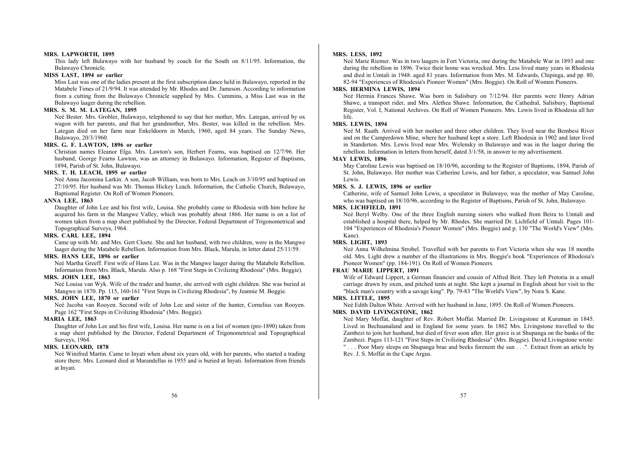#### **MRS. LAPWORTH, 1895**

This lady left Bulawayo with her husband by coach for the South on 8/11/95. Information, the Bulawayo Chronicle.

## **MISS LAST, 1894 or earlier**

Miss Last was one of the ladies present at the first subscription dance held in Bulawayo, reported in the Matabele Times of 21/9/94. It was attended by Mr. Rhodes and Dr. Jameson. According to information from a cutting from the Bulawayo Chronicle supplied by Mrs. Cummins, a Miss Last was in the Bulawayo laager during the rebellion.

#### **MRS. S. M. M. LATEGAN, 1895**

Neé Bester. Mrs. Grobler, Bulawayo, telephoned to say that her mother, Mrs. Lategan, arrived by ox wagon with her parents, and that her grandmother, Mrs. Bester, was killed in the rebellion. Mrs. Lategan died on her farm near Enkeldoorn in March, 1960, aged 84 years. The Sunday News, Bulawayo, 20/3/1960.

## **MRS. G. F. LAWTON, 1896 or earlier**

Christian names Eleanor Elga. Mrs. Lawton's son, Herbert Fearns, was baptised on 12/7/96. Her husband, George Fearns Lawton, was an attorney in Bulawayo. Information, Register of Baptisms, 1894, Parish of St. John, Bulawayo.

## **MRS. T. H. LEACH, 1895 or earlier**

Neé Anna Jacomina Larkin. A son, Jacob William, was born to Mrs. Leach on 3/10/95 and baptised on 27/10/95. Her husband was Mr. Thomas Hickey Leach. Information, the Catholic Church, Bulawayo, Baptismal Register. On Roll of Women Pioneers.

## **ANNA LEE, 1863**

Daughter of John Lee and his first wife, Louisa. She probably came to Rhodesia with him before he acquired his farm in the Mangwe Valley, which was probably about 1866. Her name is on a list of women taken from a map sheet published by the Director, Federal Department of Trigonometrical and Topographical Surveys, 1964.

## **MRS. CARL LEE, 1894**

Came up with Mr. and Mrs. Gert Cloete. She and her husband, with two children, were in the Mangwe laager during the Matabele Rebellion. Information from Mrs. Black, Marula, in letter dated 25/11/59.

## **MRS. HANS LEE, 1896 or earlier**

Neé Martha Greeff. First wife of Hans Lee. Was in the Mangwe laager during the Matabele Rebellion. Information from Mrs. Black, Marula. Also p. 168 "First Steps in Civilizing Rhodesia" (Mrs. Boggie).

#### **MRS. JOHN LEE, 1863**

Neé Louisa van Wyk. Wife of the trader and hunter, she arrived with eight children. She was buried at Mangwe in 1870. Pp. 115, 160-161 "First Steps in Civilizing Rhodesia", by Jeannie M. Boggie.

## **MRS. JOHN LEE, 1870 or earlier**

Neé Jacoba van Rooyen. Second wife of John Lee and sister of the hunter, Cornelius van Rooyen. Page 162 "First Steps in Civilizing Rhodesia" (Mrs. Boggie).

## **MARIA LEE, 1863**

Daughter of John Lee and his first wife, Louisa. Her name is on a list of women (pre-1890) taken from a map sheet published by the Director, Federal Department of Trigonometrical and Topographical Surveys, 1964.

## **MRS. LEONARD, 1878**

Neé Winifred Martin. Came to Inyati when about six years old, with her parents, who started a trading store there. Mrs. Leonard died at Marandellas in 1955 and is buried at Inyati. Information from friends at Inyati.

#### **MRS. LESS, 1892**

Neé Marie Riemer. Was in two laagers in Fort Victoria, one during the Matabele War in 1893 and one during the rebellion in 1896. Twice their home was wrecked. Mrs. Less lived many years in Rhodesia and died in Umtali in 1948. aged 81 years. Information from Mrs. M. Edwards, Chipinga, and pp. 80, 82-94 "Experiences of Rhodesia's Pioneer Women" (Mrs. Boggie). On Roll of Women Pioneers.

#### **MRS. HERMINA LEWIS, 1894**

Neé Hermia Frances Shawe. Was born in Salisbury on 7/12/94. Her parents were Henry Adrian Shawe, a transport rider, and Mrs. Alethea Shawe. Information, the Cathedral, Salisbury, Baptismal Register, Vol. I, National Archives. On Roll of Women Pioneers. Mrs. Lewis lived in Rhodesia all her life.

## **MRS. LEWIS, 1894**

Neé M. Raath. Arrived with her mother and three other children. They lived near the Bembesi River and on the Camperdown Mine, where her husband kept a store. Left Rhodesia in 1902 and later lived in Standerton. Mrs. Lewis lived near Mrs. Welensky in Bulawayo and was in the laager during the rebellion. Information in letters from herself, dated 3/1/58, in answer to my advertisement.

#### **MAY LEWIS, 1896**

May Caroline Lewis was baptised on 18/10/96, according to the Register of Baptisms, 1894, Parish of St. John, Bulawayo. Her mother was Catherine Lewis, and her father, a speculator, was Samuel John Lewis.

#### **MRS. S. J. LEWIS, 1896 or earlier**

Catherine, wife of Samuel John Lewis, a speculator in Bulawayo, was the mother of May Caroline, who was baptised on 18/10/96, according to the Register of Baptisms, Parish of St. John, Bulawayo.

## **MRS. LICHFIELD, 1891**

Neé Beryl Welby. One of the three English nursing sisters who walked from Beira to Umtali and established a hospital there, helped by Mr. Rhodes. She married Dr. Lichfield of Umtali. Pages 101- 104 "Experiences of Rhodesia's Pioneer Women" (Mrs. Boggie) and p. 130 "The World's View" (Mrs. Kane).

### **MRS. LIGHT, 1893**

Neé Anna Wilhelmina Strobel. Travelled with her parents to Fort Victoria when she was 18 months old. Mrs. Light drew a number of the illustrations in Mrs. Boggie's book "Experiences of Rhodesia's Pioneer Women" (pp. 184-191). On Roll of Women Pioneers.

## **FRAU MARIE LIPPERT, 1891**

Wife of Edward Lippert, a German financier and cousin of Alfred Beit. They left Pretoria in a small carriage drawn by oxen, and pitched tents at night. She kept a journal in English about her visit to the "black man's country with a savage king". Pp. 79-83 "The World's View", by Nora S. Kane.

## **MRS. LITTLE, 1895**

Neé Edith Dalton White. Arrived with her husband in June, 1895. On Roll of Women Pioneers. **MRS. DAVID LIVINGSTONE, 1862** 

Neé Mary Moffat, daughter of Rev. Robert Moffat. Married Dr. Livingstone at Kuruman in 1845. Lived in Bechuanaland and in England for some years. In 1862 Mrs. Livingstone travelled to the Zambezi to join her husband, but died of fever soon after. Her grave is at Shupanga on the banks of the Zambezi. Pages 113-121 "First Steps in Civilizing Rhodesia" (Mrs. Boggie). David Livingstone wrote:

" . . . Poor Mary sleeps on Shupanga brae and beeks forenent the sun . . .". Extract from an article by Rev. J. S. Moffat in the Cape Argus.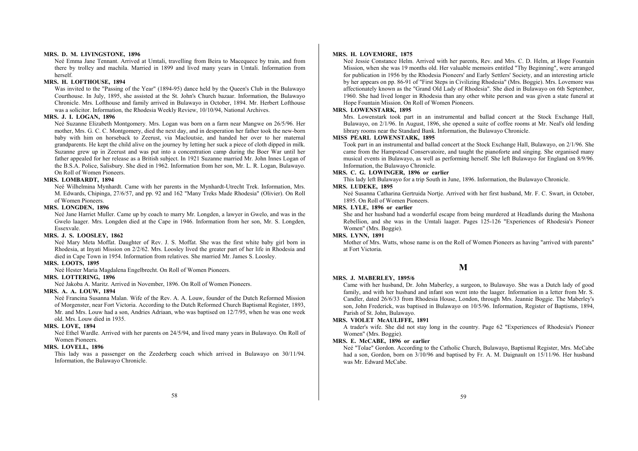#### **MRS. D. M. LIVINGSTONE, 1896**

Neé Emma Jane Tennant. Arrived at Umtali, travelling from Beira to Macequece by train, and from there by trolley and machila. Married in 1899 and lived many years in Umtali. Information from herself.

## **MRS. H. LOFTHOUSE, 1894**

Was invited to the "Passing of the Year" (1894-95) dance held by the Queen's Club in the Bulawayo Courthouse. In July, 1895, she assisted at the St. John's Church bazaar. Information, the Bulawayo Chronicle. Mrs. Lofthouse and family arrived in Bulawayo in October, 1894. Mr. Herbert Lofthouse was a solicitor. Information, the Rhodesia Weekly Review, 10/10/94, National Archives.

#### **MRS. J. I. LOGAN, 1896**

Neé Suzanne Elizabeth Montgomery. Mrs. Logan was born on a farm near Mangwe on 26/5/96. Her mother, Mrs. G. C. C. Montgomery, died the next day, and in desperation her father took the new-born baby with him on horseback to Zeerust, via Macloutsie, and handed her over to her maternal grandparents. He kept the child alive on the journey by letting her suck a piece of cloth dipped in milk. Suzanne grew up in Zeerust and was put into a concentration camp during the Boer War until her father appealed for her release as a British subject. In 1921 Suzanne married Mr. John Innes Logan of the B.S.A. Police, Salisbury. She died in 1962. Information from her son, Mr. L. R. Logan, Bulawayo. On Roll of Women Pioneers.

#### **MRS. LOMBARDT, 1894**

Neé Wilhelmina Mynhardt. Came with her parents in the Mynhardt-Utrecht Trek. Information, Mrs. M. Edwards, Chipinga, 27/6/57, and pp. 92 and 162 "Many Treks Made Rhodesia" (Olivier). On Roll of Women Pioneers.

#### **MRS. LONGDEN, 1896**

Neé Jane Harriet Muller. Came up by coach to marry Mr. Longden, a lawyer in Gwelo, and was in the Gwelo laager. Mrs. Longden died at the Cape in 1946. Information from her son, Mr. S. Longden, Essexvale.

#### **MRS. J. S. LOOSLEY, 1862**

Neé Mary Meta Moffat. Daughter of Rev. J. S. Moffat. She was the first white baby girl born in Rhodesia, at Inyati Mission on 2/2/62. Mrs. Loosley lived the greater part of her life in Rhodesia and died in Cape Town in 1954. Information from relatives. She married Mr. James S. Loosley.

#### **MRS. LOOTS, 1895**

Neé Hester Maria Magdalena Engelbrecht. On Roll of Women Pioneers.

## **MRS. LOTTERING, 1896**

Neé Jakoba A. Maritz. Arrived in November, 1896. On Roll of Women Pioneers.

## **MRS. A. A. LOUW, 1894**

Neé Francina Susanna Malan. Wife of the Rev. A. A. Louw, founder of the Dutch Reformed Mission of Morgenster, near Fort Victoria. According to the Dutch Reformed Church Baptismal Register, 1893, Mr. and Mrs. Louw had a son, Andries Adriaan, who was baptised on 12/7/95, when he was one week old. Mrs. Louw died in 1935.

#### **MRS. LOVE, 1894**

Neé Ethel Wardle. Arrived with her parents on 24/5/94, and lived many years in Bulawayo. On Roll of Women Pioneers.

## **MRS. LOVELL, 1896**

This lady was a passenger on the Zeederberg coach which arrived in Bulawayo on 30/11/94. Information, the Bulawayo Chronicle.

#### **MRS. H. LOVEMORE, 1875**

Neé Jessie Constance Helm. Arrived with her parents, Rev. and Mrs. C. D. Helm, at Hope Fountain Mission, when she was 19 months old. Her valuable memoirs entitled "Thy Beginning", were arranged for publication in 1956 by the Rhodesia Pioneers' and Early Settlers' Society, and an interesting article by her appears on pp. 86-91 of "First Steps in Civilizing Rhodesia" (Mrs. Boggie). Mrs. Lovemore was affectionately known as the "Grand Old Lady of Rhodesia". She died in Bulawayo on 6th September, 1960. She had lived longer in Rhodesia than any other white person and was given a state funeral at Hope Fountain Mission. On Roll of Women Pioneers.

#### **MRS. LOWENSTARK, 1895**

Mrs. Lowenstark took part in an instrumental and ballad concert at the Stock Exchange Hall, Bulawayo, on 2/1/96. In August, 1896, she opened a suite of coffee rooms at Mr. Neal's old lending library rooms near the Standard Bank. Information, the Bulawayo Chronicle.

## **MISS PEARL LOWENSTARK, 1895**

Took part in an instrumental and ballad concert at the Stock Exchange Hall, Bulawayo, on 2/1/96. She came from the Hampstead Conservatoire, and taught the pianoforte and singing. She organised many musical events in Bulawayo, as well as performing herself. She left Bulawayo for England on 8/9/96. Information, the Bulawayo Chronicle.

## **MRS. C. G. LOWINGER, 1896 or earlier**

This lady left Bulawayo for a trip South in June, 1896. Information, the Bulawayo Chronicle.

#### **MRS. LUDEKE, 1895**

Neé Susanna Catharina Gertruida Nortje. Arrived with her first husband, Mr. F. C. Swart, in October, 1895. On Roll of Women Pioneers.

#### **MRS. LYLE, 1896 or earlier**

She and her husband had a wonderful escape from being murdered at Headlands during the Mashona Rebellion, and she was in the Umtali laager. Pages 125-126 "Experiences of Rhodesia's Pioneer Women" (Mrs. Boggie).

## **MRS. LYNN, 1891**

Mother of Mrs. Watts, whose name is on the Roll of Women Pioneers as having "arrived with parents" at Fort Victoria.

## **M**

## **MRS. J. MABERLEY, 1895/6**

Came with her husband, Dr. John Maberley, a surgeon, to Bulawayo. She was a Dutch lady of good family, and with her husband and infant son went into the laager. Information in a letter from Mr. S. Candler, dated 26/6/33 from Rhodesia House, London, through Mrs. Jeannie Boggie. The Maberley's son, John Frederick, was baptised in Bulawayo on 10/5/96. Information, Register of Baptisms, 1894, Parish of St. John, Bulawayo.

#### **MRS. VIOLET McAULIFFE, 1891**

A trader's wife. She did not stay long in the country. Page 62 "Experiences of Rhodesia's Pioneer Women" (Mrs. Boggie).

## **MRS. E. McCABE, 1896 or earlier**

Neé "Tolae" Gordon. According to the Catholic Church, Bulawayo, Baptismal Register, Mrs. McCabe had a son, Gordon, born on 3/10/96 and baptised by Fr. A. M. Daignault on 15/11/96. Her husband was Mr. Edward McCabe.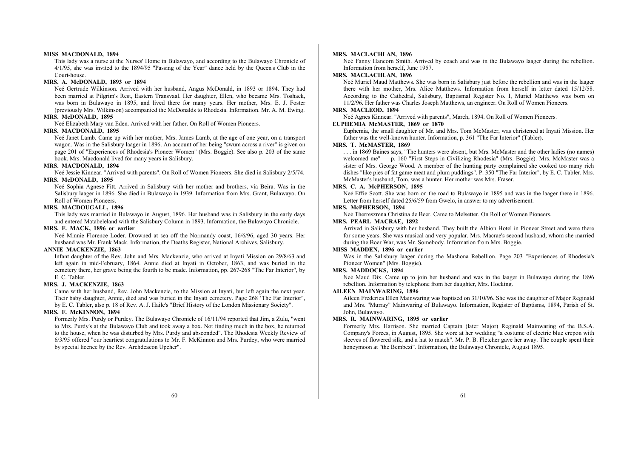#### **MISS MACDONALD, 1894**

This lady was a nurse at the Nurses' Home in Bulawayo, and according to the Bulawayo Chronicle of 4/1/95, she was invited to the 1894/95 "Passing of the Year" dance held by the Queen's Club in the Court-house.

## **MRS. A. McDONALD, 1893 or 1894**

Neé Gertrude Wilkinson. Arrived with her husband, Angus McDonald, in 1893 or 1894. They had been married at Pilgrim's Rest, Eastern Transvaal. Her daughter, Ellen, who became Mrs. Toshack, was born in Bulawayo in 1895, and lived there for many years. Her mother, Mrs. E. J. Foster (previously Mrs. Wilkinson) accompanied the McDonalds to Rhodesia. Information. Mr. A. M. Ewing.

## **MRS. McDONALD, 1895**

Neé Elizabeth Mary van Eden. Arrived with her father. On Roll of Women Pioneers.

#### **MRS. MACDONALD, 1895**

Neé Janet Lamb. Came up with her mother, Mrs. James Lamb, at the age of one year, on a transport wagon. Was in the Salisbury laager in 1896. An account of her being "swum across a river" is given on page 201 of "Experiences of Rhodesia's Pioneer Women" (Mrs. Boggie). See also p. 203 of the same book. Mrs. Macdonald lived for many years in Salisbury.

#### **MRS. MACDONALD, 1894**

Neé Jessie Kinnear. "Arrived with parents". On Roll of Women Pioneers. She died in Salisbury 2/5/74. **MRS. McDONALD, 1895** 

Neé Sophia Agnese Fitt. Arrived in Salisbury with her mother and brothers, via Beira. Was in the Salisbury laager in 1896. She died in Bulawayo in 1939. Information from Mrs. Grant, Bulawayo. On Roll of Women Pioneers.

#### **MRS. MACDOUGALL, 1896**

This lady was married in Bulawayo in August, 1896. Her husband was in Salisbury in the early days and entered Matabeleland with the Salisbury Column in 1893. Information, the Bulawayo Chronicle.

#### **MRS. F. MACK, 1896 or earlier**

Neé Minnie Florence Loder. Drowned at sea off the Normandy coast, 16/6/96, aged 30 years. Her husband was Mr. Frank Mack. Information, the Deaths Register, National Archives, Salisbury.

## **ANNIE MACKENZIE, 1863**

Infant daughter of the Rev. John and Mrs. Mackenzie, who arrived at Inyati Mission on 29/8/63 and left again in mid-February, 1864. Annie died at Inyati in October, 1863, and was buried in the cemetery there, her grave being the fourth to be made. Information, pp. 267-268 "The Far Interior", by E. C. Tabler.

#### **MRS. J. MACKENZIE, 1863**

Came with her husband, Rev. John Mackenzie, to the Mission at Inyati, but left again the next year. Their baby daughter, Annie, died and was buried in the Inyati cemetery. Page 268 'The Far Interior", by E. C. Tabler, also p. 18 of Rev. A. J. Haile's "Brief History of the London Missionary Society".

#### **MRS. F. McKINNON, 1894**

Formerly Mrs. Purdy or Purdey. The Bulawayo Chronicle of 16/11/94 reported that Jim, a Zulu, "went to Mrs. Purdy's at the Bulawayo Club and took away a box. Not finding much in the box, he returned to the house, when he was disturbed by Mrs. Purdy and absconded". The Rhodesia Weekly Review of 6/3/95 offered "our heartiest congratulations to Mr. F. McKinnon and Mrs. Purdey, who were married by special licence by the Rev. Archdeacon Upcher".

#### **MRS. MACLACHLAN, 1896**

Neé Fanny Hancorn Smith. Arrived by coach and was in the Bulawayo laager during the rebellion. Information from herself, June 1957.

#### **MRS. MACLACHLAN, 1896**

Neé Muriel Maud Matthews. She was born in Salisbury just before the rebellion and was in the laager there with her mother, Mrs. Alice Matthews. Information from herself in letter dated 15/12/58. According to the Cathedral, Salisbury, Baptismal Register No. I, Muriel Matthews was born on 11/2/96. Her father was Charles Joseph Matthews, an engineer. On Roll of Women Pioneers.

#### **MRS. MACLEOD, 1894**

Neé Agnes Kinnear. "Arrived with parents", March, 1894. On Roll of Women Pioneers.

## **EUPHEMIA McMASTER, 1869 or 1870**

Euphemia, the small daughter of Mr. and Mrs. Tom McMaster, was christened at Inyati Mission. Her father was the well-known hunter. Information, p. 361 "The Far Interior" (Tabler).

#### **MRS. T. McMASTER, 1869**

. . . in 1869 Baines says, "The hunters were absent, but Mrs. McMaster and the other ladies (no names) welcomed me" — p. 160 "First Steps in Civilizing Rhodesia" (Mrs. Boggie). Mrs. McMaster was a sister of Mrs. George Wood. A member of the hunting party complained she cooked too many rich dishes "like pies of fat game meat and plum puddings". P. 350 "The Far Interior", by E. C. Tabler. Mrs. McMaster's husband, Tom, was a hunter. Her mother was Mrs. Fraser.

#### **MRS. C. A. McPHERSON, 1895**

Neé Effie Scott. She was born on the road to Bulawayo in 1895 and was in the laager there in 1896. Letter from herself dated 25/6/59 from Gwelo, in answer to my advertisement.

#### **MRS. McPHERSON, 1894**

Neé Therreszrena Christina de Beer. Came to Melsetter. On Roll of Women Pioneers.

## **MRS. PEARL MACRAE, 1892**

Arrived in Salisbury with her husband. They built the Albion Hotel in Pioneer Street and were there for some years. She was musical and very popular. Mrs. Macrae's second husband, whom she married during the Boer War, was Mr. Somebody. Information from Mrs. Boggie.

#### **MISS MADDEN, 1896 or earlier**

Was in the Salisbury laager during the Mashona Rebellion. Page 203 "Experiences of Rhodesia's Pioneer Women" (Mrs. Boggie).

#### **MRS. MADDOCKS, 1894**

Neé Maud Dix. Came up to join her husband and was in the laager in Bulawayo during the 1896 rebellion. Information by telephone from her daughter, Mrs. Hocking.

## **AILEEN MAINWARING, 1896**

Aileen Frederica Ellen Mainwaring was baptised on 31/10/96. She was the daughter of Major Reginald and Mrs. "Murray" Mainwaring of Bulawayo. Information, Register of Baptisms, 1894, Parish of St. John, Bulawayo.

#### **MRS. R. MAINWARING, 1895 or earlier**

Formerly Mrs. Harrison. She married Captain (later Major) Reginald Mainwaring of the B.S.A. Company's Forces, in August, 1895. She wore at her wedding "a costume of electric blue crepon with sleeves of flowered silk, and a hat to match". Mr. P. B. Fletcher gave her away. The couple spent their honeymoon at "the Bembezi". Information, the Bulawayo Chronicle, August 1895.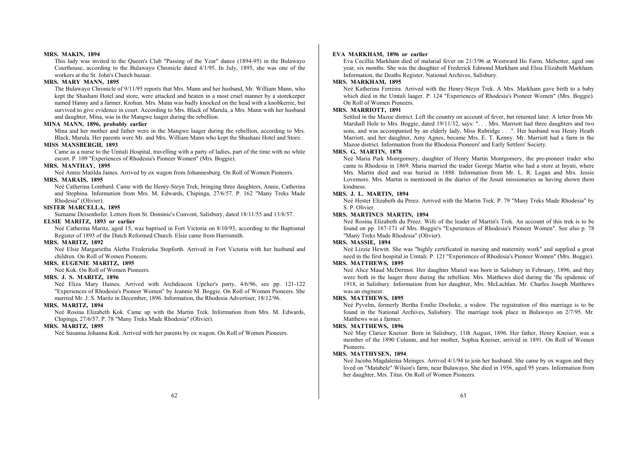#### **MRS. MAKIN, 1894**

This lady was invited to the Queen's Club "Passing of the Year" dance (1894-95) in the Bulawayo Courthouse, according to the Bulawayo Chronicle dated 4/1/95. In July, 1895, she was one of the workers at the St. John's Church bazaar.

#### **MRS. MARY MANN, 1895**

The Bulawayo Chronicle of 9/11/95 reports that Mrs. Mann and her husband, Mr. William Mann, who kept the Shashani Hotel and store, were attacked and beaten in a most cruel manner by a storekeeper named Hanny and a farmer, Krohun. Mrs. Mann was badly knocked on the head with a knobkerrie, but survived to give evidence in court. According to Mrs. Black of Marula, a Mrs. Mann with her husband and daughter, Mina, was in the Mangwe laager during the rebellion.

## **MINA MANN, 1896, probably earlier**

Mina and her mother and father were in the Mangwe laager during the rebellion, according to Mrs. Black, Marula. Her parents were Mr. and Mrs. William Mann who kept the Shashani Hotel and Store.

## **MISS MANSBERGH, 1893**

Came as a nurse to the Umtali Hospital, travelling with a party of ladies, part of the time with no white escort. P. 109 "Experiences of Rhodesia's Pioneer Women" (Mrs. Boggie).

#### **MRS. MANTHAY, 1895**

Neé Annie Matilda James. Arrived by ox wagon from Johannesburg. On Roll of Women Pioneers. **MRS. MARAIS, 1895** 

Neé Catherina Lombard. Came with the Henry-Steyn Trek, bringing three daughters, Annie, Catherina and Stephina. Information from Mrs. M. Edwards, Chipinga, 27/6/57. P. 162 "Many Treks Made Rhodesia" (Olivier).

#### **SISTER MARCELLA, 1895**

Surname Deisenhofer. Letters from St. Dominic's Convent, Salisbury, dated 18/11/55 and 13/8/57.

## **ELSIE MARITZ, 1893 or earlier**

Neé Catherina Maritz, aged 15, was baptised in Fort Victoria on 8/10/93, according to the Baptismal Register of 1893 of the Dutch Reformed Church. Elsie came from Harrismith.

### **MRS. MARITZ, 1892**

Neé Elsie Margarietha Aletha Frederieka Stopforth. Arrived in Fort Victoria with her husband and children. On Roll of Women Pioneers.

## **MRS. EUGENIE MARITZ, 1895**

Neé Kok. On Roll of Women Pioneers.

## **MRS. J. S. MARITZ, 1896**

Neé Eliza Mary Haines. Arrived with Archdeacon Upcher's party, 4/6/96, see pp. 121-122 "Experiences of Rhodesia's Pioneer Women" by Jeannie M. Boggie. On Roll of Women Pioneers. She married Mr. J. S. Maritz in December, 1896. Information, the Rhodesia Advertiser, 18/12/96.

#### **MRS. MARITZ, 1894**

Neé Rosina Elizabeth Kok. Came up with the Martin Trek. Information from Mrs. M. Edwards, Chipinga, 27/6/57. P. 78 "Many Treks Made Rhodesia" (Olivier).

## **MRS. MARITZ, 1895**

Neé Susanna Johanna Kok. Arrived with her parents by ox wagon. On Roll of Women Pioneers.

#### **EVA MARKHAM, 1896 or earlier**

Eva Cecillia Markham died of malarial fever on 21/3/96 at Westward Ho Farm, Melsetter, aged one year, six months. She was the daughter of Frederick Edmond Markham and Elsia Elizabeth Markham. Information, the Deaths Register, National Archives, Salisbury.

## **MRS. MARKHAM, 1895**

Neé Katherina Ferreira. Arrived with the Henry-Steyn Trek. A Mrs. Markham gave birth to a baby which died in the Umtali laager. P. 124 "Experiences of Rhodesia's Pioneer Women" (Mrs. Boggie). On Roll of Women Pioneers.

#### **MRS. MARRIOTT, 1891**

Settled in the Mazoe district. Left the country on account of fever, but returned later. A letter from Mr. Marshall Hole to Mrs. Boggie, dated 19/11/32, says: ". . . Mrs. Marriott had three daughters and two sons, and was accompanied by an elderly lady, Miss Rubridge . . .". Her husband was Henry Heath Marriott, and her daughter, Amy Agnes, became Mrs. E. T. Kenny. Mr. Marriott had a farm in the Mazoe district. Information from the Rhodesia Pioneers' and Early Settlers' Society.

## **MRS. G. MARTIN, 1878**

Neé Maria Park Montgomery, daughter of Henry Martin Montgomery, the pre-pioneer trader who came to Rhodesia in 1869. Maria married the trader George Martin who had a store at Inyati, where Mrs. Martin died and was buried in 1888. Information from Mr. L. R. Logan and Mrs. Jessie Lovemore. Mrs. Martin is mentioned in the diaries of the Jesuit missionaries as having shown them kindness.

## **MRS. J. L. MARTIN, 1894**

Neé Hester Elizabeth du Preez. Arrived with the Martin Trek. P. 79 "Many Treks Made Rhodesia" by S. P. Olivier.

## **MRS. MARTINUS MARTIN, 1894**

Neé Rosina Elizabeth du Preez. Wife of the leader of Martin's Trek. An account of this trek is to be found on pp. 167-171 of Mrs. Boggie's "Experiences of Rhodesia's Pioneer Women". See also p. 78 "Many Treks Made Rhodesia" (Olivier).

### **MRS. MASSIE, 1894**

Neé Lizzie Hewitt. She was "highly certificated in nursing and maternity work" and supplied a great need in the first hospital in Umtali. P. 121 "Experiences of Rhodesia's Pioneer Women" (Mrs. Boggie).

#### **MRS. MATTHEWS, 1895**

Neé Alice Maud McDermot. Her daughter Muriel was born in Salisbury in February, 1896, and they were both in the laager there during the rebellion. Mrs. Matthews died during the 'flu epidemic of 1918, in Salisbury. Information from her daughter, Mrs. McLachlan. Mr. Charles Joseph Matthews was an engineer.

#### **MRS. MATTHEWS, 1895**

Neé Pyvelm, formerly Bertha Emilie Docheke, a widow. The registration of this marriage is to be found in the National Archives, Salisbury. The marriage took place in Bulawayo on 2/7/95. Mr. Matthews was a farmer.

#### **MRS. MATTHEWS, 1896**

Neé May Clarice Kneiser. Born in Salisbury, 11th August, 1896. Her father, Henry Kneiser, was a member of the 1890 Column, and her mother, Sophia Kneiser, arrived in 1891. On Roll of Women Pioneers.

#### **MRS. MATTHYSEN, 1894**

Neé Jacoba Magdaleina Meinges. Arrived 4/1/94 to join her husband. She came by ox wagon and they lived on "Matabele" Wilson's farm, near Bulawayo. She died in 1956, aged 95 years. Information from her daughter, Mrs. Titus. On Roll of Women Pioneers.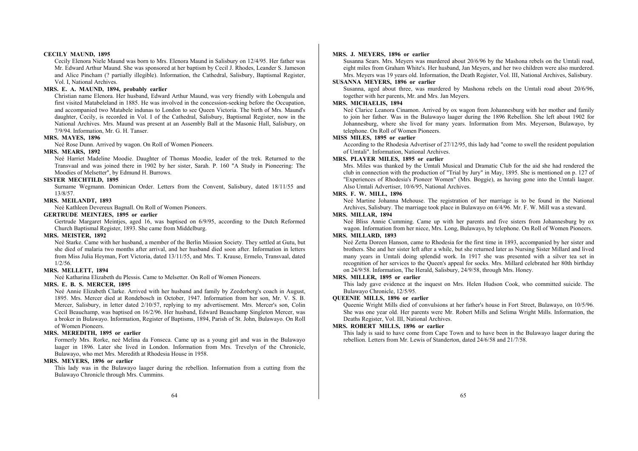#### **CECILY MAUND, 1895**

Cecily Elenora Niele Maund was born to Mrs. Elenora Maund in Salisbury on 12/4/95. Her father was Mr. Edward Arthur Maund. She was sponsored at her baptism by Cecil J. Rhodes, Leander S. Jameson and Alice Pincham (? partially illegible). Information, the Cathedral, Salisbury, Baptismal Register, Vol. I, National Archives.

#### **MRS. E. A. MAUND, 1894, probably earlier**

Christian name Elenora. Her husband, Edward Arthur Maund, was very friendly with Lobengula and first visited Matabeleland in 1885. He was involved in the concession-seeking before the Occupation, and accompanied two Matabele indunas to London to see Queen Victoria. The birth of Mrs. Maund's daughter, Cecily, is recorded in Vol. I of the Cathedral, Salisbury, Baptismal Register, now in the National Archives. Mrs. Maund was present at an Assembly Ball at the Masonic Hall, Salisbury, on 7/9/94. Information, Mr. G. H. Tanser.

#### **MRS. MAYES, 1896**

Neé Rose Dunn. Arrived by wagon. On Roll of Women Pioneers.

#### **MRS. MEARS, 1892**

Neé Harriet Madeline Moodie. Daughter of Thomas Moodie, leader of the trek. Returned to the Transvaal and was joined there in 1902 by her sister, Sarah. P. 160 "A Study in Pioneering: The Moodies of Melsetter", by Edmund H. Burrows.

## **SISTER MECHTILD, 1895**

Surname Wegmann. Dominican Order. Letters from the Convent, Salisbury, dated 18/11/55 and 13/8/57.

## **MRS. MEILANDT, 1893**

Neé Kathleen Devereux Bagnall. On Roll of Women Pioneers.

## **GERTRUDE MEINTJES, 1895 or earlier**

Gertrude Margaret Meintjes, aged 16, was baptised on 6/9/95, according to the Dutch Reformed Church Baptismal Register, 1893. She came from Middelburg.

#### **MRS. MEISTER, 1892**

Neé Starke. Came with her husband, a member of the Berlin Mission Society. They settled at Gutu, but she died of malaria two months after arrival, and her husband died soon after. Information in letters from Miss Julia Heyman, Fort Victoria, dated 13/11/55, and Mrs. T. Krause, Ermelo, Transvaal, dated 1/2/56.

#### **MRS. MELLETT, 1894**

Neé Katharina Elizabeth du Plessis. Came to Melsetter. On Roll of Women Pioneers.

## **MRS. E. B. S. MERCER, 1895**

Neé Annie Elizabeth Clarke. Arrived with her husband and family by Zeederberg's coach in August, 1895. Mrs. Mercer died at Rondebosch in October, 1947. Information from her son, Mr. V. S. B. Mercer, Salisbury, in letter dated 2/10/57, replying to my advertisement. Mrs. Mercer's son, Colin Cecil Beauchamp, was baptised on 16/2/96. Her husband, Edward Beauchamp Singleton Mercer, was a broker in Bulawayo. Information, Register of Baptisms, 1894, Parish of St. John, Bulawayo. On Roll of Women Pioneers.

#### **MRS. MEREDITH, 1895 or earlier**

Formerly Mrs. Rorke, neé Melina da Fonseca. Came up as a young girl and was in the Bulawayo laager in 1896. Later she lived in London. Information from Mrs. Trevelyn of the Chronicle, Bulawayo, who met Mrs. Meredith at Rhodesia House in 1958.

#### **MRS. MEYERS, 1896 or earlier**

This lady was in the Bulawayo laager during the rebellion. Information from a cutting from the Bulawayo Chronicle through Mrs. Cummins.

#### **MRS. J. MEYERS, 1896 or earlier**

Susanna Sears. Mrs. Meyers was murdered about 20/6/96 by the Mashona rebels on the Umtali road, eight miles from Graham White's. Her husband, Jan Meyers, and her two children were also murdered. Mrs. Meyers was 19 years old. Information, the Death Register, Vol. III, National Archives, Salisbury.

## **SUSANNA MEYERS, 1896 or earlier**

Susanna, aged about three, was murdered by Mashona rebels on the Umtali road about 20/6/96, together with her parents, Mr. and Mrs. Jan Meyers.

## **MRS. MICHAELIS, 1894**

Neé Clarice Leanora Cinamon. Arrived by ox wagon from Johannesburg with her mother and family to join her father. Was in the Bulawayo laager during the 1896 Rebellion. She left about 1902 for Johannesburg, where she lived for many years. Information from Mrs. Meyerson, Bulawayo, by telephone. On Roll of Women Pioneers.

## **MISS MILES, 1895 or earlier**

According to the Rhodesia Advertiser of 27/12/95, this lady had "come to swell the resident population of Umtali". Information, National Archives.

## **MRS. PLAYER MILES, 1895 or earlier**

Mrs. Miles was thanked by the Umtali Musical and Dramatic Club for the aid she had rendered the club in connection with the production of "Trial by Jury" in May, 1895. She is mentioned on p. 127 of "Experiences of Rhodesia's Pioneer Women" (Mrs. Boggie), as having gone into the Umtali laager. Also Umtali Advertiser, 10/6/95, National Archives.

## **MRS. F. W. MILL, 1896**

Neé Martine Johanna Mehouse. The registration of her marriage is to be found in the National Archives, Salisbury. The marriage took place in Bulawayo on 6/4/96. Mr. F. W. Mill was a steward.

#### **MRS. MILLAR, 1894**

Neé Bliss Annie Cumming. Came up with her parents and five sisters from Johannesburg by ox wagon. Information from her niece, Mrs. Long, Bulawayo, by telephone. On Roll of Women Pioneers.

## **MRS. MILLARD, 1893**

Neé Zetta Doreen Hanson, came to Rhodesia for the first time in 1893, accompanied by her sister and brothers. She and her sister left after a while, but she returned later as Nursing Sister Millard and lived many years in Umtali doing splendid work. In 1917 she was presented with a silver tea set in recognition of her services to the Queen's appeal for socks. Mrs. Millard celebrated her 80th birthday on 24/9/58. Information, The Herald, Salisbury, 24/9/58, through Mrs. Honey.

#### **MRS. MILLER, 1895 or earlier**

This lady gave evidence at the inquest on Mrs. Helen Hudson Cook, who committed suicide. The Bulawayo Chronicle, 12/5/95.

## **QUEENIE MILLS, 1896 or earlier**

Queenie Wright Mills died of convulsions at her father's house in Fort Street, Bulawayo, on 10/5/96. She was one year old. Her parents were Mr. Robert Mills and Selima Wright Mills. Information, the Deaths Register, Vol. III, National Archives.

#### **MRS. ROBERT MILLS, 1896 or earlier**

This lady is said to have come from Cape Town and to have been in the Bulawayo laager during the rebellion. Letters from Mr. Lewis of Standerton, dated 24/6/58 and 21/7/58.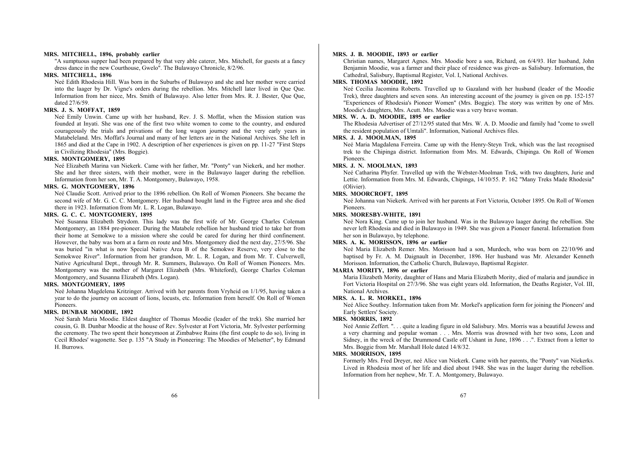#### **MRS. MITCHELL, 1896, probably earlier**

"A sumptuous supper had been prepared by that very able caterer, Mrs. Mitchell, for guests at a fancy dress dance in the new Courthouse, Gwelo". The Bulawayo Chronicle, 8/2/96.

## **MRS. MITCHELL, 1896**

Neé Edith Rhodesia Hill. Was born in the Suburbs of Bulawayo and she and her mother were carried into the laager by Dr. Vigne's orders during the rebellion. Mrs. Mitchell later lived in Que Que. Information from her niece, Mrs. Smith of Bulawayo. Also letter from Mrs. R. J. Bester, Que Que, dated 27/6/59.

#### **MRS. J. S. MOFFAT, 1859**

Neé Emily Unwin. Came up with her husband, Rev. J. S. Moffat, when the Mission station was founded at Inyati. She was one of the first two white women to come to the country, and endured courageously the trials and privations of the long wagon journey and the very early years in Matabeleland. Mrs. Moffat's Journal and many of her letters are in the National Archives. She left in 1865 and died at the Cape in 1902. A description of her experiences is given on pp. 11-27 "First Steps in Civilizing Rhodesia" (Mrs. Boggie).

#### **MRS. MONTGOMERY, 1895**

Neé Elizabeth Marina van Niekerk. Came with her father, Mr. "Ponty" van Niekerk, and her mother. She and her three sisters, with their mother, were in the Bulawayo laager during the rebellion. Information from her son, Mr. T. A. Montgomery, Bulawayo, 1958.

#### **MRS. G. MONTGOMERY, 1896**

Neé Claudie Scott. Arrived prior to the 1896 rebellion. On Roll of Women Pioneers. She became the second wife of Mr. G. C. C. Montgomery. Her husband bought land in the Figtree area and she died there in 1923. Information from Mr. L. R. Logan, Bulawayo.

## **MRS. G. C. C. MONTGOMERY, 1895**

Neé Susanna Elizabeth Strydom. This lady was the first wife of Mr. George Charles Coleman Montgomery, an 1884 pre-pioneer. During the Matabele rebellion her husband tried to take her from their home at Semokwe to a mission where she could be cared for during her third confinement. However, the baby was born at a farm en route and Mrs. Montgomery died the next day, 27/5/96. She was buried "in what is now Special Native Area B of the Semokwe Reserve, very close to the Semokwee River". Information from her grandson, Mr. L. R. Logan, and from Mr. T. Culverwell, Native Agricultural Dept., through Mr. R. Summers, Bulawayo. On Roll of Women Pioneers. Mrs. Montgomery was the mother of Margaret Elizabeth (Mrs. Whiteford), George Charles Coleman Montgomery, and Susanna Elizabeth (Mrs. Logan).

## **MRS. MONTGOMERY, 1895**

Neé Johanna Magdelena Kritzinger. Arrived with her parents from Vryheid on 1/1/95, having taken a year to do the journey on account of lions, locusts, etc. Information from herself. On Roll of Women Pioneers.

#### **MRS. DUNBAR MOODIE, 1892**

Neé Sarah Maria Moodie. Eldest daughter of Thomas Moodie (leader of the trek). She married her cousin, G. B. Dunbar Moodie at the house of Rev. Sylvester at Fort Victoria, Mr. Sylvester performing the ceremony. The two spent their honeymoon at Zimbabwe Ruins (the first couple to do so), living in Cecil Rhodes' wagonette. See p. 135 "A Study in Pioneering: The Moodies of Melsetter", by Edmund H. Burrows.

#### **MRS. J. B. MOODIE, 1893 or earlier**

Christian names, Margaret Agnes. Mrs. Moodie bore a son, Richard, on 6/4/93. Her husband, John Benjamin Moodie, was a farmer and their place of residence was given- as Salisbury. Information, the Cathedral, Salisbury, Baptismal Register, Vol. I, National Archives.

## **MRS. THOMAS MOODIE, 1892**

Neé Cecilia Jacomina Roberts. Travelled up to Gazaland with her husband (leader of the Moodie Trek), three daughters and seven sons. An interesting account of the journey is given on pp. 152-157 "Experiences of Rhodesia's Pioneer Women" (Mrs. Boggie). The story was written by one of Mrs. Moodie's daughters, Mrs. Acutt. Mrs. Moodie was a very brave woman.

## **MRS. W. A. D. MOODIE, 1895 or earlier**

The Rhodesia Advertiser of 27/12/95 stated that Mrs. W. A. D. Moodie and family had "come to swell the resident population of Umtali". Information, National Archives files.

## **MRS. J. J. MOOLMAN, 1895**

Neé Maria Magdalena Ferreira. Came up with the Henry-Steyn Trek, which was the last recognised trek to the Chipinga district. Information from Mrs. M. Edwards, Chipinga. On Roll of Women Pioneers.

#### **MRS. J. N. MOOLMAN, 1893**

Neé Catharina Phyfer. Travelled up with the Webster-Moolman Trek, with two daughters, Jurie and Lettie. Information from Mrs. M. Edwards, Chipinga, 14/10/55. P. 162 "Many Treks Made Rhodesia" (Olivier).

## **MRS. MOORCROFT, 1895**

Neé Johanna van Niekerk. Arrived with her parents at Fort Victoria, October 1895. On Roll of Women Pioneers.

#### **MRS. MORESBY-WHITE, 1891**

Neé Nora King. Came up to join her husband. Was in the Bulawayo laager during the rebellion. She never left Rhodesia and died in Bulawayo in 1949. She was given a Pioneer funeral. Information from her son in Bulawayo, by telephone.

## **MRS. A. K. MORISSON, 1896 or earlier**

Neé Maria Elizabeth Remer. Mrs. Morisson had a son, Murdoch, who was born on 22/10/96 and baptised by Fr. A. M. Daignault in December, 1896. Her husband was Mr. Alexander Kenneth Morisson. Information, the Catholic Church, Bulawayo, Baptismal Register.

## **MARIA MORITY, 1896 or earlier**

Maria Elizabeth Mority, daughter of Hans and Maria Elizabeth Mority, died of malaria and jaundice in Fort Victoria Hospital on 27/3/96. She was eight years old. Information, the Deaths Register, Vol. III, National Archives.

## **MRS. A. L. R. MORKEL, 1896**

Neé Alice Southey. Information taken from Mr. Morkel's application form for joining the Pioneers' and Early Settlers' Society.

## **MRS. MORRIS, 1892**

Neé Annie Zeffert. ". . . quite a leading figure in old Salisbury. Mrs. Morris was a beautiful Jewess and a very charming and popular woman . . . Mrs. Morris was drowned with her two sons, Leon and Sidney, in the wreck of the Drummond Castle off Ushant in June, 1896 . . .". Extract from a letter to Mrs. Boggie from Mr. Marshall Hole dated 14/8/32.

## **MRS. MORRISON, 1895**

Formerly Mrs. Fred Dreyer, neé Alice van Niekerk. Came with her parents, the "Ponty" van Niekerks. Lived in Rhodesia most of her life and died about 1948. She was in the laager during the rebellion. Information from her nephew, Mr. T. A. Montgomery, Bulawayo.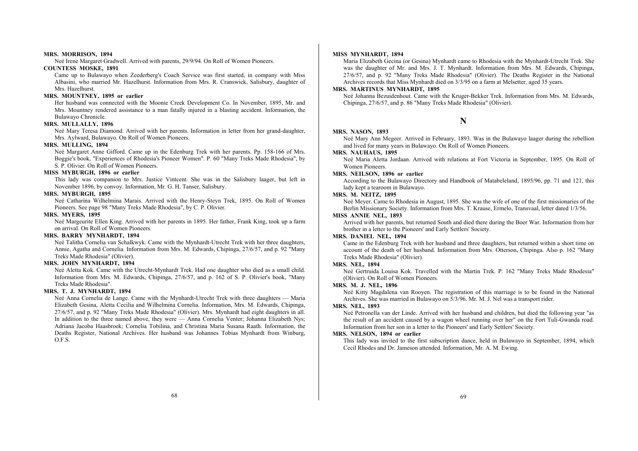#### **MRS. MORRISON, 1894**

Neé Irene Margaret Gradwell. Arrived with parents, 29/9/94. On Roll of Women Pioneers.

## **COUNTESS MOSKE, 1891**

Came up to Bulawayo when Zeederberg's Coach Service was first started, in company with Miss Albasini, who married Mr. Hazelhurst. Information from Mrs. R. Cranswick, Salisbury, daughter of Mrs. Hazelhurst.

## **MRS. MOUNTNEY, 1895 or earlier**

Her husband was connected with the Moonie Creek Development Co. In November, 1895, Mr. and Mrs. Mountney rendered assistance to a man fatally injured in a blasting accident. Information, the Bulawayo Chronicle.

## **MRS. MULLALLY, 1896**

Neé Mary Teresa Diamond. Arrived with her parents. Information in letter from her grand-daughter, Mrs. Aylward, Bulawayo. On Roll of Women Pioneers.

#### **MRS. MULLING, 1894**

Neé Margaret Anne Gifford. Came up in the Edenburg Trek with her parents. Pp. 158-166 of Mrs. Boggie's book, "Experiences of Rhodesia's Pioneer Women". P. 60 "Many Treks Made Rhodesia", by S. P. Olivier. On Roll of Women Pioneers.

#### **MISS MYBURGH, 1896 or earlier**

This lady was companion to Mrs. Justice Vintcent. She was in the Salisbury laager, but left in November 1896, by convoy. Information, Mr. G. H. Tanser, Salisbury.

#### **MRS. MYBURGH, 1895**

Neé Catharina Wilhelmina Marais. Arrived with the Henry-Steyn Trek, 1895. On Roll of Women Pioneers. See page 98 "Many Treks Made Rhodesia", by C. P. Olivier.

#### **MRS. MYERS, 1895**

Neé Margeurite Ellen King. Arrived with her parents in 1895. Her father, Frank King, took up a farm on arrival. On Roll of Women Pioneers.

#### **MRS. BARRY MYNHARDT, 1894**

Neé Talitha Cornelia van Schalkwyk. Came with the Mynhardt-Utrecht Trek with her three daughters, Annie, Agatha and Cornelia. Information from Mrs. M. Edwards, Chipinga, 27/6/57, and p. 92 "Many Treks Made Rhodesia" (Olivier).

#### **MRS. JOHN MYNHARDT, 1894**

Neé Aletta Kok. Came with the Utrecht-Mynhardt Trek. Had one daughter who died as a small child. Information from Mrs. M. Edwards, Chipinga, 27/6/57, and p. 162 of S. P. Olivier's book, "Many Treks Made Rhodesia".

#### **MRS. T. J. MYNHARDT, 1894**

Neé Anna Cornelia de Lange. Came with the Mynhardt-Utrecht Trek with three daughters — Maria Elizabeth Gesina, Aletta Cecilia and Wilhelmina Cornelia. Information, Mrs. M. Edwards, Chipinga, 27/6/57, and p. 92 "Many Treks Made Rhodesia" (Olivier). Mrs. Mynhardt had eight daughters in all. In addition to the three named above, they were — Anna Cornelia Venter; Johanna Elizabeth Nys; Adriana Jacoba Haasbroek; Cornelia Tobilina, and Christina Maria Susana Raath. Information, the Deaths Register, National Archives. Her husband was Johannes Tobias Mynhardt from Winburg, O.F.S.

#### **MISS MYNHARDT, 1894**

Maria Elizabeth Gecina (or Gesina) Mynhardt came to Rhodesia with the Mynhardt-Utrecht Trek. She was the daughter of Mr. and Mrs. J. T. Mynhardt. Information from Mrs. M. Edwards, Chipinga, 27/6/57, and p. 92 "Many Treks Made Rhodesia" (Olivier). The Deaths Register in the National Archives records that Miss Mynhardt died on 3/3/95 on a farm at Melsetter, aged 35 years.

#### **MRS. MARTINUS MYNHARDT, 1895**

Neé Johanna Bezuidenhout. Came with the Kruger-Bekker Trek. Information from Mrs. M. Edwards, Chipinga, 27/6/57, and p. 86 "Many Treks Made Rhodesia" (Olivier).

## **N**

## **MRS. NASON, 1893**

Neé Mary Ann Megeer. Arrived in February, 1893. Was in the Bulawayo laager during the rebellion and lived for many years in Bulawayo. On Roll of Women Pioneers.

## **MRS. NAUHAUS, 1895**

Neé Maria Aletta Jordaan. Arrived with relations at Fort Victoria in September, 1895. On Roll of Women Pioneers.

#### **MRS. NEILSON, 1896 or earlier**

According to the Bulawayo Directory and Handbook of Matabeleland, 1895/96, pp. 71 and 121, this lady kept a tearoom in Bulawayo.

## **MRS. M. NEITZ, 1895**

Neé Meyer. Came to Rhodesia in August, 1895. She was the wife of one of the first missionaries of the Berlin Missionary Society. Information from Mrs. T. Krause, Ermelo, Transvaal, letter dated 1/3/56.

#### **MISS ANNIE NEL, 1893**

Arrived with her parents, but returned South and died there during the Boer War. Information from her brother in a letter to the Pioneers' and Early Settlers' Society.

## **MRS. DANIEL NEL, 1894**

Came in the Edenburg Trek with her husband and three daughters, but returned within a short time on account of the death of her husband. Information from Mrs. Otterson, Chipinga. Also p. 162 "Many Treks Made Rhodesia" (Olivier).

## **MRS. NEL, 1894**

Neé Gertruida Louisa Kok. Travelled with the Martin Trek. P. 162 "Many Treks Made Rhodesia" (Olivier). On Roll of Women Pioneers.

## **MRS. M. J. NEL, 1896**

Neé Kitty Magdalena van Rooyen. The registration of this marriage is to be found in the National Archives. She was married in Bulawayo on 5/3/96. Mr. M. J. Nel was a transport rider.

## **MRS. NEL, 1893**

Neé Petronella van der Linde. Arrived with her husband and children, but died the following year "as the result of an accident caused by a wagon wheel running over her" on the Fort Tuli-Gwanda road. Information from her son in a letter to the Pioneers' and Early Settlers' Society.

#### **MRS. NELSON, 1894 or earlier**

This lady was invited to the first subscription dance, held in Bulawayo in September, 1894, which Cecil Rhodes and Dr. Jameson attended. Information, Mr. A. M. Ewing.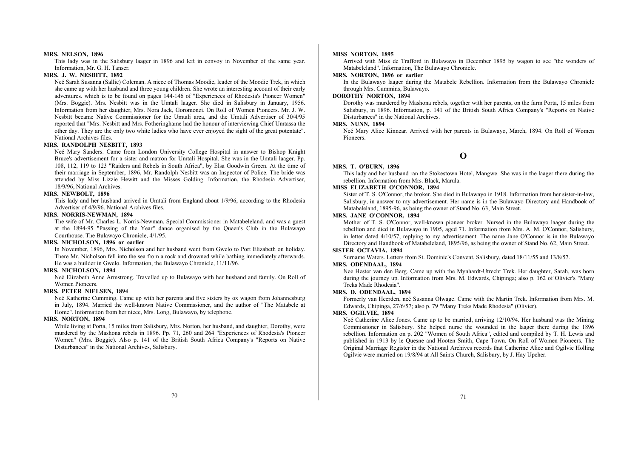#### **MRS. NELSON, 1896**

This lady was in the Salisbury laager in 1896 and left in convoy in November of the same year. Information, Mr. G. H. Tanser.

## **MRS. J. W. NESBITT, 1892**

Neé Sarah Susanna (Sallie) Coleman. A niece of Thomas Moodie, leader of the Moodie Trek, in which she came up with her husband and three young children. She wrote an interesting account of their early adventures. which is to be found on pages 144-146 of "Experiences of Rhodesia's Pioneer Women" (Mrs. Boggie). Mrs. Nesbitt was in the Umtali laager. She died in Salisbury in January, 1956. Information from her daughter, Mrs. Nora Jack, Goromonzi. On Roll of Women Pioneers. Mr. J. W. Nesbitt became Native Commissioner for the Umtali area, and the Umtali Advertiser of 30/4/95 reported that "Mrs. Nesbitt and Mrs. Fotheringhame had the honour of interviewing Chief Umtassa the other day. They are the only two white ladies who have ever enjoyed the sight of the great potentate". National Archives files.

## **MRS. RANDOLPH NESBITT, 1893**

Neé Mary Sanders. Came from London University College Hospital in answer to Bishop Knight Bruce's advertisement for a sister and matron for Umtali Hospital. She was in the Umtali laager. Pp. 108, 112, 119 to 123 "Raiders and Rebels in South Africa", by Elsa Goodwin Green. At the time of their marriage in September, 1896, Mr. Randolph Nesbitt was an Inspector of Police. The bride was attended by Miss Lizzie Hewitt and the Misses Golding. Information, the Rhodesia Advertiser, 18/9/96, National Archives.

## **MRS. NEWBOLT, 1896**

This lady and her husband arrived in Umtali from England about 1/9/96, according to the Rhodesia Advertiser of 4/9/96. National Archives files.

#### **MRS. NORRIS-NEWMAN, 1894**

The wife of Mr. Charles L. Norris-Newman, Special Commissioner in Matabeleland, and was a guest at the 1894-95 "Passing of the Year" dance organised by the Queen's Club in the Bulawayo Courthouse. The Bulawayo Chronicle, 4/1/95.

## **MRS. NICHOLSON, 1896 or earlier**

In November, 1896, Mrs. Nicholson and her husband went from Gwelo to Port Elizabeth on holiday. There Mr. Nicholson fell into the sea from a rock and drowned while bathing immediately afterwards. He was a builder in Gwelo. Information, the Bulawayo Chronicle, 11/11/96.

#### **MRS. NICHOLSON, 1894**

Neé Elizabeth Anne Armstrong. Travelled up to Bulawayo with her husband and family. On Roll of Women Pioneers.

#### **MRS. PETER NIELSEN, 1894**

Neé Katherine Cumming. Came up with her parents and five sisters by ox wagon from Johannesburg in July, 1894. Married the well-known Native Commissioner, and the author of "The Matabele at Home". Information from her niece, Mrs. Long, Bulawayo, by telephone.

#### **MRS. NORTON, 1894**

While living at Porta, 15 miles from Salisbury, Mrs. Norton, her husband, and daughter, Dorothy, were murdered by the Mashona rebels in 1896. Pp. 71, 260 and 264 "Experiences of Rhodesia's Pioneer Women" (Mrs. Boggie). Also p. 141 of the British South Africa Company's "Reports on Native Disturbances" in the National Archives, Salisbury.

#### **MISS NORTON, 1895**

Arrived with Miss de Trafford in Bulawayo in December 1895 by wagon to see "the wonders of Matabeleland". Information, The Bulawayo Chronicle.

## **MRS. NORTON, 1896 or earlier**

In the Bulawayo laager during the Matabele Rebellion. Information from the Bulawayo Chronicle through Mrs. Cummins, Bulawayo.

## **DOROTHY NORTON, 1894**

Dorothy was murdered by Mashona rebels, together with her parents, on the farm Porta, 15 miles from Salisbury, in 1896. Information, p. 141 of the British South Africa Company's "Reports on Native Disturbances" in the National Archives.

## **MRS. NUNN, 1894**

Neé Mary Alice Kinnear. Arrived with her parents in Bulawayo, March, 1894. On Roll of Women Pioneers.

## **O**

#### **MRS. T. O'BURN, 1896**

This lady and her husband ran the Stokestown Hotel, Mangwe. She was in the laager there during the rebellion. Information from Mrs. Black, Marula.

## **MISS ELIZABETH O'CONNOR, 1894**

Sister of T. S. O'Connor, the broker. She died in Bulawayo in 1918. Information from her sister-in-law, Salisbury, in answer to my advertisement. Her name is in the Bulawayo Directory and Handbook of Matabeleland, 1895-96, as being the owner of Stand No. 63, Main Street.

## **MRS. JANE O'CONNOR, 1894**

Mother of T. S. O'Connor, well-known pioneer broker. Nursed in the Bulawayo laager during the rebellion and died in Bulawayo in 1905, aged 71. Information from Mrs. A. M. O'Connor, Salisbury, in letter dated 4/10/57, replying to my advertisement. The name Jane O'Connor is in the Bulawayo Directory and Handbook of Matabeleland, 1895/96, as being the owner of Stand No. 62, Main Street.

#### **SISTER OCTAVIA, 1894**

Surname Waters. Letters from St. Dominic's Convent, Salisbury, dated 18/11/55 and 13/8/57.

#### **MRS. ODENDAAL, 1894**

Neé Hester van den Berg. Came up with the Mynhardt-Utrecht Trek. Her daughter, Sarah, was born during the journey up. Information from Mrs. M. Edwards, Chipinga; also p. 162 of Olivier's "Many Treks Made Rhodesia".

#### **MRS. D. ODENDAAL, 1894**

Formerly van Heerden, neé Susanna Olwage. Came with the Martin Trek. Information from Mrs. M. Edwards, Chipinga, 27/6/57; also p. 79 "Many Treks Made Rhodesia" (Olivier).

## **MRS. OGILVIE, 1894**

Neé Catherine Alice Jones. Came up to be married, arriving 12/10/94. Her husband was the Mining Commissioner in Salisbury. She helped nurse the wounded in the laager there during the 1896 rebellion. Information on p. 202 "Women of South Africa", edited and compiled by T. H. Lewis and published in 1913 by le Quesne and Hooten Smith, Cape Town. On Roll of Women Pioneers. The Original Marriage Register in the National Archives records that Catherine Alice and Ogilvie Holling Ogilvie were married on 19/8/94 at All Saints Church, Salisbury, by J. Hay Upcher.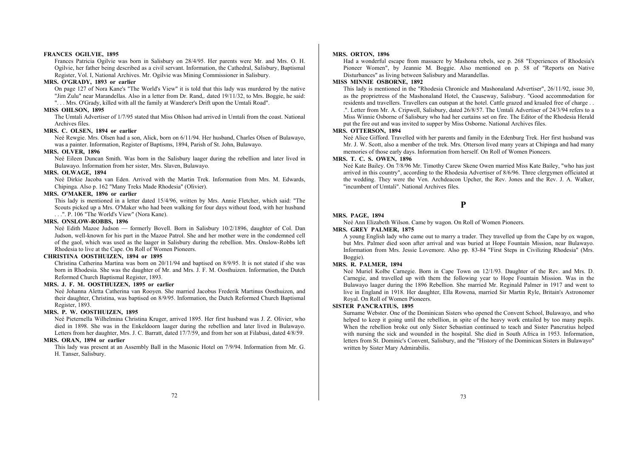#### **FRANCES OGILVIE, 1895**

Frances Patricia Ogilvie was born in Salisbury on 28/4/95. Her parents were Mr. and Mrs. O. H. Ogilvie, her father being described as a civil servant. Information, the Cathedral, Salisbury, Baptismal Register, Vol. I, National Archives. Mr. Ogilvie was Mining Commissioner in Salisbury.

#### **MRS. O'GRADY, 1893 or earlier**

On page 127 of Nora Kane's "The World's View" it is told that this lady was murdered by the native "Jim Zulu" near Marandellas. Also in a letter from Dr. Rand,. dated 19/11/32, to Mrs. Boggie, he said:

". . . Mrs. O'Grady, killed with all the family at Wanderer's Drift upon the Umtali Road".

#### **MISS OHLSON, 1895**

The Umtali Advertiser of 1/7/95 stated that Miss Ohlson had arrived in Umtali from the coast. National Archives files.

#### **MRS. C. OLSEN, 1894 or earlier**

Neé Rewgie. Mrs. Olsen had a son, Alick, born on 6/11/94. Her husband, Charles Olsen of Bulawayo, was a painter. Information, Register of Baptisms, 1894, Parish of St. John, Bulawayo.

## **MRS. OLVER, 1896**

Neé Eileen Duncan Smith. Was born in the Salisbury laager during the rebellion and later lived in Bulawayo. Information from her sister, Mrs. Slaven, Bulawayo.

## **MRS. OLWAGE, 1894**

Neé Dirkie Jacoba van Eden. Arrived with the Martin Trek. Information from Mrs. M. Edwards, Chipinga. Also p. 162 "Many Treks Made Rhodesia" (Olivier).

#### **MRS. O'MAKER, 1896 or earlier**

This lady is mentioned in a letter dated 15/4/96, written by Mrs. Annie Fletcher, which said: "The Scouts picked up a Mrs. O'Maker who had been walking for four days without food, with her husband . . .". P. 106 "The World's View" (Nora Kane).

#### **MRS. ONSLOW-ROBBS, 1896**

Neé Edith Mazoe Judson — formerly Bovell. Born in Salisbury 10/2/1896, daughter of Col. Dan Judson, well-known for his part in the Mazoe Patrol. She and her mother were in the condemned cell of the gaol, which was used as the laager in Salisbury during the rebellion. Mrs. Onslow-Robbs left Rhodesia to live at the Cape. On Roll of Women Pioneers.

#### **CHRISTINA OOSTHUIZEN, 1894 or 1895**

Christina Catherina Martina was born on 20/11/94 and baptised on 8/9/95. It is not stated if she was born in Rhodesia. She was the daughter of Mr. and Mrs. J. F. M. Oosthuizen. Information, the Dutch Reformed Church Baptismal Register, 1893.

## **MRS. J. F. M. OOSTHUIZEN, 1895 or earlier**

Neé Johanna Aletta Catherina van Rooyen. She married Jacobus Frederik Martinus Oosthuizen, and their daughter, Christina, was baptised on 8/9/95. Information, the Dutch Reformed Church Baptismal Register, 1893.

#### **MRS. P. W. OOSTHUIZEN, 1895**

Neé Pieternella Wilhelmina Christina Kruger, arrived 1895. Her first husband was J. Z. Olivier, who died in 1898. She was in the Enkeldoorn laager during the rebellion and later lived in Bulawayo. Letters from her daughter, Mrs. J. C. Barratt, dated 17/7/59, and from her son at Filabusi, dated 4/8/59.

## **MRS. ORAN, 1894 or earlier**

This lady was present at an Assembly Ball in the Masonic Hotel on 7/9/94. Information from Mr. G. H. Tanser, Salisbury.

#### **MRS. ORTON, 1896**

Had a wonderful escape from massacre by Mashona rebels, see p. 268 "Experiences of Rhodesia's Pioneer Women", by Jeannie M. Boggie. Also mentioned on p. 58 of "Reports on Native Disturbances" as living between Salisbury and Marandellas.

#### **MISS MINNIE OSBORNE, 1892**

This lady is mentioned in the "Rhodesia Chronicle and Mashonaland Advertiser", 26/11/92, issue 30, as the proprietress of the Mashonaland Hotel, the Causeway, Salisbury. "Good accommodation for residents and travellers. Travellers can outspan at the hotel. Cattle grazed and kraaled free of charge . . .". Letter from Mr. A. Cripwell, Salisbury, dated 26/8/57. The Umtali Advertiser of 24/3/94 refers to a Miss Winnie Osborne of Salisbury who had her curtains set on fire. The Editor of the Rhodesia Herald put the fire out and was invited to supper by Miss Osborne. National Archives files.

#### **MRS. OTTERSON, 1894**

Neé Alice Gifford. Travelled with her parents and family in the Edenburg Trek. Her first husband was Mr. J. W. Scott, also a member of the trek. Mrs. Otterson lived many years at Chipinga and had many memories of those early days. Information from herself. On Roll of Women Pioneers.

## **MRS. T. C. S. OWEN, 1896**

Neé Kate Bailey. On 7/8/96 Mr. Timothy Carew Skene Owen married Miss Kate Bailey, "who has just arrived in this country", according to the Rhodesia Advertiser of 8/6/96. Three clergymen officiated at the wedding. They were the Ven. Archdeacon Upcher, the Rev. Jones and the Rev. J. A. Walker, "incumbent of Umtali". National Archives files.

## **P**

#### **MRS. PAGE, 1894**

Neé Ann Elizabeth Wilson. Came by wagon. On Roll of Women Pioneers.

#### **MRS. GREY PALMER, 1875**

A young English lady who came out to marry a trader. They travelled up from the Cape by ox wagon, but Mrs. Palmer died soon after arrival and was buried at Hope Fountain Mission, near Bulawayo. Information from Mrs. Jessie Lovemore. Also pp. 83-84 "First Steps in Civilizing Rhodesia" (Mrs. Boggie).

## **MRS. R. PALMER, 1894**

Neé Muriel Kolbe Carnegie. Born in Cape Town on 12/1/93. Daughter of the Rev. and Mrs. D. Carnegie, and travelled up with them the following year to Hope Fountain Mission. Was in the Bulawayo laager during the 1896 Rebellion. She married Mr. Reginald Palmer in 1917 and went to live in England in 1918. Her daughter, Ella Rowena, married Sir Martin Ryle, Britain's Astronomer Royal. On Roll of Women Pioneers.

## **SISTER PANCRATIUS, 1895**

Surname Webster. One of the Dominican Sisters who opened the Convent School, Bulawayo, and who helped to keep it going until the rebellion, in spite of the heavy work entailed by too many pupils. When the rebellion broke out only Sister Sebastian continued to teach and Sister Pancratius helped with nursing the sick and wounded in the hospital. She died in South Africa in 1953. Information, letters from St. Dominic's Convent, Salisbury, and the "History of the Dominican Sisters in Bulawayo" written by Sister Mary Admirabilis.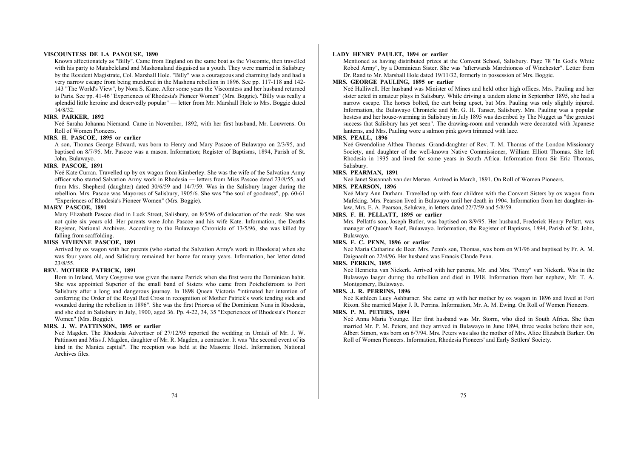#### **VISCOUNTESS DE LA PANOUSE, 1890**

Known affectionately as "Billy". Came from England on the same boat as the Viscomte, then travelled with his party to Matabeleland and Mashonaland disguised as a youth. They were married in Salisbury by the Resident Magistrate, Col. Marshall Hole. "Billy" was a courageous and charming lady and had a very narrow escape from being murdered in the Mashona rebellion in 1896. See pp. 117-118 and 142- 143 "The World's View", by Nora S. Kane. After some years the Viscomtess and her husband returned to Paris. See pp. 41-46 "Experiences of Rhodesia's Pioneer Women" (Mrs. Boggie). "Billy was really a splendid little heroine and deservedly popular" — letter from Mr. Marshall Hole to Mrs. Boggie dated 14/8/32.

#### **MRS. PARKER, 1892**

Neé Saraha Johanna Niemand. Came in November, 1892, with her first husband, Mr. Louwrens. On Roll of Women Pioneers.

## **MRS. H. PASCOE, 1895 or earlier**

A son, Thomas George Edward, was born to Henry and Mary Pascoe of Bulawayo on 2/3/95, and baptised on 8/7/95. Mr. Pascoe was a mason. Information; Register of Baptisms, 1894, Parish of St. John, Bulawayo.

#### **MRS. PASCOE, 1891**

Neé Kate Curran. Travelled up by ox wagon from Kimberley. She was the wife of the Salvation Army officer who started Salvation Army work in Rhodesia — letters from Miss Pascoe dated 23/8/55, and from Mrs. Shepherd (daughter) dated 30/6/59 and 14/7/59. Was in the Salisbury laager during the rebellion. Mrs. Pascoe was Mayoress of Salisbury, 1905/6. She was "the soul of goodness", pp. 60-61 "Experiences of Rhodesia's Pioneer Women" (Mrs. Boggie).

#### **MARY PASCOE, 1891**

Mary Elizabeth Pascoe died in Luck Street, Salisbury, on 8/5/96 of dislocation of the neck. She was not quite six years old. Her parents were John Pascoe and his wife Kate. Information, the Deaths Register, National Archives. According to the Bulawayo Chronicle of 13/5/96, she was killed by falling from scaffolding.

### **MISS VIVIENNE PASCOE, 1891**

Arrived by ox wagon with her parents (who started the Salvation Army's work in Rhodesia) when she was four years old, and Salisbury remained her home for many years. Information, her letter dated 23/8/55.

## **REV. MOTHER PATRICK, 1891**

Born in Ireland, Mary Cosgrove was given the name Patrick when she first wore the Dominican habit. She was appointed Superior of the small band of Sisters who came from Potchefstroom to Fort Salisbury after a long and dangerous journey. In 1898 Queen Victoria "intimated her intention of conferring the Order of the Royal Red Cross in recognition of Mother Patrick's work tending sick and wounded during the rebellion in 1896". She was the first Prioress of the Dominican Nuns in Rhodesia, and she died in Salisbury in July, 1900, aged 36. Pp. 4-22, 34, 35 "Experiences of Rhodesia's Pioneer Women" (Mrs. Boggie).

## **MRS. J. W. PATTINSON, 1895 or earlier**

Neé Magden. The Rhodesia Advertiser of 27/12/95 reported the wedding in Umtali of Mr. J. W. Pattinson and Miss J. Magden, daughter of Mr. R. Magden, a contractor. It was "the second event of its kind in the Manica capital". The reception was held at the Masonic Hotel. Information, National Archives files.

## **LADY HENRY PAULET, 1894 or earlier**

Mentioned as having distributed prizes at the Convent School, Salisbury. Page 78 "In God's White Robed Army", by a Dominican Sister. She was "afterwards Marchioness of Winchester". Letter from Dr. Rand to Mr. Marshall Hole dated 19/11/32, formerly in possession of Mrs. Boggie.

## **MRS. GEORGE PAULING, 1895 or earlier**

Neé Halliwell. Her husband was Minister of Mines and held other high offices. Mrs. Pauling and her sister acted in amateur plays in Salisbury. While driving a tandem alone in September 1895, she had a narrow escape. The horses bolted, the cart being upset, but Mrs. Pauling was only slightly injured. Information, the Bulawayo Chronicle and Mr. G. H. Tanser, Salisbury. Mrs. Pauling was a popular hostess and her house-warming in Salisbury in July 1895 was described by The Nugget as "the greatest success that Salisbury has yet seen". The drawing-room and verandah were decorated with Japanese lanterns, and Mrs. Pauling wore a salmon pink gown trimmed with lace.

## **MRS. PEALL, 1896**

Neé Gwendoline Althea Thomas. Grand-daughter of Rev. T. M. Thomas of the London Missionary Society, and daughter of the well-known Native Commissioner, William Elliott Thomas. She left Rhodesia in 1935 and lived for some years in South Africa. Information from Sir Eric Thomas, Salisbury.

#### **MRS. PEARMAN, 1891**

Neé Janet Susannah van der Merwe. Arrived in March, 1891. On Roll of Women Pioneers.

#### **MRS. PEARSON, 1896**

Neé Mary Ann Durham. Travelled up with four children with the Convent Sisters by ox wagon from Mafeking. Mrs. Pearson lived in Bulawayo until her death in 1904. Information from her daughter-inlaw, Mrs. E. A. Pearson, Selukwe, in letters dated 22/7/59 and 5/8/59.

#### **MRS. F. H. PELLATT, 1895 or earlier**

Mrs. Pellatt's son, Joseph Butler, was baptised on 8/9/95. Her husband, Frederick Henry Pellatt, was manager of Queen's Reef, Bulawayo. Information, the Register of Baptisms, 1894, Parish of St. John, Bulawayo.

### **MRS. F. C. PENN, 1896 or earlier**

Neé Maria Catharine de Beer. Mrs. Penn's son, Thomas, was born on 9/1/96 and baptised by Fr. A. M. Daignault on 22/4/96. Her husband was Francis Claude Penn.

#### **MRS. PERKIN, 1895**

Neé Henrietta van Niekerk. Arrived with her parents, Mr. and Mrs. "Ponty" van Niekerk. Was in the Bulawayo laager during the rebellion and died in 1918. Information from her nephew, Mr. T. A. Montgomery, Bulawayo.

## **MRS. J. R. PERRINS, 1896**

Neé Kathleen Lucy Ashburner. She came up with her mother by ox wagon in 1896 and lived at Fort Rixon. She married Major J. R. Perrins. Information, Mr. A. M. Ewing. On Roll of Women Pioneers.

## **MRS. P. M. PETERS, 1894**

Neé Anna Maria Younge. Her first husband was Mr. Storm, who died in South Africa. She then married Mr. P. M. Peters, and they arrived in Bulawayo in June 1894, three weeks before their son, Albert Simon, was born on 6/7/94. Mrs. Peters was also the mother of Mrs. Alice Elizabeth Barker. On Roll of Women Pioneers. Information, Rhodesia Pioneers' and Early Settlers' Society.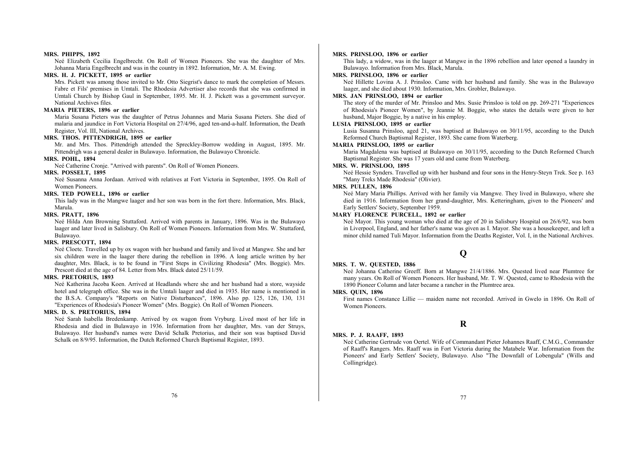#### **MRS. PHIPPS, 1892**

Neé Elizabeth Cecilia Engelbrecht. On Roll of Women Pioneers. She was the daughter of Mrs. Johanna Maria Engelbrecht and was in the country in 1892. Information, Mr. A. M. Ewing.

## **MRS. H. J. PICKETT, 1895 or earlier**

Mrs. Pickett was among those invited to Mr. Otto Siegrist's dance to mark the completion of Messrs. Fabre et Fils' premises in Umtali. The Rhodesia Advertiser also records that she was confirmed in Umtali Church by Bishop Gaul in September, 1895. Mr. H. J. Pickett was a government surveyor. National Archives files.

#### **MARIA PIETERS, 1896 or earlier**

Maria Susana Pieters was the daughter of Petrus Johannes and Maria Susana Pieters. She died of malaria and jaundice in Fort Victoria Hospital on 27/4/96, aged ten-and-a-half. Information, the Death Register, Vol. III, National Archives.

## **MRS. THOS. PITTENDRIGH, 1895 or earlier**

Mr. and Mrs. Thos. Pittendrigh attended the Spreckley-Borrow wedding in August, 1895. Mr. Pittendrigh was a general dealer in Bulawayo. Information, the Bulawayo Chronicle.

## **MRS. POHL, 1894**

Neé Catherine Cronje. "Arrived with parents". On Roll of Women Pioneers.

## **MRS. POSSELT, 1895**

Neé Susanna Anna Jordaan. Arrived with relatives at Fort Victoria in September, 1895. On Roll of Women Pioneers.

## **MRS. TED POWELL, 1896 or earlier**

This lady was in the Mangwe laager and her son was born in the fort there. Information, Mrs. Black, Marula.

#### **MRS. PRATT, 1896**

Neé Hilda Ann Browning Stuttaford. Arrived with parents in January, 1896. Was in the Bulawayo laager and later lived in Salisbury. On Roll of Women Pioneers. Information from Mrs. W. Stuttaford, Bulawayo.

## **MRS. PRESCOTT, 1894**

Neé Cloete. Travelled up by ox wagon with her husband and family and lived at Mangwe. She and her six children were in the laager there during the rebellion in 1896. A long article written by her daughter, Mrs. Black, is to be found in "First Steps in Civilizing Rhodesia" (Mrs. Boggie). Mrs. Prescott died at the age of 84. Letter from Mrs. Black dated 25/11/59.

#### **MRS. PRETORIUS, 1893**

Neé Katherina Jacoba Koen. Arrived at Headlands where she and her husband had a store, wayside hotel and telegraph office. She was in the Umtali laager and died in 1935. Her name is mentioned in the B.S.A. Company's "Reports on Native Disturbances", 1896. Also pp. 125, 126, 130, 131 "Experiences of Rhodesia's Pioneer Women" (Mrs. Boggie). On Roll of Women Pioneers.

## **MRS. D. S. PRETORIUS, 1894**

Neé Sarah Isabella Bredenkamp. Arrived by ox wagon from Vryburg. Lived most of her life in Rhodesia and died in Bulawayo in 1936. Information from her daughter, Mrs. van der Struys, Bulawayo. Her husband's names were David Schalk Pretorius, and their son was baptised David Schalk on 8/9/95. Information, the Dutch Reformed Church Baptismal Register, 1893.

#### **MRS. PRINSLOO, 1896 or earlier**

This lady, a widow, was in the laager at Mangwe in the 1896 rebellion and later opened a laundry in Bulawayo. Information from Mrs. Black, Marula.

#### **MRS. PRINSLOO, 1896 or earlier**

Neé Hillette Lovina A. J. Prinsloo. Came with her husband and family. She was in the Bulawayo laager, and she died about 1930. Information, Mrs. Grobler, Bulawayo.

## **MRS. JAN PRINSLOO, 1894 or earlier**

The story of the murder of Mr. Prinsloo and Mrs. Susie Prinsloo is told on pp. 269-271 "Experiences of Rhodesia's Pioneer Women", by Jeannie M. Boggie, who states the details were given to her husband, Major Boggie, by a native in his employ.

## **LUSIA PRINSLOO, 1895 or earlier**

Lusia Susanna Prinsloo, aged 21, was baptised at Bulawayo on 30/11/95, according to the Dutch Reformed Church Baptismal Register, 1893. She came from Waterberg.

## **MARIA PRINSLOO, 1895 or earlier**

Maria Magdalena was baptised at Bulawayo on 30/11/95, according to the Dutch Reformed Church Baptismal Register. She was 17 years old and came from Waterberg.

#### **MRS. W. PRINSLOO, 1895**

Neé Hessie Synders. Travelled up with her husband and four sons in the Henry-Steyn Trek. See p. 163 "Many Treks Made Rhodesia" (Olivier).

## **MRS. PULLEN, 1896**

Neé Mary Maria Phillips. Arrived with her family via Mangwe. They lived in Bulawayo, where she died in 1916. Information from her grand-daughter, Mrs. Ketteringham, given to the Pioneers' and Early Settlers' Society, September 1959.

## **MARY FLORENCE PURCELL, 1892 or earlier**

Neé Mayor. This young woman who died at the age of 20 in Salisbury Hospital on 26/6/92, was born in Liverpool, England, and her father's name was given as I. Mayor. She was a housekeeper, and left a minor child named Tuli Mayor. Information from the Deaths Register, Vol. I, in the National Archives.

## **Q**

#### **MRS. T. W. QUESTED, 1886**

Neé Johanna Catherine Greeff. Born at Mangwe 21/4/1886. Mrs. Quested lived near Plumtree for many years. On Roll of Women Pioneers. Her husband, Mr. T. W. Quested, came to Rhodesia with the 1890 Pioneer Column and later became a rancher in the Plumtree area.

#### **MRS. QUIN, 1896**

**MRS. P. J. RAAFF, 1893** 

First names Constance Lillie — maiden name not recorded. Arrived in Gwelo in 1896. On Roll of Women Pioneers.

## **R**

Neé Catherine Gertrude von Oertel. Wife of Commandant Pieter Johannes Raaff, C.M.G., Commander of Raaff's Rangers. Mrs. Raaff was in Fort Victoria during the Matabele War. Information from the Pioneers' and Early Settlers' Society, Bulawayo. Also "The Downfall of Lobengula" (Wills and Collingridge).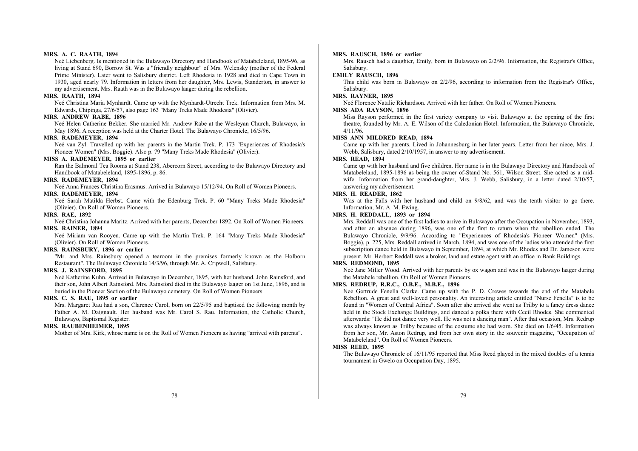#### **MRS. A. C. RAATH, 1894**

Neé Liebenberg. Is mentioned in the Bulawayo Directory and Handbook of Matabeleland, 1895-96, as living at Stand 690, Borrow St. Was a "friendly neighbour" of Mrs. Welensky (mother of the Federal Prime Minister). Later went to Salisbury district. Left Rhodesia in 1928 and died in Cape Town in 1930, aged nearly 79. Information in letters from her daughter, Mrs. Lewis, Standerton, in answer to my advertisement. Mrs. Raath was in the Bulawayo laager during the rebellion.

#### **MRS. RAATH, 1894**

Neé Christina Maria Mynhardt. Came up with the Mynhardt-Utrecht Trek. Information from Mrs. M. Edwards, Chipinga, 27/6/57, also page 163 "Many Treks Made Rhodesia" (Olivier).

#### **MRS. ANDREW RABE, 1896**

Neé Helen Catherine Bekker. She married Mr. Andrew Rabe at the Wesleyan Church, Bulawayo, in May 1896. A reception was held at the Charter Hotel. The Bulawayo Chronicle, 16/5/96.

#### **MRS. RADEMEYER, 1894**

Neé van Zyl. Travelled up with her parents in the Martin Trek. P. 173 "Experiences of Rhodesia's Pioneer Women" (Mrs. Boggie). Also p. 79 "Many Treks Made Rhodesia" (Olivier).

## **MISS A. RADEMEYER, 1895 or earlier**

Ran the Balmoral Tea Rooms at Stand 238, Abercorn Street, according to the Bulawayo Directory and Handbook of Matabeleland, 1895-1896, p. 86.

#### **MRS. RADEMEYER, 1894**

Neé Anna Frances Christina Erasmus. Arrived in Bulawayo 15/12/94. On Roll of Women Pioneers.

## **MRS. RADEMEYER, 1894**

Neé Sarah Matilda Herbst. Came with the Edenburg Trek. P. 60 "Many Treks Made Rhodesia" (Olivier). On Roll of Women Pioneers.

#### **MRS. RAE, 1892**

Neé Christina Johanna Maritz. Arrived with her parents, December 1892. On Roll of Women Pioneers. **MRS. RAINER, 1894** 

Neé Miriam van Rooyen. Came up with the Martin Trek. P. 164 "Many Treks Made Rhodesia" (Olivier). On Roll of Women Pioneers.

## **MRS. RAINSBURY, 1896 or earlier**

"Mr. and Mrs. Rainsbury opened a tearoom in the premises formerly known as the Holborn Restaurant". The Bulawayo Chronicle 14/3/96, through Mr. A. Cripwell, Salisbury.

#### **MRS. J. RAINSFORD, 1895**

Neé Katherine Kuhn. Arrived in Bulawayo in December, 1895, with her husband. John Rainsford, and their son, John Albert Rainsford. Mrs. Rainsford died in the Bulawayo laager on 1st June, 1896, and is buried in the Pioneer Section of the Bulawayo cemetery. On Roll of Women Pioneers.

## **MRS. C. S. RAU, 1895 or earlier**

Mrs. Margaret Rau had a son, Clarence Carol, born on 22/5/95 and baptised the following month by Father A. M. Daignault. Her husband was Mr. Carol S. Rau. Information, the Catholic Church, Bulawayo, Baptismal Register.

## **MRS. RAUBENHEIMER, 1895**

Mother of Mrs. Kirk, whose name is on the Roll of Women Pioneers as having "arrived with parents".

## **MRS. RAUSCH, 1896 or earlier**

Mrs. Rausch had a daughter, Emily, born in Bulawayo on 2/2/96. Information, the Registrar's Office, Salisbury.

## **EMILY RAUSCH, 1896**

This child was born in Bulawayo on 2/2/96, according to information from the Registrar's Office, Salisbury.

## **MRS. RAYNER, 1895**

Neé Florence Natalie Richardson. Arrived with her father. On Roll of Women Pioneers.

#### **MISS ADA RAYSON, 1896**

Miss Rayson performed in the first variety company to visit Bulawayo at the opening of the first theatre, founded by Mr. A. E. Wilson of the Caledonian Hotel. Information, the Bulawayo Chronicle, 4/11/96.

## **MISS ANN MILDRED READ, 1894**

Came up with her parents. Lived in Johannesburg in her later years. Letter from her niece, Mrs. J. Webb, Salisbury, dated 2/10/1957, in answer to my advertisement.

## **MRS. READ, 1894**

Came up with her husband and five children. Her name is in the Bulawayo Directory and Handbook of Matabeleland, 1895-1896 as being the owner of-Stand No. 561, Wilson Street. She acted as a midwife. Information from her grand-daughter, Mrs. J. Webb, Salisbury, in a letter dated 2/10/57, answering my advertisement.

## **MRS. H. READER, 1862**

Was at the Falls with her husband and child on  $9/8/62$ , and was the tenth visitor to go there. Information, Mr. A. M. Ewing.

## **MRS. H. REDDALL, 1893 or 1894**

Mrs. Reddall was one of the first ladies to arrive in Bulawayo after the Occupation in November, 1893, and after an absence during 1896, was one of the first to return when the rebellion ended. The Bulawayo Chronicle, 9/9/96. According to "Experiences of Rhodesia's Pioneer Women" (Mrs. Boggie), p. 225, Mrs. Reddall arrived in March, 1894, and was one of the ladies who attended the first subscription dance held in Bulawayo in September, 1894, at which Mr. Rhodes and Dr. Jameson were present. Mr. Herbert Reddall was a broker, land and estate agent with an office in Bank Buildings.

#### **MRS. REDMOND, 1895**

Neé Jane Miller Wood. Arrived with her parents by ox wagon and was in the Bulawayo laager during the Matabele rebellion. On Roll of Women Pioneers.

#### **MRS. REDRUP, R.R.C., O.B.E., M.B.E., 1896**

Neé Gertrude Fenella Clarke. Came up with the P. D. Crewes towards the end of the Matabele Rebellion. A great and well-loved personality. An interesting article entitled "Nurse Fenella" is to be found in "Women of Central Africa". Soon after she arrived she went as Trilby to a fancy dress dance held in the Stock Exchange Buildings, and danced a polka there with Cecil Rhodes. She commented afterwards: "He did not dance very well. He was not a dancing man". After that occasion, Mrs. Redrup was always known as Trilby because of the costume she had worn. She died on 1/6/45. Information from her son, Mr. Aston Redrup, and from her own story in the souvenir magazine, "Occupation of Matabeleland". On Roll of Women Pioneers.

#### **MISS REED, 1895**

The Bulawayo Chronicle of 16/11/95 reported that Miss Reed played in the mixed doubles of a tennis tournament in Gwelo on Occupation Day, 1895.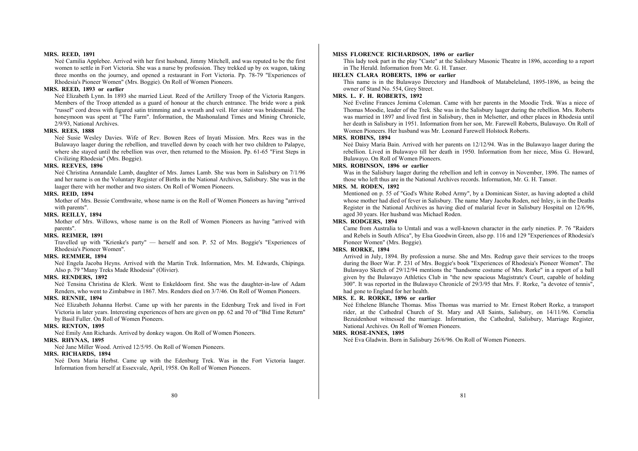#### **MRS. REED, 1891**

Neé Camilia Applebee. Arrived with her first husband, Jimmy Mitchell, and was reputed to be the first women to settle in Fort Victoria. She was a nurse by profession. They trekked up by ox wagon, taking three months on the journey, and opened a restaurant in Fort Victoria. Pp. 78-79 "Experiences of Rhodesia's Pioneer Women" (Mrs. Boggie). On Roll of Women Pioneers.

#### **MRS. REED, 1893 or earlier**

Neé Elizabeth Lynn. In 1893 she married Lieut. Reed of the Artillery Troop of the Victoria Rangers. Members of the Troop attended as a guard of honour at the church entrance. The bride wore a pink "russel" cord dress with figured satin trimming and a wreath and veil. Her sister was bridesmaid. The honeymoon was spent at "The Farm". Information, the Mashonaland Times and Mining Chronicle, 2/9/93, National Archives.

#### **MRS. REES, 1888**

Neé Susie Wesley Davies. Wife of Rev. Bowen Rees of Inyati Mission. Mrs. Rees was in the Bulawayo laager during the rebellion, and travelled down by coach with her two children to Palapye, where she stayed until the rebellion was over, then returned to the Mission. Pp. 61-65 "First Steps in Civilizing Rhodesia" (Mrs. Boggie).

## **MRS. REEVES, 1896**

Neé Christina Annandale Lamb, daughter of Mrs. James Lamb. She was born in Salisbury on 7/1/96 and her name is on the Voluntary Register of Births in the National Archives, Salisbury. She was in the laager there with her mother and two sisters. On Roll of Women Pioneers.

#### **MRS. REID, 1894**

Mother of Mrs. Bessie Cornthwaite, whose name is on the Roll of Women Pioneers as having "arrived with parents".

#### **MRS. REILLY, 1894**

Mother of Mrs. Willows, whose name is on the Roll of Women Pioneers as having "arrived with parents".

#### **MRS. REIMER, 1891**

Travelled up with "Krienke's party" — herself and son. P. 52 of Mrs. Boggie's "Experiences of Rhodesia's Pioneer Women".

## **MRS. REMMER, 1894**

Neé Engela Jacoba Heyns. Arrived with the Martin Trek. Information, Mrs. M. Edwards, Chipinga. Also p. 79 "Many Treks Made Rhodesia" (Olivier).

#### **MRS. RENDERS, 1892**

Neé Tensina Christina de Klerk. Went to Enkeldoorn first. She was the daughter-in-law of Adam Renders, who went to Zimbabwe in 1867. Mrs. Renders died on 3/7/46. On Roll of Women Pioneers.

## **MRS. RENNIE, 1894**

Neé Elizabeth Johanna Herbst. Came up with her parents in the Edenburg Trek and lived in Fort Victoria in later years. Interesting experiences of hers are given on pp. 62 and 70 of "Bid Time Return" by Basil Fuller. On Roll of Women Pioneers.

#### **MRS. RENTON, 1895**

Neé Emily Ann Richards. Arrived by donkey wagon. On Roll of Women Pioneers. **MRS. RHYNAS, 1895** 

Neé Jane Miller Wood. Arrived 12/5/95. On Roll of Women Pioneers.

## **MRS. RICHARDS, 1894**

Neé Dora Maria Herbst. Came up with the Edenburg Trek. Was in the Fort Victoria laager. Information from herself at Essexvale, April, 1958. On Roll of Women Pioneers.

#### **MISS FLORENCE RICHARDSON, 1896 or earlier**

This lady took part in the play "Caste" at the Salisbury Masonic Theatre in 1896, according to a report in The Herald. Information from Mr. G. H. Tanser.

#### **HELEN CLARA ROBERTS, 1896 or earlier**

This name is in the Bulawayo Directory and Handbook of Matabeleland, 1895-1896, as being the owner of Stand No. 554, Grey Street.

## **MRS. L. F. H. ROBERTS, 1892**

Neé Eveline Frances Jemima Coleman. Came with her parents in the Moodie Trek. Was a niece of Thomas Moodie, leader of the Trek. She was in the Salisbury laager during the rebellion. Mrs. Roberts was married in 1897 and lived first in Salisbury, then in Melsetter, and other places in Rhodesia until her death in Salisbury in 1951. Information from her son, Mr. Farewell Roberts, Bulawayo. On Roll of Women Pioneers. Her husband was Mr. Leonard Farewell Holstock Roberts.

## **MRS. ROBINS, 1894**

Neé Daisy Maria Bain. Arrived with her parents on 12/12/94. Was in the Bulawayo laager during the rebellion. Lived in Bulawayo till her death in 1950. Information from her niece, Miss G. Howard, Bulawayo. On Roll of Women Pioneers.

## **MRS. ROBINSON, 1896 or earlier**

Was in the Salisbury laager during the rebellion and left in convoy in November, 1896. The names of those who left thus are in the National Archives records. Information, Mr. G. H. Tanser.

#### **MRS. M. RODEN, 1892**

Mentioned on p. 55 of "God's White Robed Army", by a Dominican Sister, as having adopted a child whose mother had died of fever in Salisbury. The name Mary Jacoba Roden, neé Inley, is in the Deaths Register in the National Archives as having died of malarial fever in Salisbury Hospital on 12/6/96, aged 30 years. Her husband was Michael Roden.

#### **MRS. RODGERS, 1894**

Came from Australia to Umtali and was a well-known character in the early nineties. P. 76 "Raiders and Rebels in South Africa", by Elsa Goodwin Green, also pp. 116 and 129 "Experiences of Rhodesia's Pioneer Women" (Mrs. Boggie).

## **MRS. RORKE, 1894**

Arrived in July, 1894. By profession a nurse. She and Mrs. Redrup gave their services to the troops during the Boer War. P. 231 of Mrs. Boggie's book "Experiences of Rhodesia's Pioneer Women". The Bulawayo Sketch of 29/12/94 mentions the "handsome costume of Mrs. Rorke" in a report of a ball given by the Bulawayo Athletics Club in "the new spacious Magistrate's Court, capable of holding 300". It was reported in the Bulawayo Chronicle of 29/3/95 that Mrs. F. Rorke, "a devotee of tennis", had gone to England for her health.

#### **MRS. E. R. RORKE, 1896 or earlier**

Neé Ethelene Blanche Thomas. Miss Thomas was married to Mr. Ernest Robert Rorke, a transport rider, at the Cathedral Church of St. Mary and All Saints, Salisbury, on 14/11/96. Cornelia Bezuidenhout witnessed the marriage. Information, the Cathedral, Salisbury, Marriage Register, National Archives. On Roll of Women Pioneers.

#### **MRS. ROSE-INNES, 1895**

Neé Eva Gladwin. Born in Salisbury 26/6/96. On Roll of Women Pioneers.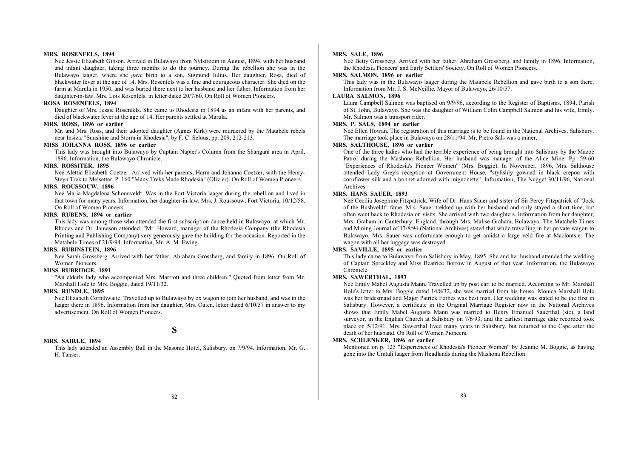#### **MRS. ROSENFELS, 1894**

Neé Jessie Elizabeth Gibson. Arrived in Bulawayo from Nylstroom in August, 1894, with her husband and infant daughter, taking three months to do the journey. During the rebellion she was in the Bulawayo laager, where she gave birth to a son, Sigmund Julius. Her daughter, Rosa, died of blackwater fever at the age of 14. Mrs. Rosenfels was a fine and courageous character. She died on the farm at Marula in 1950, and was buried there next to her husband and her father. Information from her daughter-in-law, Mrs. Lois Rosenfels, in letter dated 20/7/60. On Roll of Women Pioneers.

## **ROSA ROSENFELS, 1894**

Daughter of Mrs. Jessie Rosenfels. She came to Rhodesia in 1894 as an infant with her parents, and died of blackwater fever at the age of 14. Her parents settled at Marula.

## **MRS. ROSS, 1896 or earlier**

Mr. and Mrs. Ross, and their adopted daughter (Agnes Kirk) were murdered by the Matabele rebels near Insiza. "Sunshine and Storm in Rhodesia", by F. C. Selous, pp. 209, 212-213.

#### **MISS JOHANNA ROSS, 1896 or earlier**

This lady was brought into Bulawayo by Captain Napier's Column from the Shangani area in April, 1896. Information, the Bulawayo Chronicle.

#### **MRS. ROSSITER, 1895**

Neé Alettia Elizabeth Coetzer. Arrived with her parents, Harm and Johanna Coetzer, with the Henry-Steyn Trek to Melsetter. P. 160 "Many Treks Made Rhodesia" (Olivier). On Roll of Women Pioneers.

## **MRS. ROUSSOUW, 1896**

Neé Maria Magdalena Schoonveldt. Was in the Fort Victoria laager during the rebellion and lived in that town for many years. Information, her daughter-in-law, Mrs. J. Roussouw, Fort Victoria, 10/12/58. On Roll of Women Pioneers.

## **MRS. RUBENS, 1894 or earlier**

This lady was among those who attended the first subscription dance held in Bulawayo, at which Mr. Rhodes and Dr. Jameson attended. "Mr. Howard, manager of the Rhodesia Company (the Rhodesia Printing and Publishing Company) very generously gave the building for the occasion. Reported in the Matabele Times of 21/9/94. Information, Mr. A. M. Ewing.

## **MRS. RUBINSTEIN, 1896**

Neé Sarah Grossberg. Arrived with her father, Abraham Grossberg, and family in 1896. On Roll of Women Pioneers.

## **MISS RUBRIDGE, 1891**

"An elderly lady who accompanied Mrs. Marriott and three children." Quoted from letter from Mr. Marshall Hole to Mrs. Boggie, dated 19/11/32.

## **MRS. RUNDLE, 1895**

Neé Elizabeth Cornthwaite. Travelled up to Bulawayo by ox wagon to join her husband, and was in the laager there in 1896. Information from her daughter, Mrs. Oaten, letter dated 6/10/57 in answer to my advertisement. On Roll of Women Pioneers.

## **S**

## **MRS. SAIRLE, 1894**

This lady attended an Assembly Ball in the Masonic Hotel, Salisbury, on 7/9/94. Information, Mr. G. H. Tanser.

#### **MRS. SALE, 1896**

Neé Betty Grossberg. Arrived with her father, Abraham Grossberg. and family in 1896. Information, the Rhodesia Pioneers' and Early Settlers' Society. On Roll of Women Pioneers.

#### **MRS. SALMON, 1896 or earlier**

This lady was in the Bulawayo laager during the Matabele Rebellion and gave birth to a son there. Information from Mr. J. S. McNeillie, Mayor of Bulawayo, 26/10/57.

## **LAURA SALMON, 1896**

Laura Campbell Salmon was baptised on 9/9/96, according to the Register of Baptisms, 1894, Parish of St. John, Bulawayo. She was the daughter of William Colin Campbell Salmon and his wife, Emily. Mr. Salmon was a transport rider.

## **MRS. P. SALS, 1894 or earlier**

Neé Ellen Howan. The registration of this marriage is to be found in the National Archives, Salisbury. The marriage took place in Bulawayo on 28/11/94. Mr. Pietro Sals was a miner.

## **MRS. SALTHOUSE, 1896 or earlier**

One of the three ladies who had the terrible experience of being brought into Salisbury by the Mazoe Patrol during the Mashona Rebellion. Her husband was manager of the Alice Mine. Pp. 59-60 "Experiences of Rhodesia's Pioneer Women" (Mrs. Boggie). In November, 1896, Mrs. Salthouse attended Lady Grey's reception at Government House, "stylishly gowned in black crepon with cornflower silk and a bonnet adorned with mignonette". Information, The Nugget 30/11/96, National Archives.

## **MRS. HANS SAUER, 1893**

Neé Cecilia Josephine Fitzpatrick. Wife of Dr. Hans Sauer and sister of Sir Percy Fitzpatrick of "Jock of the Bushveldt" fame. Mrs. Sauer trekked up with her husband and only stayed a short time, but often went back to Rhodesia on visits. She arrived with two daughters. Information from her daughter, Mrs. Graham in Canterbury, England, through Mrs. Malise Graham, Bulawayo. The Matabele Times and Mining Journal of 17/8/94 (National Archives) stated that while travelling in her private wagon to Bulawayo, Mrs. Sauer was unfortunate enough to get amidst a large veld fire at Macloutsie. The wagon with all her luggage was destroyed.

## **MRS. SAVILLE, 1895 or earlier**

This lady came to Bulawayo from Salisbury in May, 1895. She and her husband attended the wedding of Captain Spreckley and Miss Beatrice Borrow in August of that year. Information, the Bulawayo Chronicle.

#### **MRS. SAWERTHAL, 1893**

Neé Emily Mabel Augusta Mann. Travelled up by post cart to be married. According to Mr. Marshall Hole's letter to Mrs. Boggie dated 14/8/32, she was married from his house. Monica Marshall Hole was her bridesmaid and Major Patrick Forbes was best man. Her wedding was stated to be the first in Salisbury. However, a certificate in the Original Marriage Register now in the National Archives shows that Emily Mabel Augusta Mann was married to Henry Emanuel Sauerthal (sic), a land surveyor, in the English Church at Salisbury on 7/6/93, and the earliest marriage date recorded took place on 5/12/91. Mrs. Sawerthal lived many years in Salisbury, but returned to the Cape after the death of her husband. On Roll of Women Pioneers.

#### **MRS. SCHLENKER, 1896 or earlier**

Mentioned on p. 125 "Experiences of Rhodesia's Pioneer Women" by Jeannie M. Boggie, as having gone into the Umtali laager from Headlands during the Mashona Rebellion.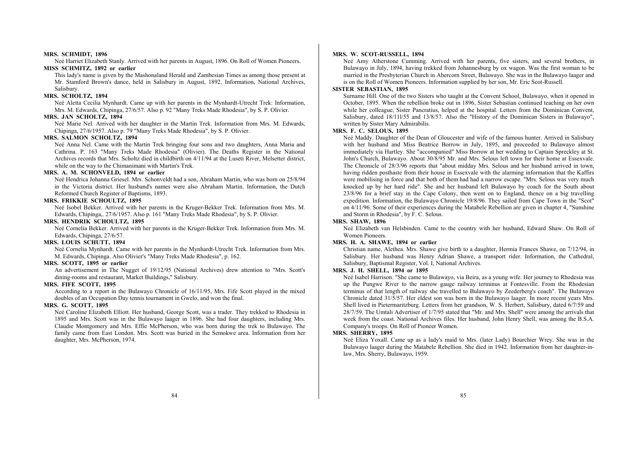#### **MRS. SCHMIDT, 1896**

Neé Harriet Elizabeth Stanly. Arrived with her parents in August, 1896. On Roll of Women Pioneers.

## **MISS SCHMITZ, 1892 or earlier**

This lady's name is given by the Mashonaland Herald and Zambesian Times as among those present at Mr. Stamford Brown's dance, held in Salisbury in August, 1892. Information, National Archives, Salisbury.

## **MRS. SCHOLTZ, 1894**

Neé Aletta Cecilia Mynhardt. Came up with her parents in the Mynhardt-Utrecht Trek: Information, Mrs. M. Edwards, Chipinga, 27/6/57. Also p. 92 "Many Treks Made Rhodesia", by S. P. Olivier.

#### **MRS. JAN SCHOLTZ, 1894**

Neé Marie Nel. Arrived with her daughter in the Martin Trek. Information from Mrs. M. Edwards, Chipinga, 27/6/1957. Also p. 79 "Many Treks Made Rhodesia", by S. P. Olivier.

#### **MRS. SALMON SCHOLTZ, 1894**

Neé Anna Nel. Came with the Martin Trek bringing four sons and two daughters, Anna Maria and Cathrina. P. 163 "Many Treks Made Rhodesia" (Olivier). The Deaths Register in the National Archives records that Mrs. Scholtz died in childbirth on 4/11/94 at the Luseti River, Melsetter district, while on the way to the Chimanimani with Martin's Trek.

## **MRS. A. M. SCHONVELD, 1894 or earlier**

Neé Hendrica Johanna Griesel. Mrs. Schonveldt had a son, Abraham Martin, who was born on 25/8/94 in the Victoria district. Her husband's names were also Abraham Martin. Information, the Dutch Reformed Church Register of Baptisms, 1893.

## **MRS. FRIKKIE SCHOULTZ, 1895**

Neé Isobel Bekker. Arrived with her parents in the Kruger-Bekker Trek. Information from Mrs. M. Edwards, Chipinga,. 27/6/1957. Also p. 161 "Many Treks Made Rhodesia", by S. P. Olivier.

#### **MRS. HENDRIK SCHOULTZ, 1895**

Neé Cornelia Bekker. Arrived with her parents in the Kruger-Bekker Trek. Information from Mrs. M. Edwards, Chipinga, 27/6/57.

## **MRS. LOUIS SCHUTT, 1894**

Neé Cornelia Mynhardt. Came with her parents in the Mynhardt-Utrecht Trek. Information from Mrs. M. Edwards, Chipinga. Also Olivier's "Many Treks Made Rhodesia", p. 162.

#### **MRS. SCOTT, 1895 or earlier**

An advertisement in The Nugget of 19/12/95 (National Archives) drew attention to "Mrs. Scott's dining-rooms and restaurant, Market Buildings," Salisbury.

#### **MRS. FIFE SCOTT, 1895**

According to a report in the Bulawayo Chronicle of 16/11/95, Mrs. Fife Scott played in the mixed doubles of an Occupation Day tennis tournament in Gwelo, and won the final.

## **MRS. G. SCOTT, 1895**

Neé Caroline Elizabeth Elliott. Her husband, George Scott, was a trader. They trekked to Rhodesia in 1895 and Mrs. Scott was in the Bulawayo laager in 1896. She had four daughters, including Mrs. Claudie Montgomery and Mrs. Effie McPherson, who was born during the trek to Bulawayo. The family came from East London. Mrs. Scott was buried in the Semokwe area. Information from her daughter, Mrs. McPherson, 1974.

#### **MRS. W. SCOT-RUSSELL, 1894**

Neé Amy Atherstone Cumming. Arrived with her parents, five sisters, and several brothers, in Bulawayo in July, 1894, having trekked from Johannesburg by ox wagon. Was the first woman to be married in the Presbyterian Church in Abercorn Street, Bulawayo. She was in the Bulawayo laager and is on the Roll of Women Pioneers. Information supplied by her son, Mr. Eric Scot-Russell.

#### **SISTER SEBASTIAN, 1895**

Surname Hill. One of the two Sisters who taught at the Convent School, Bulawayo, when it opened in October, 1895. When the rebellion broke out in 1896, Sister Sebastian continued teaching on her own while her colleague. Sister Pancratius, helped at the hospital. Letters from the Dominican Convent, Salisbury, dated 18/11l/55 and 13/8/57. Also the "History of the Dominican Sisters in Bulawayo", written by Sister Mary Admirabilis.

#### **MRS. F. C. SELOUS, 1895**

Neé Maddy. Daughter of the Dean of Gloucester and wife of the famous hunter. Arrived in Salisbury with her husband and Miss Beatrice Borrow in July, 1895, and proceeded to Bulawayo almost immediately via Hartley. She "accompanied" Miss Borrow at her wedding to Captain Spreckley at St. John's Church, Bulawayo. About 30/8/95 Mr. and Mrs. Selous left town for their home at Essexvale. The Chronicle of 28/3/96 reports that "about midday Mrs. Selous and her husband arrived in town, having ridden posthaste from their house in Essexvale with the alarming information that the Kaffirs were mobilising in force and that both of them had had a narrow escape. "Mrs. Selous was very much knocked up by her hard ride". She and her husband left Bulawayo by coach for the South about 23/8/96 for a brief stay in the Cape Colony, then went on to England, thence on a big travelling expedition. Information, the Bulawayo Chronicle 19/8/96. They sailed from Cape Town in the "Scot" on 4/11/96. Some of their experiences during the Matabele Rebellion are given in chapter 4, "Sunshine and Storm in Rhodesia", by F. C. Selous.

#### **MRS. SHAW, 1896**

Neé Elizabeth van Helsbinden. Came to the country with her husband, Edward Shaw. On Roll of Women Pioneers.

### **MRS. H. A. SHAWE, 1894 or earlier**

Christian name, Alethea. Mrs. Shawe give birth to a daughter, Hermia Frances Shawe, on 7/12/94, in Salisbury. Her husband was Henry Adrian Shawe, a transport rider. Information, the Cathedral, Salisbury, Baptismal Register, Vol. I, National Archives.

## **MRS. J. H. SHELL, 1894 or 1895**

Neé Isabel Harrison. "She came to Bulawayo, via Beira, as a young wife. Her journey to Rhodesia was up the Pungwe River to the narrow gauge railway terminus at Fontesville. From the Rhodesian terminus of that length of railway she travelled to Bulawayo by Zeederberg's coach". The Bulawayo Chronicle dated 31/5/57. Her eldest son was born in the Bulawayo laager. In more recent years Mrs. Shell lived in Pietermaritzburg. Letters from her grandson, W. S. Herbert, Salisbury, dated 6/7/59 and 28/7/59. The Umtali Advertiser of 1/7/95 stated that "Mr. and Mrs. Shell" were among the arrivals that week from the coast. National Archives files. Her husband, John Henry Shell, was among the B.S.A. Company's troops. On Roll of Pioneer Women.

#### **MRS. SHERRY, 1895**

Neé Eliza Yoxall. Came up as a lady's maid to Mrs. (later Lady) Bourchier Wrey. She was in the Bulawayo laager during the Matabele Rebellion. She died in 1942. Information from her daughter-inlaw, Mrs. Sherry, Bulawayo, 1959.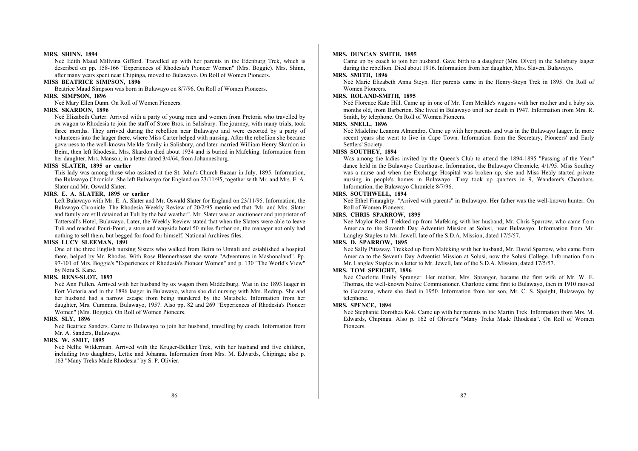#### **MRS. SHINN, 1894**

Neé Edith Maud Millvina Gifford. Travelled up with her parents in the Edenburg Trek, which is described on pp. 158-166 "Experiences of Rhodesia's Pioneer Women" (Mrs. Boggie). Mrs. Shinn, after many years spent near Chipinga, moved to Bulawayo. On Roll of Women Pioneers.

#### **MISS BEATRICE SIMPSON, 1896**

Beatrice Maud Simpson was born in Bulawayo on 8/7/96. On Roll of Women Pioneers.

## **MRS. SIMPSON, 1896**

Neé Mary Ellen Dunn. On Roll of Women Pioneers.

#### **MRS. SKARDON, 1896**

Neé Elizabeth Carter. Arrived with a party of young men and women from Pretoria who travelled by ox wagon to Rhodesia to join the staff of Store Bros. in Salisbury. The journey, with many trials, took three months. They arrived during the rebellion near Bulawayo and were escorted by a party of volunteers into the laager there, where Miss Carter helped with nursing. After the rebellion she became governess to the well-known Meikle family in Salisbury, and later married William Henry Skardon in Beira, then left Rhodesia. Mrs. Skardon died about 1934 and is buried in Mafeking. Information from her daughter, Mrs. Manson, in a letter dated 3/4/64, from Johannesburg.

#### **MISS SLATER, 1895 or earlier**

This lady was among those who assisted at the St. John's Church Bazaar in July, 1895. Information, the Bulawayo Chronicle. She left Bulawayo for England on 23/11/95, together with Mr. and Mrs. E. A. Slater and Mr. Oswald Slater.

## **MRS. E. A. SLATER, 1895 or earlier**

Left Bulawayo with Mr. E. A. Slater and Mr. Oswald Slater for England on 23/11/95. Information, the Bulawayo Chronicle. The Rhodesia Weekly Review of 20/2/95 mentioned that "Mr. and Mrs. Slater and family are still detained at Tuli by the bad weather". Mr. Slater was an auctioneer and proprietor of Tattersall's Hotel, Bulawayo. Later, the Weekly Review stated that when the Slaters were able to leave Tuli and reached Pouri-Pouri, a store and wayside hotel 50 miles further on, the manager not only had nothing to sell them, but begged for food for himself. National Archives files.

## **MISS LUCY SLEEMAN, 1891**

One of the three English nursing Sisters who walked from Beira to Umtali and established a hospital there, helped by Mr. Rhodes. With Rose Blennerhasset she wrote "Adventures in Mashonaland". Pp. 97-101 of Mrs. Boggie's "Experiences of Rhodesia's Pioneer Women" and p. 130 "The World's View" by Nora S. Kane.

## **MRS. RENS-SLOT, 1893**

Neé Ann Pullen. Arrived with her husband by ox wagon from Middelburg. Was in the 1893 laager in Fort Victoria and in the 1896 laager in Bulawayo, where she did nursing with Mrs. Redrup. She and her husband had a narrow escape from being murdered by the Matabele. Information from her daughter, Mrs. Cummins, Bulawayo, 1957. Also pp. 82 and 269 "Experiences of Rhodesia's Pioneer Women" (Mrs. Boggie). On Roll of Women Pioneers.

## **MRS. SLY, 1896**

Neé Beatrice Sanders. Came to Bulawayo to join her husband, travelling by coach. Information from Mr. A. Sanders, Bulawayo.

## **MRS. W. SMIT, 1895**

Neé Nellie Wilderman. Arrived with the Kruger-Bekker Trek, with her husband and five children, including two daughters, Lettie and Johanna. Information from Mrs. M. Edwards, Chipinga; also p. 163 "Many Treks Made Rhodesia" by S. P. Olivier.

#### **MRS. DUNCAN SMITH, 1895**

Came up by coach to join her husband. Gave birth to a daughter (Mrs. Olver) in the Salisbury laager during the rebellion. Died about 1916. Information from her daughter, Mrs. Slaven, Bulawayo.

## **MRS. SMITH, 1896**

Neé Marie Elizabeth Anna Steyn. Her parents came in the Henry-Steyn Trek in 1895. On Roll of Women Pioneers.

## **MRS. ROLAND-SMITH, 1895**

Neé Florence Kate Hill. Came up in one of Mr. Tom Meikle's wagons with her mother and a baby six months old, from Barberton. She lived in Bulawayo until her death in 1947. Information from Mrs. R. Smith, by telephone. On Roll of Women Pioneers.

## **MRS. SNELL, 1896**

Neé Madeline Leanora Almendro. Came up with her parents and was in the Bulawayo laager. In more recent years she went to live in Cape Town. Information from the Secretary, Pioneers' and Early Settlers' Society.

## **MISS SOUTHEY, 1894**

Was among the ladies invited by the Queen's Club to attend the 1894-1895 "Passing of the Year" dance held in the Bulawayo Courthouse. Information, the Bulawayo Chronicle, 4/1/95. Miss Southey was a nurse and when the Exchange Hospital was broken up, she and Miss Healy started private nursing in people's homes in Bulawayo. They took up quarters in 9, Wanderer's Chambers. Information, the Bulawayo Chronicle 8/7/96.

## **MRS. SOUTHWELL, 1894**

Neé Ethel Finaughty. "Arrived with parents" in Bulawayo. Her father was the well-known hunter. On Roll of Women Pioneers.

## **MRS. CHRIS SPARROW, 1895**

Neé Maylor Reed. Trekked up from Mafeking with her husband, Mr. Chris Sparrow, who came from America to the Seventh Day Adventist Mission at Solusi, near Bulawayo. Information from Mr. Langley Staples to Mr. Jewell, late of the S.D.A. Mission, dated 17/5/57.

### **MRS. D. SPARROW, 1895**

Neé Sally Pittaway. Trekked up from Mafeking with her husband, Mr. David Sparrow, who came from America to the Seventh Day Adventist Mission at Solusi, now the Solusi College. Information from Mr. Langley Staples in a letter to Mr. Jewell, late of the S.D.A. Mission, dated 17/5/57.

## **MRS. TOM SPEIGHT, 1896**

Neé Charlotte Emily Spranger. Her mother, Mrs. Spranger, became the first wife of Mr. W. E. Thomas, the well-known Native Commissioner. Charlotte came first to Bulawayo, then in 1910 moved to Gadzema, where she died in 1950. Information from her son, Mr. C. S. Speight, Bulawayo, by telephone.

## **MRS. SPENCE, 1894**

Neé Stephanie Dorothea Kok. Came up with her parents in the Martin Trek. Information from Mrs. M. Edwards, Chipinga. Also p. 162 of Olivier's "Many Treks Made Rhodesia". On Roll of Women Pioneers.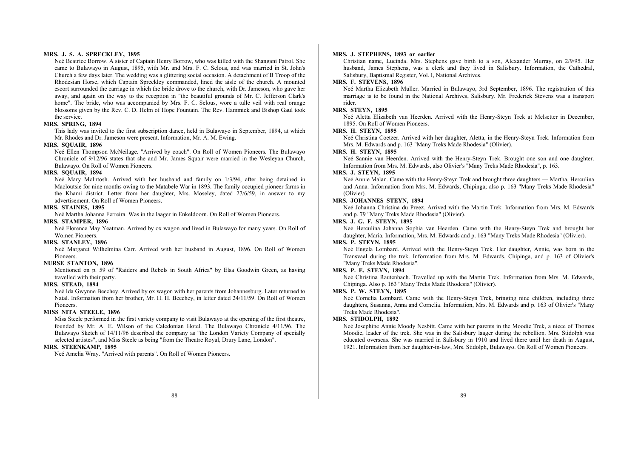#### **MRS. J. S. A. SPRECKLEY, 1895**

Neé Beatrice Borrow. A sister of Captain Henry Borrow, who was killed with the Shangani Patrol. She came to Bulawayo in August, 1895, with Mr. and Mrs. F. C. Selous, and was married in St. John's Church a few days later. The wedding was a glittering social occasion. A detachment of B Troop of the Rhodesian Horse, which Captain Spreckley commanded, lined the aisle of the church. A mounted escort surrounded the carriage in which the bride drove to the church, with Dr. Jameson, who gave her away, and again on the way to the reception in "the beautiful grounds of Mr. C. Jefferson Clark's home". The bride, who was accompanied by Mrs. F. C. Selous, wore a tulle veil with real orange blossoms given by the Rev. C. D. Helm of Hope Fountain. The Rev. Hammick and Bishop Gaul took the service.

#### **MRS. SPRING, 1894**

This lady was invited to the first subscription dance, held in Bulawayo in September, 1894, at which Mr. Rhodes and Dr. Jameson were present. Information, Mr. A. M. Ewing.

## **MRS. SQUAIR, 1896**

Neé Ellen Thompson McNeilage. "Arrived by coach". On Roll of Women Pioneers. The Bulawayo Chronicle of 9/12/96 states that she and Mr. James Squair were married in the Wesleyan Church, Bulawayo. On Roll of Women Pioneers.

#### **MRS. SQUAIR, 1894**

Neé Mary McIntosh. Arrived with her husband and family on 1/3/94, after being detained in Macloutsie for nine months owing to the Matabele War in 1893. The family occupied pioneer farms in the Khami district. Letter from her daughter, Mrs. Moseley, dated 27/6/59, in answer to my advertisement. On Roll of Women Pioneers.

#### **MRS. STAINES, 1895**

Neé Martha Johanna Ferreira. Was in the laager in Enkeldoorn. On Roll of Women Pioneers.

#### **MRS. STAMPER, 1896**

Neé Florence May Yeatman. Arrived by ox wagon and lived in Bulawayo for many years. On Roll of Women Pioneers.

## **MRS. STANLEY, 1896**

Neé Margaret Wilhelmina Carr. Arrived with her husband in August, 1896. On Roll of Women Pioneers.

#### **NURSE STANTON, 1896**

Mentioned on p. 59 of "Raiders and Rebels in South Africa" by Elsa Goodwin Green, as having travelled with their party.

#### **MRS. STEAD, 1894**

Neé Ida Gwynne Beechey. Arrived by ox wagon with her parents from Johannesburg. Later returned to Natal. Information from her brother, Mr. H. H. Beechey, in letter dated 24/11/59. On Roll of Women Pioneers.

#### **MISS NITA STEELE, 1896**

Miss Steele performed in the first variety company to visit Bulawayo at the opening of the first theatre, founded by Mr. A. E. Wilson of the Caledonian Hotel. The Bulawayo Chronicle 4/11/96. The Bulawayo Sketch of 14/11/96 described the company as "the London Variety Company of specially selected artistes", and Miss Steele as being "from the Theatre Royal, Drury Lane, London".

## **MRS. STEENKAMP, 1895**

Neé Amelia Wray. "Arrived with parents". On Roll of Women Pioneers.

## **MRS. J. STEPHENS, 1893 or earlier**

Christian name, Lucinda. Mrs. Stephens gave birth to a son, Alexander Murray, on 2/9/95. Her husband, James Stephens, was a clerk and they lived in Salisbury. Information, the Cathedral, Salisbury, Baptismal Register, Vol. I, National Archives.

## **MRS. F. STEVENS, 1896**

Neé Martha Elizabeth Muller. Married in Bulawayo, 3rd September, 1896. The registration of this marriage is to be found in the National Archives, Salisbury. Mr. Frederick Stevens was a transport rider.

#### **MRS. STEYN, 1895**

Neé Aletta Elizabeth van Heerden. Arrived with the Henry-Steyn Trek at Melsetter in December, 1895. On Roll of Women Pioneers.

#### **MRS. H. STEYN, 1895**

Neé Christina Coetzer. Arrived with her daughter, Aletta, in the Henry-Steyn Trek. Information from Mrs. M. Edwards and p. 163 "Many Treks Made Rhodesia" (Olivier).

## **MRS. H. STEYN, 1895**

Neé Sannie van Heerden. Arrived with the Henry-Steyn Trek. Brought one son and one daughter. Information from Mrs. M. Edwards, also Olivier's "Many Treks Made Rhodesia", p. 163.

## **MRS. J. STEYN, 1895**

Neé Annie Malan. Came with the Henry-Steyn Trek and brought three daughters — Martha, Herculina and Anna. Information from Mrs. M. Edwards, Chipinga; also p. 163 "Many Treks Made Rhodesia" (Olivier).

#### **MRS. JOHANNES STEYN, 1894**

Neé Johanna Christina du Preez. Arrived with the Martin Trek. Information from Mrs. M. Edwards and p. 79 "Many Treks Made Rhodesia" (Olivier).

## **MRS. J. G. F. STEYN, 1895**

Neé Herculina Johanna Sophia van Heerden. Came with the Henry-Steyn Trek and brought her daughter, Maria. Information, Mrs. M. Edwards and p. 163 "Many Treks Made Rhodesia" (Olivier).

## **MRS. P. STEYN, 1895**

Neé Engela Lombard. Arrived with the Henry-Steyn Trek. Her daughter, Annie, was born in the Transvaal during the trek. Information from Mrs. M. Edwards, Chipinga, and p. 163 of Olivier's "Many Treks Made Rhodesia".

#### **MRS. P. E. STEYN, 1894**

Neé Christina Rautenbach. Travelled up with the Martin Trek. Information from Mrs. M. Edwards, Chipinga. Also p. 163 "Many Treks Made Rhodesia" (Olivier).

## **MRS. P. W. STEYN, 1895**

Neé Cornelia Lombard. Came with the Henry-Steyn Trek, bringing nine children, including three daughters, Susanna, Anna and Cornelia. Information, Mrs. M. Edwards and p. 163 of Olivier's "Many Treks Made Rhodesia".

#### **MRS. STIDOLPH, 1892**

Neé Josephine Annie Moody Nesbitt. Came with her parents in the Moodie Trek, a niece of Thomas Moodie, leader of the trek. She was in the Salisbury laager during the rebellion. Mrs. Stidolph was educated overseas. She was married in Salisbury in 1910 and lived there until her death in August, 1921. Information from her daughter-in-law, Mrs. Stidolph, Bulawayo. On Roll of Women Pioneers.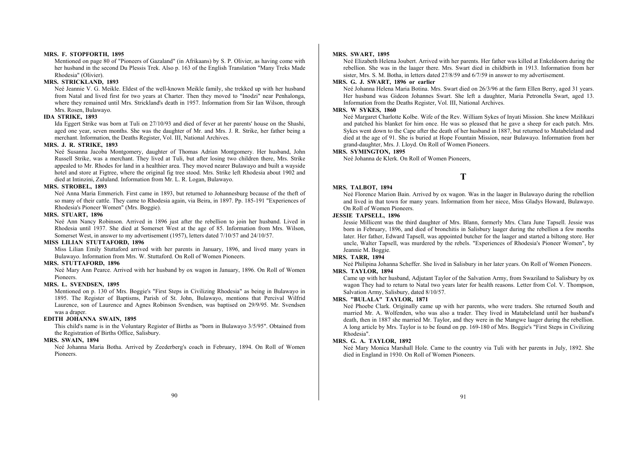#### **MRS. F. STOPFORTH, 1895**

Mentioned on page 80 of "Pioneers of Gazaland" (in Afrikaans) by S. P. Olivier, as having come with her husband in the second Du Plessis Trek. Also p. 163 of the English Translation "Many Treks Made Rhodesia" (Olivier).

#### **MRS. STRICKLAND, 1893**

Neé Jeannie V. G. Meikle. Eldest of the well-known Meikle family, she trekked up with her husband from Natal and lived first for two years at Charter. Then they moved to "Inodzi" near Penhalonga, where they remained until Mrs. Strickland's death in 1957. Information from Sir Ian Wilson, through Mrs. Rosen, Bulawayo.

## **IDA STRIKE, 1893**

Ida Eggert Strike was born at Tuli on 27/10/93 and died of fever at her parents' house on the Shashi, aged one year, seven months. She was the daughter of Mr. and Mrs. J. R. Strike, her father being a merchant. Information, the Deaths Register, Vol. III, National Archives.

## **MRS. J. R. STRIKE, 1893**

Neé Susanna Jacoba Montgomery, daughter of Thomas Adrian Montgomery. Her husband, John Russell Strike, was a merchant. They lived at Tuli, but after losing two children there, Mrs. Strike appealed to Mr. Rhodes for land in a healthier area. They moved nearer Bulawayo and built a wayside hotel and store at Figtree, where the original fig tree stood. Mrs. Strike left Rhodesia about 1902 and died at Intinzini, Zululand. Information from Mr. L. R. Logan, Bulawayo.

#### **MRS. STROBEL, 1893**

Neé Anna Maria Emmerich. First came in 1893, but returned to Johannesburg because of the theft of so many of their cattle. They came to Rhodesia again, via Beira, in 1897. Pp. 185-191 "Experiences of Rhodesia's Pioneer Women" (Mrs. Boggie).

#### **MRS. STUART, 1896**

Neé Ann Nancy Robinson. Arrived in 1896 just after the rebellion to join her husband. Lived in Rhodesia until 1937. She died at Somerset West at the age of 85. Information from Mrs. Wilson, Somerset West, in answer to my advertisement (1957), letters dated 7/10/57 and 24/10/57.

#### **MISS LILIAN STUTTAFORD, 1896**

Miss Lilian Emily Stuttaford arrived with her parents in January, 1896, and lived many years in Bulawayo. Information from Mrs. W. Stuttaford. On Roll of Women Pioneers.

#### **MRS. STUTTAFORD, 1896**

Neé Mary Ann Pearce. Arrived with her husband by ox wagon in January, 1896. On Roll of Women Pioneers.

#### **MRS. L. SVENDSEN, 1895**

Mentioned on p. 130 of Mrs. Boggie's "First Steps in Civilizing Rhodesia" as being in Bulawayo in 1895. The Register of Baptisms, Parish of St. John, Bulawayo, mentions that Percival Wilfrid Laurence, son of Laurence and Agnes Robinson Svendsen, was baptised on 29/9/95. Mr. Svendsen was a draper.

## **EDITH JOHANNA SWAIN, 1895**

This child's name is in the Voluntary Register of Births as "born in Bulawayo 3/5/95". Obtained from the Registration of Births Office, Salisbury.

#### **MRS. SWAIN, 1894**

Neé Johanna Maria Botha. Arrived by Zeederberg's coach in February, 1894. On Roll of Women Pioneers.

#### **MRS. SWART, 1895**

Neé Elizabeth Helena Joubert. Arrived with her parents. Her father was killed at Enkeldoorn during the rebellion. She was in the laager there. Mrs. Swart died in childbirth in 1913. Information from her sister, Mrs. S. M. Botha, in letters dated 27/8/59 and 6/7/59 in answer to my advertisement.

## **MRS. G. J. SWART, 1896 or earlier**

Neé Johanna Helena Maria Botina. Mrs. Swart died on 26/3/96 at the farm Ellen Berry, aged 31 years. Her husband was Gideon Johannes Swart. She left a daughter, Maria Petronella Swart, aged 13. Information from the Deaths Register, Vol. III, National Archives.

#### **MRS. W SYKES, 1860**

Neé Margaret Charlotte Kolbe. Wife of the Rev. William Sykes of Inyati Mission. She knew Mzilikazi and patched his blanket for him once. He was so pleased that he gave a sheep for each patch. Mrs. Sykes went down to the Cape after the death of her husband in 1887, but returned to Matabeleland and died at the age of 91. She is buried at Hope Fountain Mission, near Bulawayo. Information from her grand-daughter, Mrs. J. Lloyd. On Roll of Women Pioneers.

## **MRS. SYMINGTON, 1895**

Neé Johanna de Klerk. On Roll of Women Pioneers,

## **T**

## **MRS. TALBOT, 1894**

Neé Florence Marion Bain. Arrived by ox wagon. Was in the laager in Bulawayo during the rebellion and lived in that town for many years. Information from her niece, Miss Gladys Howard, Bulawayo. On Roll of Women Pioneers.

## **JESSIE TAPSELL, 1896**

Jessie Millicent was the third daughter of Mrs. Blann, formerly Mrs. Clara June Tapsell. Jessie was born in February, 1896, and died of bronchitis in Salisbury laager during the rebellion a few months later. Her father, Edward Tapsell, was appointed butcher for the laager and started a biltong store. Her uncle, Walter Tapsell, was murdered by the rebels. "Experiences of Rhodesia's Pioneer Women", by Jeannie M. Boggie.

#### **MRS. TARR, 1894**

Neé Philipina Johanna Scheffer. She lived in Salisbury in her later years. On Roll of Women Pioneers. **MRS. TAYLOR, 1894** 

Came up with her husband, Adjutant Taylor of the Salvation Army, from Swaziland to Salisbury by ox wagon They had to return to Natal two years later for health reasons. Letter from Col. V. Thompson, Salvation Army, Salisbury, dated 8/10/57.

#### **MRS. "BULALA" TAYLOR, 1871**

Neé Phoebe Clark. Originally came up with her parents, who were traders. She returned South and married Mr. A. Wolfenden, who was also a trader. They lived in Matabeleland until her husband's death, then in 1887 she married Mr. Taylor, and they were in the Mangwe laager during the rebellion. A long article by Mrs. Taylor is to be found on pp. 169-180 of Mrs. Boggie's "First Steps in Civilizing Rhodesia".

## **MRS. G. A. TAYLOR, 1892**

Neé Mary Monica Marshall Hole. Came to the country via Tuli with her parents in July, 1892. She died in England in 1930. On Roll of Women Pioneers.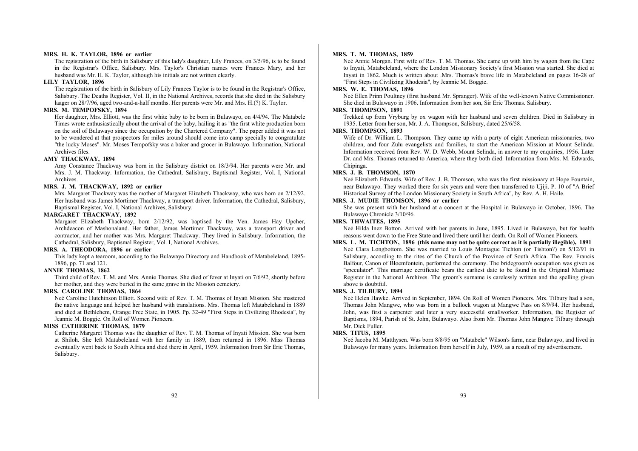#### **MRS. H. K. TAYLOR, 1896 or earlier**

The registration of the birth in Salisbury of this lady's daughter, Lily Frances, on 3/5/96, is to be found in the Registrar's Office, Salisbury. Mrs. Taylor's Christian names were Frances Mary, and her husband was Mr. H. K. Taylor, although his initials are not written clearly.

#### **LILY TAYLOR, 1896**

The registration of the birth in Salisbury of Lily Frances Taylor is to be found in the Registrar's Office, Salisbury. The Deaths Register, Vol. II, in the National Archives, records that she died in the Salisbury laager on 28/7/96, aged two-and-a-half months. Her parents were Mr. and Mrs. H.(?) K. Taylor.

#### **MRS. M. TEMPOFSKY, 1894**

Her daughter, Mrs. Elliott, was the first white baby to be born in Bulawayo, on 4/4/94. The Matabele Times wrote enthusiastically about the arrival of the baby, hailing it as "the first white production born on the soil of Bulawayo since the occupation by the Chartered Company". The paper added it was not to be wondered at that prospectors for miles around should come into camp specially to congratulate "the lucky Moses". Mr. Moses Tempofsky was a baker and grocer in Bulawayo. Information, National Archives files.

#### **AMY THACKWAY, 1894**

Amy Constance Thackway was born in the Salisbury district on 18/3/94. Her parents were Mr. and Mrs. J. M. Thackway. Information, the Cathedral, Salisbury, Baptismal Register, Vol. I, National Archives.

## **MRS. J. M. THACKWAY, 1892 or earlier**

Mrs. Margaret Thackway was the mother of Margaret Elizabeth Thackway, who was born on 2/12/92. Her husband was James Mortimer Thackway, a transport driver. Information, the Cathedral, Salisbury, Baptismal Register, Vol. I, National Archives, Salisbury.

#### **MARGARET THACKWAY, 1892**

Margaret Elizabeth Thackway, born 2/12/92, was baptised by the Ven. James Hay Upcher, Archdeacon of Mashonaland. Her father, James Mortimer Thackway, was a transport driver and contractor, and her mother was Mrs. Margaret Thackway. They lived in Salisbury. Information, the Cathedral, Salisbury, Baptismal Register, Vol. I, National Archives.

## **MRS. A. THEODORA, 1896 or earlier**

This lady kept a tearoom, according to the Bulawayo Directory and Handbook of Matabeleland, 1895- 1896, pp. 71 and 121.

## **ANNIE THOMAS, 1862**

Third child of Rev. T. M. and Mrs. Annie Thomas. She died of fever at Inyati on 7/6/92, shortly before her mother, and they were buried in the same grave in the Mission cemetery.

#### **MRS. CAROLINE THOMAS, 1864**

Neé Caroline Hutchinson Elliott. Second wife of Rev. T. M. Thomas of Inyati Mission. She mastered the native language and helped her husband with translations. Mrs. Thomas left Matabeleland in 1889 and died at Bethlehem, Orange Free State, in 1905. Pp. 32-49 "First Steps in Civilizing Rhodesia", by Jeannie M. Boggie. On Roll of Women Pioneers.

## **MISS CATHERINE THOMAS, 1879**

Catherine Margaret Thomas was the daughter of Rev. T. M. Thomas of Inyati Mission. She was born at Shiloh. She left Matabeleland with her family in 1889, then returned in 1896. Miss Thomas eventually went back to South Africa and died there in April, 1959. Information from Sir Eric Thomas, Salisbury.

#### **MRS. T. M. THOMAS, 1859**

Neé Annie Morgan. First wife of Rev. T. M. Thomas. She came up with him by wagon from the Cape to Inyati, Matabeleland, where the London Missionary Society's first Mission was started. She died at Inyati in 1862. Much is written about .Mrs. Thomas's brave life in Matabeleland on pages 16-28 of "First Steps in Civilizing Rhodesia", by Jeannie M. Boggie.

#### **MRS. W. E. THOMAS, 1896**

Neé Ellen Prinn Poultney (first husband Mr. Spranger). Wife of the well-known Native Commissioner. She died in Bulawayo in 1906. Information from her son, Sir Eric Thomas. Salisbury.

#### **MRS. THOMPSON, 1891**

Trekked up from Vryburg by ox wagon with her husband and seven children. Died in Salisbury in 1935. Letter from her son, Mr. J. A. Thompson, Salisbury, dated 25/6/58.

## **MRS. THOMPSON, 1893**

Wife of Dr. William L. Thompson. They came up with a party of eight American missionaries, two children, and four Zulu evangelists and families, to start the American Mission at Mount Selinda. Information received from Rev. W. D. Webb, Mount Selinda, in answer to my enquiries, 1956. Later Dr. and Mrs. Thomas returned to America, where they both died. Information from Mrs. M. Edwards, Chininga.

## **MRS. J. B. THOMSON, 1870**

Neé Elizabeth Edwards. Wife of Rev. J. B. Thomson, who was the first missionary at Hope Fountain, near Bulawayo. They worked there for six years and were then transferred to Ujiji. P. 10 of "A Brief Historical Survey of the London Missionary Society in South Africa", by Rev. A. H. Haile.

#### **MRS. J. MUDIE THOMSON, 1896 or earlier**

She was present with her husband at a concert at the Hospital in Bulawayo in October, 1896. The Bulawayo Chronicle 3/10/96.

## **MRS. THWAITES, 1895**

Neé Hilda Inez Botton. Arrived with her parents in June, 1895. Lived in Bulawayo, but for health reasons went down to the Free State and lived there until her death. On Roll of Women Pioneers.

## **MRS. L. M. TICHTON, 1896 (this name may not be quite correct as it is partially illegible), 1891**  Neé Clara Longbottom. She was married to Louis Montague Tichton (or Tishton?) on 5/12/91 in Salisbury, according to the rites of the Church of the Province of South Africa. The Rev. Francis Balfour, Canon of Bloemfontein, performed the ceremony. The bridegroom's occupation was given as "speculator". This marriage certificate bears the earliest date to be found in the Original Marriage Register in the National Archives. The groom's surname is carelessly written and the spelling given above is doubtful.

## **MRS. J. TILBURY, 1894**

Neé Helen Hawke. Arrived in September, 1894. On Roll of Women Pioneers. Mrs. Tilbury had a son, Thomas John Mangwe, who was born in a bullock wagon at Mangwe Pass on 8/9/94. Her husband, John, was first a carpenter and later a very successful smallworker. Information, the Register of Baptisms, 1894, Parish of St. John, Bulawayo. Also from Mr. Thomas John Mangwe Tilbury through Mr. Dick Fuller.

#### **MRS. TITUS, 1895**

Neé Jacoba M. Matthysen. Was born 8/8/95 on "Matabele" Wilson's farm, near Bulawayo, and lived in Bulawayo for many years. Information from herself in July, 1959, as a result of my advertisement.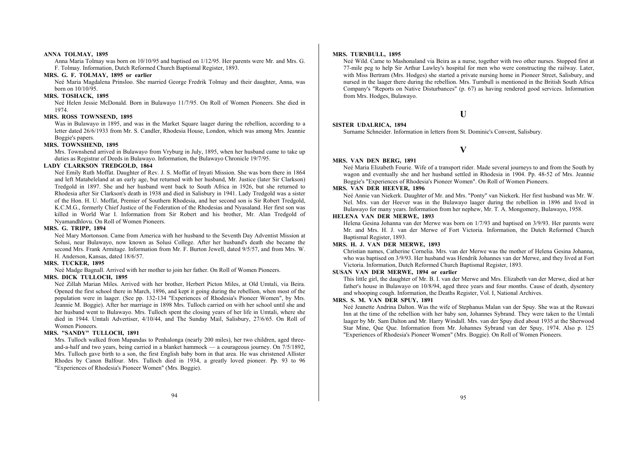#### **ANNA TOLMAY, 1895**

Anna Maria Tolmay was born on 10/10/95 and baptised on 1/12/95. Her parents were Mr. and Mrs. G. F. Tolmay. Information, Dutch Reformed Church Baptismal Register, 1893.

## **MRS. G. F. TOLMAY, 1895 or earlier**

Neé Maria Magdalena Prinsloo. She married George Fredrik Tolmay and their daughter, Anna, was born on 10/10/95.

## **MRS. TOSHACK, 1895**

Neé Helen Jessie McDonald. Born in Bulawayo 11/7/95. On Roll of Women Pioneers. She died in 1974.

## **MRS. ROSS TOWNSEND, 1895**

Was in Bulawayo in 1895, and was in the Market Square laager during the rebellion, according to a letter dated 26/6/1933 from Mr. S. Candler, Rhodesia House, London, which was among Mrs. Jeannie Boggie's papers.

## **MRS. TOWNSHEND, 1895**

Mrs. Townshend arrived in Bulawayo from Vryburg in July, 1895, when her husband came to take up duties as Registrar of Deeds in Bulawayo. Information, the Bulawayo Chronicle 19/7/95.

#### **LADY CLARKSON TREDGOLD, 1864**

Neé Emily Ruth Moffat. Daughter of Rev. J. S. Moffat of Inyati Mission. She was born there in 1864 and left Matabeleland at an early age, but returned with her husband, Mr. Justice (later Sir Clarkson) Tredgold in 1897. She and her husband went back to South Africa in 1926, but she returned to Rhodesia after Sir Clarkson's death in 1938 and died in Salisbury in 1941. Lady Tredgold was a sister of the Hon. H. U. Moffat, Premier of Southern Rhodesia, and her second son is Sir Robert Tredgold, K.C.M.G., formerly Chief Justice of the Federation of the Rhodesias and Nyasaland. Her first son was killed in World War I. Information from Sir Robert and his brother, Mr. Alan Tredgold of Nyamandhlovu. On Roll of Women Pioneers.

#### **MRS. G. TRIPP, 1894**

Neé Mary Mortonson. Came from America with her husband to the Seventh Day Adventist Mission at Solusi, near Bulawayo, now known as Solusi College. After her husband's death she became the second Mrs. Frank Armitage. Information from Mr. F. Burton Jewell, dated 9/5/57, and from Mrs. W. H. Anderson, Kansas, dated 18/6/57.

#### **MRS. TUCKER, 1895**

Neé Madge Bagnall. Arrived with her mother to join her father. On Roll of Women Pioneers.

#### **MRS. DICK TULLOCH, 1895**

Neé Zillah Marian Miles. Arrived with her brother, Herbert Picton Miles, at Old Umtali, via Beira. Opened the first school there in March, 1896, and kept it going during the rebellion, when most of the population were in laager. (See pp. 132-134 "Experiences of Rhodesia's Pioneer Women", by Mrs. Jeannie M. Boggie). After her marriage in 1898 Mrs. Tulloch carried on with her school until she and her husband went to Bulawayo. Mrs. Tulloch spent the closing years of her life in Umtali, where she died in 1944. Umtali Advertiser, 4/10/44, and The Sunday Mail, Salisbury, 27/6/65. On Roll of Women Pioneers.

#### **MRS. "SANDY" TULLOCH, 1891**

Mrs. Tulloch walked from Mapandas to Penhalonga (nearly 200 miles), her two children, aged threeand-a-half and two years, being carried in a blanket hammock — a courageous journey. On 7/5/1892, Mrs. Tulloch gave birth to a son, the first English baby born in that area. He was christened Allister Rhodes by Canon Balfour. Mrs. Tulloch died in 1934, a greatly loved pioneer. Pp. 93 to 96 "Experiences of Rhodesia's Pioneer Women" (Mrs. Boggie).

#### **MRS. TURNBULL, 1895**

Neé Wild. Came to Mashonaland via Beira as a nurse, together with two other nurses. Stopped first at 77-mile peg to help Sir Arthur Lawley's hospital for men who were constructing the railway. Later, with Miss Bertram (Mrs. Hodges) she started a private nursing home in Pioneer Street, Salisbury, and nursed in the laager there during the rebellion. Mrs. Turnbull is mentioned in the British South Africa Company's "Reports on Native Disturbances" (p. 67) as having rendered good services. Information from Mrs. Hodges, Bulawayo.

## **U**

#### **SISTER UDALRICA, 1894**

Surname Schneider. Information in letters from St. Dominic's Convent, Salisbury.

## **V**

#### **MRS. VAN DEN BERG, 1891**

Neé Maria Elizabeth Fourie. Wife of a transport rider. Made several journeys to and from the South by wagon and eventually she and her husband settled in Rhodesia in 1904. Pp. 48-52 of Mrs. Jeannie Boggie's "Experiences of Rhodesia's Pioneer Women". On Roll of Women Pioneers.

## **MRS. VAN DER HEEVER, 1896**

Neé Annie van Niekerk. Daughter of Mr. and Mrs. "Ponty" van Niekerk. Her first husband was Mr. W. Nel. Mrs. van der Heever was in the Bulawayo laager during the rebellion in 1896 and lived in Bulawayo for many years. Information from her nephew, Mr. T. A. Mongomery, Bulawayo, 1958.

#### **HELENA VAN DER MERWE, 1893**

Helena Gesina Johanna van der Merwe was born on 1/7/93 and baptised on 3/9/93. Her parents were Mr. and Mrs. H. J. van der Merwe of Fort Victoria. Information, the Dutch Reformed Church Baptismal Register, 1893.

## **MRS. H. J. VAN DER MERWE, 1893**

Christian names, Catherine Cornelia. Mrs. van der Merwe was the mother of Helena Gesina Johanna, who was baptised on 3/9/93. Her husband was Hendrik Johannes van der Merwe, and they lived at Fort Victoria. Information, Dutch Reformed Church Baptismal Register, 1893.

## **SUSAN VAN DER MERWE, 1894 or earlier**

This little girl, the daughter of Mr. B. I. van der Merwe and Mrs. Elizabeth van der Merwe, died at her father's house in Bulawayo on 10/8/94, aged three years and four months. Cause of death, dysentery and whooping cough. Information, the Deaths Register, Vol. I, National Archives.

#### **MRS. S. M. VAN DER SPUY, 1891**

Neé Jeanette Andrina Dalton. Was the wife of Stephanus Malan van der Spuy. She was at the Ruwazi Inn at the time of the rebellion with her baby son, Johannes Sybrand. They were taken to the Umtali laager by Mr. Sam Dalton and Mr. Harry Windall. Mrs. van der Spuy died about 1935 at the Sherwood Star Mine, Que Que. Information from Mr. Johannes Sybrand van der Spuy, 1974. Also p. 125 "Experiences of Rhodesia's Pioneer Women" (Mrs. Boggie). On Roll of Women Pioneers.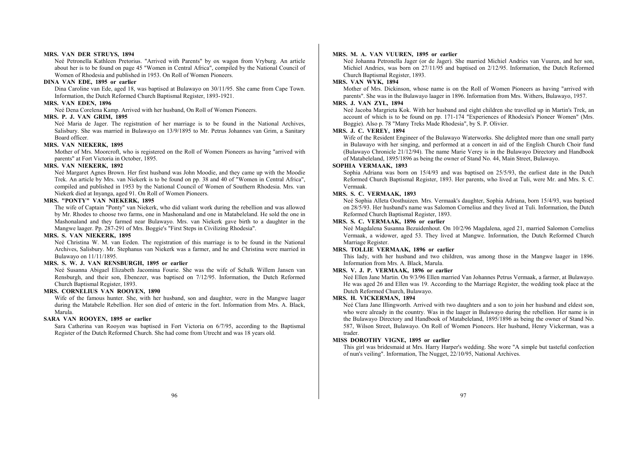#### **MRS. VAN DER STRUYS, 1894**

Neé Petronella Kathleen Pretorius. "Arrived with Parents" by ox wagon from Vryburg. An article about her is to be found on page 45 "Women in Central Africa", compiled by the National Council of Women of Rhodesia and published in 1953. On Roll of Women Pioneers.

#### **DINA VAN EDE, 1895 or earlier**

Dina Caroline van Ede, aged 18, was baptised at Bulawayo on 30/11/95. She came from Cape Town. Information, the Dutch Reformed Church Baptismal Register, 1893-1921.

## **MRS. VAN EDEN, 1896**

Neé Dena Corelena Kamp. Arrived with her husband, On Roll of Women Pioneers.

## **MRS. P. J. VAN GRIM, 1895**

Neé Maria de Jager. The registration of her marriage is to be found in the National Archives, Salisbury. She was married in Bulawayo on 13/9/1895 to Mr. Petrus Johannes van Grim, a Sanitary Board officer.

## **MRS. VAN NIEKERK, 1895**

Mother of Mrs. Moorcroft, who is registered on the Roll of Women Pioneers as having "arrived with parents" at Fort Victoria in October, 1895.

#### **MRS. VAN NIEKERK, 1892**

Neé Margaret Agnes Brown. Her first husband was John Moodie, and they came up with the Moodie Trek. An article by Mrs. van Niekerk is to be found on pp. 38 and 40 of "Women in Central Africa", compiled and published in 1953 by the National Council of Women of Southern Rhodesia. Mrs. van Niekerk died at Inyanga, aged 91. On Roll of Women Pioneers.

## **MRS. "PONTY" VAN NIEKERK, 1895**

The wife of Captain "Ponty" van Niekerk, who did valiant work during the rebellion and was allowed by Mr. Rhodes to choose two farms, one in Mashonaland and one in Matabeleland. He sold the one in Mashonaland and they farmed near Bulawayo. Mrs. van Niekerk gave birth to a daughter in the Mangwe laager. Pp. 287-291 of Mrs. Boggie's "First Steps in Civilizing Rhodesia".

## **MRS. S. VAN NIEKERK, 1895**

Neé Christina W. M. van Eeden. The registration of this marriage is to be found in the National Archives, Salisbury. Mr. Stephanus van Niekerk was a farmer, and he and Christina were married in Bulawayo on 11/11/1895.

#### **MRS. S. W. J. VAN RENSBURGH, 1895 or earlier**

Neé Susanna Abigael Elizabeth Jacomina Fourie. She was the wife of Schalk Willem Jansen van Rensburgh, and their son, Ebenezer, was baptised on 7/12/95. Information, the Dutch Reformed Church Baptismal Register, 1893.

#### **MRS. CORNELIUS VAN ROOYEN, 1890**

Wife of the famous hunter. She, with her husband, son and daughter, were in the Mangwe laager during the Matabele Rebellion. Her son died of enteric in the fort. Information from Mrs. A. Black, Marula.

## **SARA VAN ROOYEN, 1895 or earlier**

Sara Catherina van Rooyen was baptised in Fort Victoria on 6/7/95, according to the Baptismal Register of the Dutch Reformed Church. She had come from Utrecht and was 18 years old.

## **MRS. M. A. VAN VUUREN, 1895 or earlier**

Neé Johanna Petronella Jager (or de Jager). She married Michiel Andries van Vuuren, and her son, Michiel Andries, was born on 27/11/95 and baptised on 2/12/95. Information, the Dutch Reformed Church Baptismal Register, 1893.

#### **MRS. VAN WYK, 1894**

Mother of Mrs. Dickinson, whose name is on the Roll of Women Pioneers as having "arrived with parents". She was in the Bulawayo laager in 1896. Information from Mrs. Withers, Bulawayo, 1957.

#### **MRS. J. VAN ZYL, 1894**

Neé Jacoba Margrieta Kok. With her husband and eight children she travelled up in Martin's Trek, an account of which is to be found on pp. 171-174 "Experiences of Rhodesia's Pioneer Women" (Mrs. Boggie). Also p. 78 "Many Treks Made Rhodesia", by S. P. Olivier.

#### **MRS. J. C. VEREY, 1894**

Wife of the Resident Engineer of the Bulawayo Waterworks. She delighted more than one small party in Bulawayo with her singing, and performed at a concert in aid of the English Church Choir fund (Bulawayo Chronicle 21/12/94). The name Marie Verey is in the Bulawayo Directory and Handbook of Matabeleland, 1895/1896 as being the owner of Stand No. 44, Main Street, Bulawayo.

#### **SOPHIA VERMAAK, 1893**

Sophia Adriana was born on 15/4/93 and was baptised on 25/5/93, the earliest date in the Dutch Reformed Church Baptismal Register, 1893. Her parents, who lived at Tuli, were Mr. and Mrs. S. C. Vermaak.

## **MRS. S. C. VERMAAK, 1893**

Neé Sophia Alleta Oosthuizen. Mrs. Vermaak's daughter, Sophia Adriana, born 15/4/93, was baptised on 28/5/93. Her husband's name was Salomon Cornelius and they lived at Tuli. Information, the Dutch Reformed Church Baptismal Register, 1893.

## **MRS. S. C. VERMAAK, 1896 or earlier**

Neé Magdalena Susanna Bezuidenhout. On 10/2/96 Magdalena, aged 21, married Salomon Cornelius Vermaak, a widower, aged 53. They lived at Mangwe. Information, the Dutch Reformed Church Marriage Register.

## **MRS. TOLLIE VERMAAK, 1896 or earlier**

This lady, with her husband and two children, was among those in the Mangwe laager in 1896. Information from Mrs. A. Black, Marula.

## **MRS. V. J. P. VERMAAK, 1896 or earlier**

Neé Ellen Jane Martin. On 9/3/96 Ellen married Van Johannes Petrus Vermaak, a farmer, at Bulawayo. He was aged 26 and Ellen was 19. According to the Marriage Register, the wedding took place at the Dutch Reformed Church, Bulawayo.

#### **MRS. H. VICKERMAN, 1894**

Neé Clara Jane Illingworth. Arrived with two daughters and a son to join her husband and eldest son, who were already in the country. Was in the laager in Bulawayo during the rebellion. Her name is in the Bulawayo Directory and Handbook of Matabeleland, 1895/1896 as being the owner of Stand No. 587, Wilson Street, Bulawayo. On Roll of Women Pioneers. Her husband, Henry Vickerman, was a trader.

## **MISS DOROTHY VIGNE, 1895 or earlier**

This girl was bridesmaid at Mrs. Harry Harper's wedding. She wore "A simple but tasteful confection of nun's veiling". Information, The Nugget, 22/10/95, National Archives.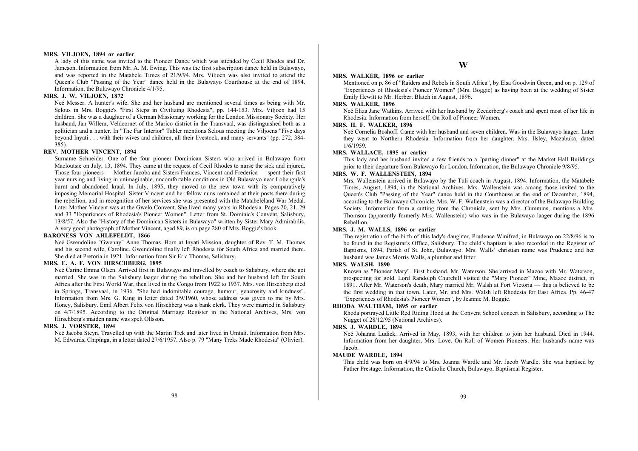#### **MRS. VILJOEN, 1894 or earlier**

A lady of this name was invited to the Pioneer Dance which was attended by Cecil Rhodes and Dr. Jameson. Information from Mr. A. M. Ewing. This was the first subscription dance held in Bulawayo, and was reported in the Matabele Times of 21/9/94. Mrs. Viljoen was also invited to attend the Queen's Club "Passing of the Year" dance held in the Bulawayo Courthouse at the end of 1894. Information, the Bulawayo Chronicle 4/1/95.

## **MRS. J. W. VILJOEN, 1872**

Neé Messer. A hunter's wife. She and her husband are mentioned several times as being with Mr. Selous in Mrs. Boggie's "First Steps in Civilizing Rhodesia", pp. 144-153. Mrs. Viljoen had 15 children. She was a daughter of a German Missionary working for the London Missionary Society. Her husband, Jan Willem, Veldcornet of the Marico district in the Transvaal, was distinguished both as a politician and a hunter. In "The Far Interior" Tabler mentions Selous meeting the Viljoens "Five days beyond Inyati . . . with their wives and children, all their livestock, and many servants" (pp. 272, 384- 385).

#### **REV. MOTHER VINCENT, 1894**

Surname Schneider. One of the four pioneer Dominican Sisters who arrived in Bulawayo from Macloutsie on July, 13, 1894. They came at the request of Cecil Rhodes to nurse the sick and injured. Those four pioneers — Mother Jacoba and Sisters Frances, Vincent and Frederica — spent their first year nursing and living in unimaginable, uncomfortable conditions in Old Bulawayo near Lobengula's burnt and abandoned kraal. In July, 1895, they moved to the new town with its comparatively imposing Memorial Hospital. Sister Vincent and her fellow nuns remained at their posts there during the rebellion, and in recognition of her services she was presented with the Matabeleland War Medal. Later Mother Vincent was at the Gwelo Convent. She lived many years in Rhodesia. Pages 20, 21, 29 and 33 "Experiences of Rhodesia's Pioneer Women". Letter from St. Dominic's Convent, Salisbury, 13/8/57. Also the "History of the Dominican Sisters in Bulawayo" written by Sister Mary Admirabilis. A very good photograph of Mother Vincent, aged 89, is on page 280 of Mrs. Boggie's book.

#### **BARONESS VON AHLEFELDT, 1866**

Neé Gwendoline "Gwenny" Anne Thomas. Born at Inyati Mission, daughter of Rev. T. M. Thomas and his second wife, Caroline. Gwendoline finally left Rhodesia for South Africa and married there. She died at Pretoria in 1921. Information from Sir Eric Thomas, Salisbury.

#### **MRS. E. A. F. VON HIRSCHBERG, 1895**

Neé Carine Emma Olsen. Arrived first in Bulawayo and travelled by coach to Salisbury, where she got married. She was in the Salisbury laager during the rebellion. She and her husband left for South Africa after the First World War, then lived in the Congo from 1922 to 1937. Mrs. von Hirschberg died in Springs, Transvaal, in 1936. "She had indomitable courage, humour, generosity and kindness". Information from Mrs. G. King in letter dated 3/9/1960, whose address was given to me by Mrs. Honey, Salisbury. Emil Albert Felix von Hirschberg was a bank clerk. They were married in Salisbury on 4/7/1895. According to the Original Marriage Register in the National Archives, Mrs. von Hirschberg's maiden name was spelt Ollsson.

#### **MRS. J. VORSTER, 1894**

Neé Jacoba Steyn. Travelled up with the Martin Trek and later lived in Umtali. Information from Mrs. M. Edwards, Chipinga, in a letter dated 27/6/1957. Also p. 79 "Many Treks Made Rhodesia" (Olivier).

#### **MRS. WALKER, 1896 or earlier**

Mentioned on p. 86 of "Raiders and Rebels in South Africa", by Elsa Goodwin Green, and on p. 129 of "Experiences of Rhodesia's Pioneer Women" (Mrs. Boggie) as having been at the wedding of Sister Emily Hewitt to Mr. Herbert Blatch in August, 1896.

#### **MRS. WALKER, 1896**

Neé Eliza Jane Watkins. Arrived with her husband by Zeederberg's coach and spent most of her life in Rhodesia. Information from herself. On Roll of Pioneer Women.

#### **MRS. H. F. WALKER, 1896**

Neé Cornelia Boshoff. Came with her husband and seven children. Was in the Bulawayo laager. Later they went to Northern Rhodesia. Information from her daughter, Mrs. Ilsley, Mazabuka, dated 1/6/1959.

#### **MRS. WALLACE, 1895 or earlier**

This lady and her husband invited a few friends to a "parting dinner" at the Market Hall Buildings prior to their departure from Bulawayo for London. Information, the Bulawayo Chronicle 9/8/95.

#### **MRS. W. F. WALLENSTEIN, 1894**

Mrs. Wallenstein arrived in Bulawayo by the Tuli coach in August, 1894. Information, the Matabele Times, August, 1894, in the National Archives. Mrs. Wallenstein was among those invited to the Queen's Club "Passing of the Year" dance held in the Courthouse at the end of December, 1894, according to the Bulawayo Chronicle. Mrs. W. F. Wallenstein was a director of the Bulawayo Building Society. Information from a cutting from the Chronicle, sent by Mrs. Cummins, mentions a Mrs. Thomson (apparently formerly Mrs. Wallenstein) who was in the Bulawayo laager during the 1896 Rebellion.

## **MRS. J. M. WALLS, 1896 or earlier**

The registration of the birth of this lady's daughter, Prudence Winifred, in Bulawayo on 22/8/96 is to be found in the Registrar's Office, Salisbury. The child's baptism is also recorded in the Register of Baptisms, 1894, Parish of St. John, Bulawayo. Mrs. Walls' christian name was Prudence and her husband was James Morris Walls, a plumber and fitter.

#### **MRS. WALSH, 1890**

Known as "Pioneer Mary". First husband, Mr. Waterson. She arrived in Mazoe with Mr. Waterson, prospecting for gold. Lord Randolph Churchill visited the "Mary Pioneer" Mine, Mazoe district, in 1891. After Mr. Waterson's death, Mary married Mr. Walsh at Fort Victoria — this is believed to be the first wedding in that town. Later, Mr. and Mrs. Walsh left Rhodesia for East Africa. Pp. 46-47 "Experiences of Rhodesia's Pioneer Women", by Jeannie M. Boggie.

## **RHODA WALTHAM, 1895 or earlier**

Rhoda portrayed Little Red Riding Hood at the Convent School concert in Salisbury, according to The Nugget of 28/12/95 (National Archives).

#### **MRS. J. WARDLE, 1894**

Neé Johanna Ludick. Arrived in May, 1893, with her children to join her husband. Died in 1944. Information from her daughter, Mrs. Love. On Roll of Women Pioneers. Her husband's name was Jacob.

#### **MAUDE WARDLE, 1894**

This child was born on 4/9/94 to Mrs. Joanna Wardle and Mr. Jacob Wardle. She was baptised by Father Prestage. Information, the Catholic Church, Bulawayo, Baptismal Register.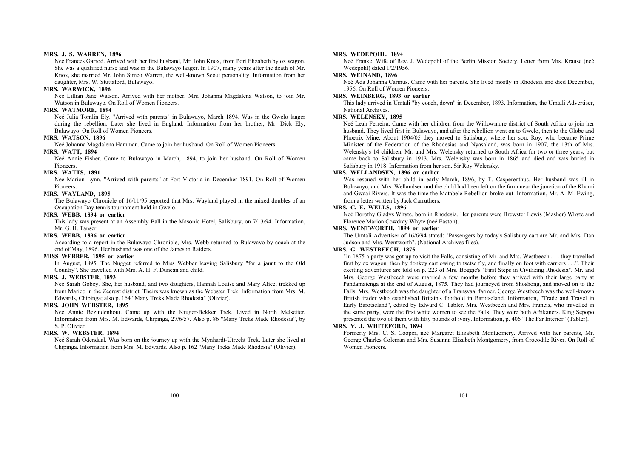#### **MRS. J. S. WARREN, 1896**

Neé Frances Garrod. Arrived with her first husband, Mr. John Knox, from Port Elizabeth by ox wagon. She was a qualified nurse and was in the Bulawayo laager. In 1907, many years after the death of Mr. Knox, she married Mr. John Simco Warren, the well-known Scout personality. Information from her daughter, Mrs. W. Stuttaford, Bulawayo.

#### **MRS. WARWICK, 1896**

Neé Lillian Jane Watson. Arrived with her mother, Mrs. Johanna Magdalena Watson, to join Mr. Watson in Bulawayo. On Roll of Women Pioneers.

#### **MRS. WATMORE, 1894**

Neé Julia Tomlin Ely. "Arrived with parents" in Bulawayo, March 1894. Was in the Gwelo laager during the rebellion. Later she lived in England. Information from her brother, Mr. Dick Ely, Bulawayo. On Roll of Women Pioneers.

#### **MRS. WATSON, 1896**

Neé Johanna Magdalena Hamman. Came to join her husband. On Roll of Women Pioneers.

## **MRS. WATT, 1894**

Neé Annie Fisher. Came to Bulawayo in March, 1894, to join her husband. On Roll of Women Pioneers.

#### **MRS. WATTS, 1891**

Neé Marion Lynn. "Arrived with parents" at Fort Victoria in December 1891. On Roll of Women Pioneers.

#### **MRS. WAYLAND, 1895**

The Bulawayo Chronicle of 16/11/95 reported that Mrs. Wayland played in the mixed doubles of an Occupation Day tennis tournament held in Gwelo.

## **MRS. WEBB, 1894 or earlier**

This lady was present at an Assembly Ball in the Masonic Hotel, Salisbury, on 7/13/94. Information, Mr. G. H. Tanser.

#### **MRS. WEBB, 1896 or earlier**

According to a report in the Bulawayo Chronicle, Mrs. Webb returned to Bulawayo by coach at the end of May, 1896. Her husband was one of the Jameson Raiders.

## **MISS WEBBER, 1895 or earlier**

In August, 1895, The Nugget referred to Miss Webber leaving Salisbury "for a jaunt to the Old Country". She travelled with Mrs. A. H. F. Duncan and child.

## **MRS. J. WEBSTER, 1893**

Neé Sarah Gobey. She, her husband, and two daughters, Hannah Louise and Mary Alice, trekked up from Marico in the Zeerust district. Theirs was known as the Webster Trek. Information from Mrs. M. Edwards, Chipinga; also p. 164 "Many Treks Made Rhodesia" (Olivier).

#### **MRS. JOHN WEBSTER, 1895**

Neé Annie Bezuidenhout. Came up with the Kruger-Bekker Trek. Lived in North Melsetter. Information from Mrs. M. Edwards, Chipinga, 27/6/57. Also p. 86 "Many Treks Made Rhodesia", by S. P. Olivier.

#### **MRS. W. WEBSTER, 1894**

Neé Sarah Odendaal. Was born on the journey up with the Mynhardt-Utrecht Trek. Later she lived at Chipinga. Information from Mrs. M. Edwards. Also p. 162 "Many Treks Made Rhodesia" (Olivier).

#### **MRS. WEDEPOHL, 1894**

Neé Franke. Wife of Rev. J. Wedepohl of the Berlin Mission Society. Letter from Mrs. Krause (neé Wedepohl) dated 1/2/1956.

## **MRS. WEINAND, 1896**

Neé Ada Johanna Carinus. Came with her parents. She lived mostly in Rhodesia and died December, 1956. On Roll of Women Pioneers.

## **MRS. WEINBERG, 1893 or earlier**

This lady arrived in Umtali "by coach, down" in December, 1893. Information, the Umtali Advertiser, National Archives.

## **MRS. WELENSKY, 1895**

Neé Leah Ferreira. Came with her children from the Willowmore district of South Africa to join her husband. They lived first in Bulawayo, and after the rebellion went on to Gwelo, then to the Globe and Phoenix Mine. About 1904/05 they moved to Salisbury, where her son, Roy, who became Prime Minister of the Federation of the Rhodesias and Nyasaland, was born in 1907, the 13th of Mrs. Welensky's 14 children. Mr. and Mrs. Welensky returned to South Africa for two or three years, but came back to Salisbury in 1913. Mrs. Welensky was born in 1865 and died and was buried in Salisbury in 1918. Information from her son, Sir Roy Welensky.

## **MRS. WELLANDSEN, 1896 or earlier**

Was rescued with her child in early March, 1896, by T. Casperenthus. Her husband was ill in Bulawayo, and Mrs. Wellandsen and the child had been left on the farm near the junction of the Khami and Gwaai Rivers. It was the time the Matabele Rebellion broke out. Information, Mr. A. M. Ewing, from a letter written by Jack Carruthers.

#### **MRS. C. E. WELLS, 1896**

Neé Dorothy Gladys Whyte, born in Rhodesia. Her parents were Brewster Lewis (Masher) Whyte and Florence Marion Cowdray Whyte (neé Easton).

#### **MRS. WENTWORTH, 1894 or earlier**

The Umtali Advertiser of 16/6/94 stated: "Passengers by today's Salisbury cart are Mr. and Mrs. Dan Judson and Mrs. Wentworth". (National Archives files).

## **MRS. G. WESTBEECH, 1875**

"In 1875 a party was got up to visit the Falls, consisting of Mr. and Mrs. Westbeech . . . they travelled first by ox wagon, then by donkey cart owing to tsetse fly, and finally on foot with carriers . . .". Their exciting adventures are told on p. 223 of Mrs. Boggie's "First Steps in Civilizing Rhodesia". Mr. and Mrs. George Westbeech were married a few months before they arrived with their large party at Pandamatenga at the end of August, 1875. They had journeyed from Shoshong, and moved on to the Falls. Mrs. Westbeech was the daughter of a Transvaal farmer. George Westbeech was the well-known British trader who established Britain's foothold in Barotseland. Information, "Trade and Travel in Early Barotseland", edited by Edward C. Tabler. Mrs. Westbeech and Mrs. Francis, who travelled in the same party, were the first white women to see the Falls. They were both Afrikaners. King Sepopo presented the two of them with fifty pounds of ivory. Information, p. 406 "The Far Interior" (Tabler).

## **MRS. V. J. WHITEFORD, 1894**

Formerly Mrs. C. S. Cooper, neé Margaret Elizabeth Montgomery. Arrived with her parents, Mr. George Charles Coleman and Mrs. Susanna Elizabeth Montgomery, from Crocodile River. On Roll of Women Pioneers.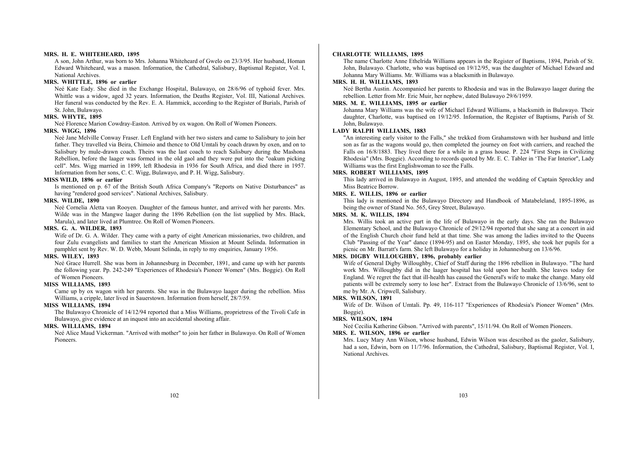#### **MRS. H. E. WHITEHEARD, 1895**

A son, John Arthur, was born to Mrs. Johanna Whiteheard of Gwelo on 23/3/95. Her husband, Homan Edward Whiteheard, was a mason. Information, the Cathedral, Salisbury, Baptismal Register, Vol. I, National Archives.

## **MRS. WHITTLE, 1896 or earlier**

Neé Kate Eady. She died in the Exchange Hospital, Bulawayo, on 28/6/96 of typhoid fever. Mrs. Whittle was a widow, aged 32 years. Information, the Deaths Register, Vol. III, National Archives. Her funeral was conducted by the Rev. E. A. Hammick, according to the Register of Burials, Parish of St. John, Bulawayo.

#### **MRS. WHYTE, 1895**

Neé Florence Marion Cowdray-Easton. Arrived by ox wagon. On Roll of Women Pioneers.

#### **MRS. WIGG, 1896**

Neé Jane Melville Conway Fraser. Left England with her two sisters and came to Salisbury to join her father. They travelled via Beira, Chimoio and thence to Old Umtali by coach drawn by oxen, and on to Salisbury by mule-drawn coach. Theirs was the last coach to reach Salisbury during the Mashona Rebellion, before the laager was formed in the old gaol and they were put into the "oakum picking cell". Mrs. Wigg married in 1899, left Rhodesia in 1936 for South Africa, and died there in 1957. Information from her sons, C. C. Wigg, Bulawayo, and P. H. Wigg, Salisbury.

#### **MISS WILD, 1896 or earlier**

Is mentioned on p. 67 of the British South Africa Company's "Reports on Native Disturbances" as having "rendered good services". National Archives, Salisbury.

#### **MRS. WILDE, 1890**

Neé Cornelia Aletta van Rooyen. Daughter of the famous hunter, and arrived with her parents. Mrs. Wilde was in the Mangwe laager during the 1896 Rebellion (on the list supplied by Mrs. Black, Marula), and later lived at Plumtree. On Roll of Women Pioneers.

## **MRS. G. A. WILDER, 1893**

Wife of Dr. G. A. Wilder. They came with a party of eight American missionaries, two children, and four Zulu evangelists and families to start the American Mission at Mount Selinda. Information in pamphlet sent by Rev. W. D. Webb, Mount Selinda, in reply to my enquiries, January 1956.

## **MRS. WILEY, 1893**

Neé Grace Hurrell. She was born in Johannesburg in December, 1891, and came up with her parents the following year. Pp. 242-249 "Experiences of Rhodesia's Pioneer Women" (Mrs. Boggie). On Roll of Women Pioneers.

#### **MISS WILLIAMS, 1893**

Came up by ox wagon with her parents. She was in the Bulawayo laager during the rebellion. Miss Williams, a cripple, later lived in Sauerstown. Information from herself, 28/7/59.

## **MISS WILLIAMS, 1894**

The Bulawayo Chronicle of 14/12/94 reported that a Miss Williams, proprietress of the Tivoli Cafe in Bulawayo, give evidence at an inquest into an accidental shooting affair.

#### **MRS. WILLIAMS, 1894**

Neé Alice Maud Vickerman. "Arrived with mother" to join her father in Bulawayo. On Roll of Women Pioneers.

#### **CHARLOTTE WILLIAMS, 1895**

The name Charlotte Anne Ethelrida Williams appears in the Register of Baptisms, 1894, Parish of St. John, Bulawayo. Charlotte, who was baptised on 19/12/95, was the daughter of Michael Edward and Johanna Mary Williams. Mr. Williams was a blacksmith in Bulawayo.

## **MRS. H. H. WILLIAMS, 1893**

Neé Bertha Austin. Accompanied her parents to Rhodesia and was in the Bulawayo laager during the rebellion. Letter from Mr. Eric Muir, her nephew, dated Bulawayo 29/6/1959.

## **MRS. M. E. WILLIAMS, 1895 or earlier**

Johanna Mary Williams was the wife of Michael Edward Williams, a blacksmith in Bulawayo. Their daughter, Charlotte, was baptised on 19/12/95. Information, the Register of Baptisms, Parish of St. John, Bulawayo.

#### **LADY RALPH WILLIAMS, 1883**

"An interesting early visitor to the Falls," she trekked from Grahamstown with her husband and little son as far as the wagons would go, then completed the journey on foot with carriers, and reached the Falls on 16/8/1883. They lived there for a while in a grass house. P. 224 "First Steps in Civilizing Rhodesia" (Mrs. Boggie). According to records quoted by Mr. E. C. Tabler in 'The Far Interior", Lady Williams was the first Englishwoman to see the Falls.

#### **MRS. ROBERT WILLIAMS, 1895**

This lady arrived in Bulawayo in August, 1895, and attended the wedding of Captain Spreckley and Miss Beatrice Borrow.

## **MRS. E. WILLIS, 1896 or earlier**

This lady is mentioned in the Bulawayo Directory and Handbook of Matabeleland, 1895-1896, as being the owner of Stand No. 565, Grey Street, Bulawayo.

#### **MRS. M. K. WILLIS, 1894**

Mrs. Willis took an active part in the life of Bulawayo in the early days. She ran the Bulawayo Elementary School, and the Bulawayo Chronicle of 29/12/94 reported that she sang at a concert in aid of the English Church choir fund held at that time. She was among the ladies invited to the Queens Club "Passing of the Year" dance (1894-95) and on Easter Monday, 1895, she took her pupils for a picnic on Mr. Barratt's farm. She left Bulawayo for a holiday in Johannesburg on 13/6/96.

## **MRS. DIGBY WILLOUGHBY, 1896, probably earlier**

Wife of General Digby Willoughby, Chief of Staff during the 1896 rebellion in Bulawayo. "The hard work Mrs. Willoughby did in the laager hospital has told upon her health. She leaves today for England. We regret the fact that ill-health has caused the General's wife to make the change. Many old patients will be extremely sorry to lose her". Extract from the Bulawayo Chronicle of 13/6/96, sent to me by Mr. A. Cripwell, Salisbury.

#### **MRS. WILSON, 1891**

Wife of Dr. Wilson of Umtali. Pp. 49, 116-117 "Experiences of Rhodesia's Pioneer Women" (Mrs. Boggie).

#### **MRS. WILSON, 1894**

Neé Cecilia Katherine Gibson. "Arrived with parents", 15/11/94. On Roll of Women Pioneers.

#### **MRS. E. WILSON, 1896 or earlier**

Mrs. Lucy Mary Ann Wilson, whose husband, Edwin Wilson was described as the gaoler, Salisbury, had a son, Edwin, born on 11/7/96. Information, the Cathedral, Salisbury, Baptismal Register, Vol. I, National Archives.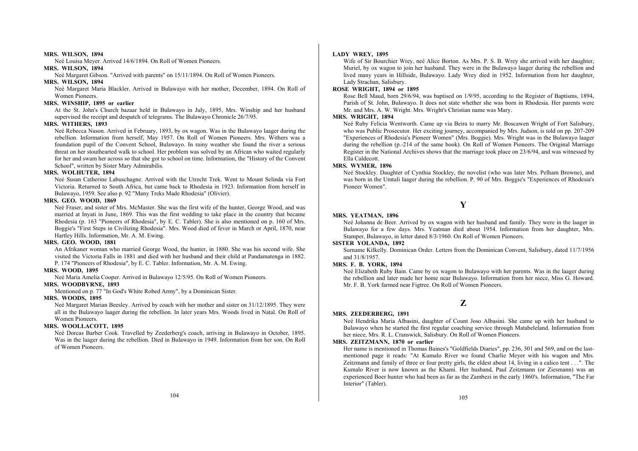#### **MRS. WILSON, 1894**

Neé Louisa Meyer. Arrived 14/6/1894. On Roll of Women Pioneers.

## **MRS. WILSON, 1894**

Neé Margaret Gibson. "Arrived with parents" on 15/11/1894. On Roll of Women Pioneers.

## **MRS. WILSON, 1894**

Neé Margaret Maria Blackler. Arrived in Bulawayo with her mother, December, 1894. On Roll of Women Pioneers.

#### **MRS. WINSHIP, 1895 or earlier**

At the St. John's Church bazaar held in Bulawayo in July, 1895, Mrs. Winship and her husband supervised the receipt and despatch of telegrams. The Bulawayo Chronicle 26/7/95.

## **MRS. WITHERS, 1893**

Neé Rebecca Nason. Arrived in February, 1893, by ox wagon. Was in the Bulawayo laager during the rebellion. Information from herself, May 1957. On Roll of Women Pioneers. Mrs. Withers was a foundation pupil of the Convent School, Bulawayo. In rainy weather she found the river a serious threat on her stouthearted walk to school. Her problem was solved by an African who waited regularly for her and swam her across so that she got to school on time. Information, the "History of the Convent School", written by Sister Mary Admirabilis.

## **MRS. WOLHUTER, 1894**

Neé Susan Catherine Labuschagne. Arrived with the Utrecht Trek. Went to Mount Selinda via Fort Victoria. Returned to South Africa, but came back to Rhodesia in 1923. Information from herself in Bulawayo, 1959. See also p. 92 "Many Treks Made Rhodesia" (Olivier).

## **MRS. GEO. WOOD, 1869**

Neé Fraser, and sister of Mrs. McMaster. She was the first wife of the hunter, George Wood, and was married at Inyati in June, 1869. This was the first wedding to take place in the country that became Rhodesia (p. 163 "Pioneers of Rhodesia", by E. C. Tabler). She is also mentioned on p. 160 of Mrs. Boggie's "First Steps in Civilizing Rhodesia". Mrs. Wood died of fever in March or April, 1870, near Hartley Hills. Information, Mr. A. M. Ewing.

### **MRS. GEO. WOOD, 1881**

An Afrikaner woman who married George Wood, the hunter, in 1880. She was his second wife. She visited the Victoria Falls in 1881 and died with her husband and their child at Pandamatenga in 1882. P. 174 "Pioneers of Rhodesia", by E. C. Tabler. Information, Mr. A. M. Ewing.

#### **MRS. WOOD, 1895**

Neé Maria Amelia Cooper. Arrived in Bulawayo 12/5/95. On Roll of Women Pioneers.

#### **MRS. WOODBYRNE, 1893**

Mentioned on p. 77 "In God's White Robed Army", by a Dominican Sister.

## **MRS. WOODS, 1895**

Neé Margaret Marian Beesley. Arrived by coach with her mother and sister on 31/12/1895. They were all in the Bulawayo laager during the rebellion. In later years Mrs. Woods lived in Natal. On Roll of Women Pioneers.

#### **MRS. WOOLLACOTT, 1895**

Neé Dorcas Barber Cook. Travelled by Zeederberg's coach, arriving in Bulawayo in October, 1895. Was in the laager during the rebellion. Died in Bulawayo in 1949. Information from her son. On Roll of Women Pioneers.

#### **LADY WREY, 1895**

Wife of Sir Bourchier Wrey, neé Alice Borton. As Mrs. P. S. B. Wrey she arrived with her daughter, Muriel, by ox wagon to join her husband. They were in the Bulawayo laager during the rebellion and lived many years in Hillside, Bulawayo. Lady Wrey died in 1952. Information from her daughter, Lady Strachan, Salisbury.

#### **ROSE WRIGHT, 1894 or 1895**

Rose Bell Maud, born 29/6/94, was baptised on 1/9/95, according to the Register of Baptisms, 1894, Parish of St. John, Bulawayo. It does not state whether she was born in Rhodesia. Her parents were Mr. and Mrs. A. W. Wright. Mrs. Wright's Christian name was Mary.

## **MRS. WRIGHT, 1894**

Neé Ruby Felicia Wentworth. Came up via Beira to marry Mr. Boscawen Wright of Fort Salisbury, who was Public Prosecutor. Her exciting journey, accompanied by Mrs. Judson, is told on pp. 207-209 "Experiences of Rhodesia's Pioneer Women" (Mrs. Boggie). Mrs. Wright was in the Bulawayo laager during the rebellion (p.-214 of the same book). On Roll of Women Pioneers. The Original Marriage Register in the National Archives shows that the marriage took place on 23/6/94, and was witnessed by Ella Caldecott.

## **MRS. WYMER, 1896**

Neé Stockley. Daughter of Cynthia Stockley, the novelist (who was later Mrs. Pelham Browne), and was born in the Umtali laager during the rebellion. P. 90 of Mrs. Boggie's "Experiences of Rhodesia's Pioneer Women".

## **Y**

#### **MRS. YEATMAN, 1896**

Neé Johanna de Beer. Arrived by ox wagon with her husband and family. They were in the laager in Bulawayo for a few days. Mrs. Yeatman died about 1954. Information from her daughter, Mrs. Stamper, Bulawayo, in letter dated 8/3/1960. On Roll of Women Pioneers.

#### **SISTER YOLANDA, 1892**

Surname Kilkelly. Dominican Order. Letters from the Dominican Convent, Salisbury, dated 11/7/1956 and 31/8/1957.

#### **MRS. F. B. YORK, 1894**

Neé Elizabeth Ruby Bain. Came by ox wagon to Bulawayo with her parents. Was in the laager during the rebellion and later made her home near Bulawayo. Information from her niece, Miss G. Howard. Mr. F. B. York farmed near Figtree. On Roll of Women Pioneers.

## **Z**

## **MRS. ZEEDERBERG, 1891**

Neé Hendrika Maria Albasini, daughter of Count Joso Albasini. She came up with her husband to Bulawayo when he started the first regular coaching service through Matabeleland. Information from her niece, Mrs. R. L. Cranswick, Salisbury. On Roll of Women Pioneers.

## **MRS. ZEITZMANN, 1870 or earlier**

Her name is mentioned in Thomas Baines's "Goldfields Diaries", pp. 236, 301 and 569, and on the lastmentioned page it reads: "At Kumalo River we found Charlie Meyer with his wagon and Mrs. Zeitzmann and family of three or four pretty girls, the eldest about 14, living in a calico tent . . .". The Kumalo River is now known as the Khami. Her husband, Paul Zeitzmann (or Ziesmann) was an experienced Boer hunter who had been as far as the Zambezi in the early 1860's. Information, "The Far Interior" (Tabler).